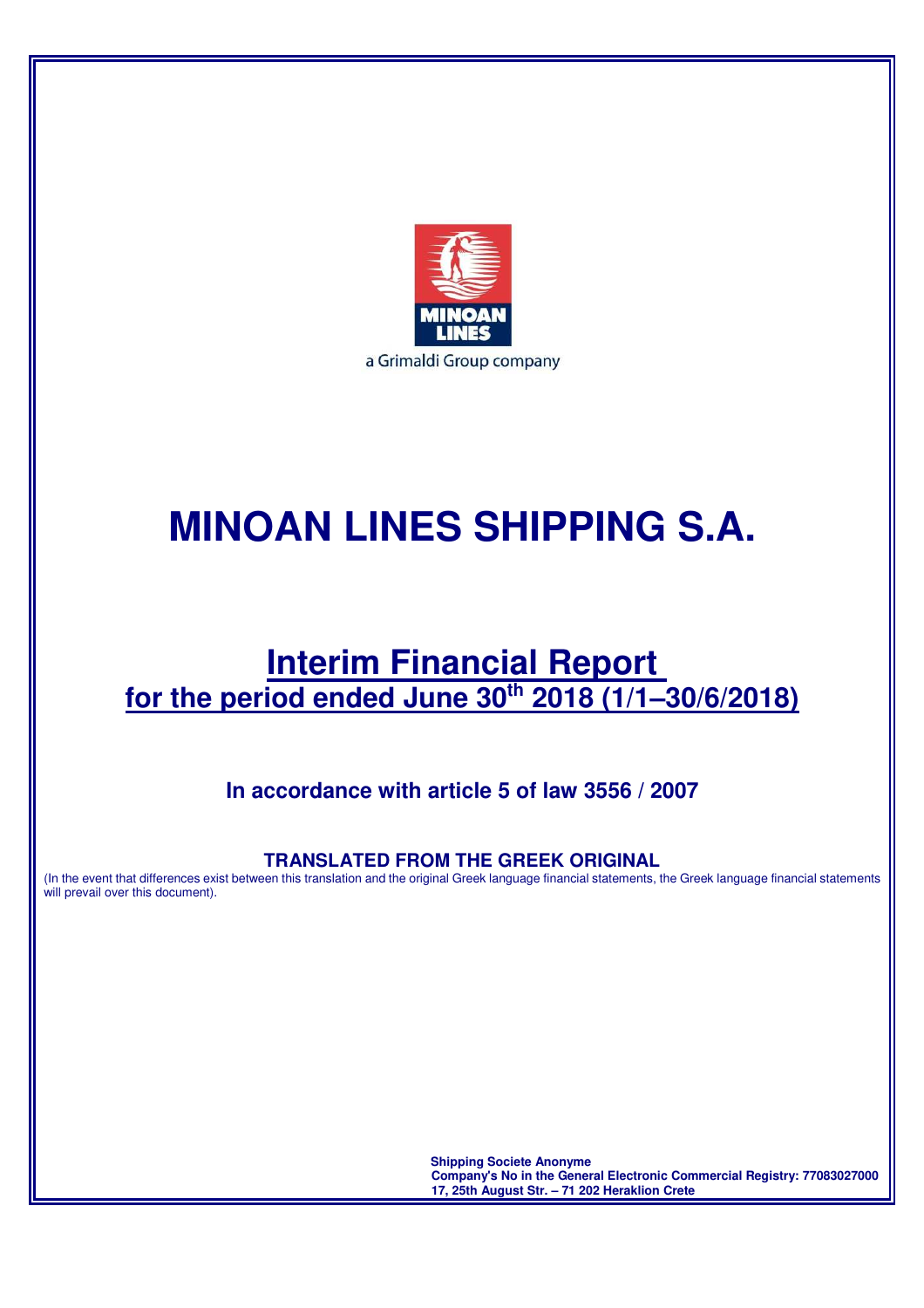

# **MINOAN LINES SHIPPING S.A.**

# **Interim Financial Report for the period ended June 30th 2018 (1/1–30/6/2018)**

# **In accordance with article 5 of law 3556 / 2007**

# **TRANSLATED FROM THE GREEK ORIGINAL**

(In the event that differences exist between this translation and the original Greek language financial statements, the Greek language financial statements will prevail over this document).

> **Shipping Societe Anonyme Company's No in the General Electronic Commercial Registry: 77083027000 17, 25th August Str. – 71 202 Heraklion Crete**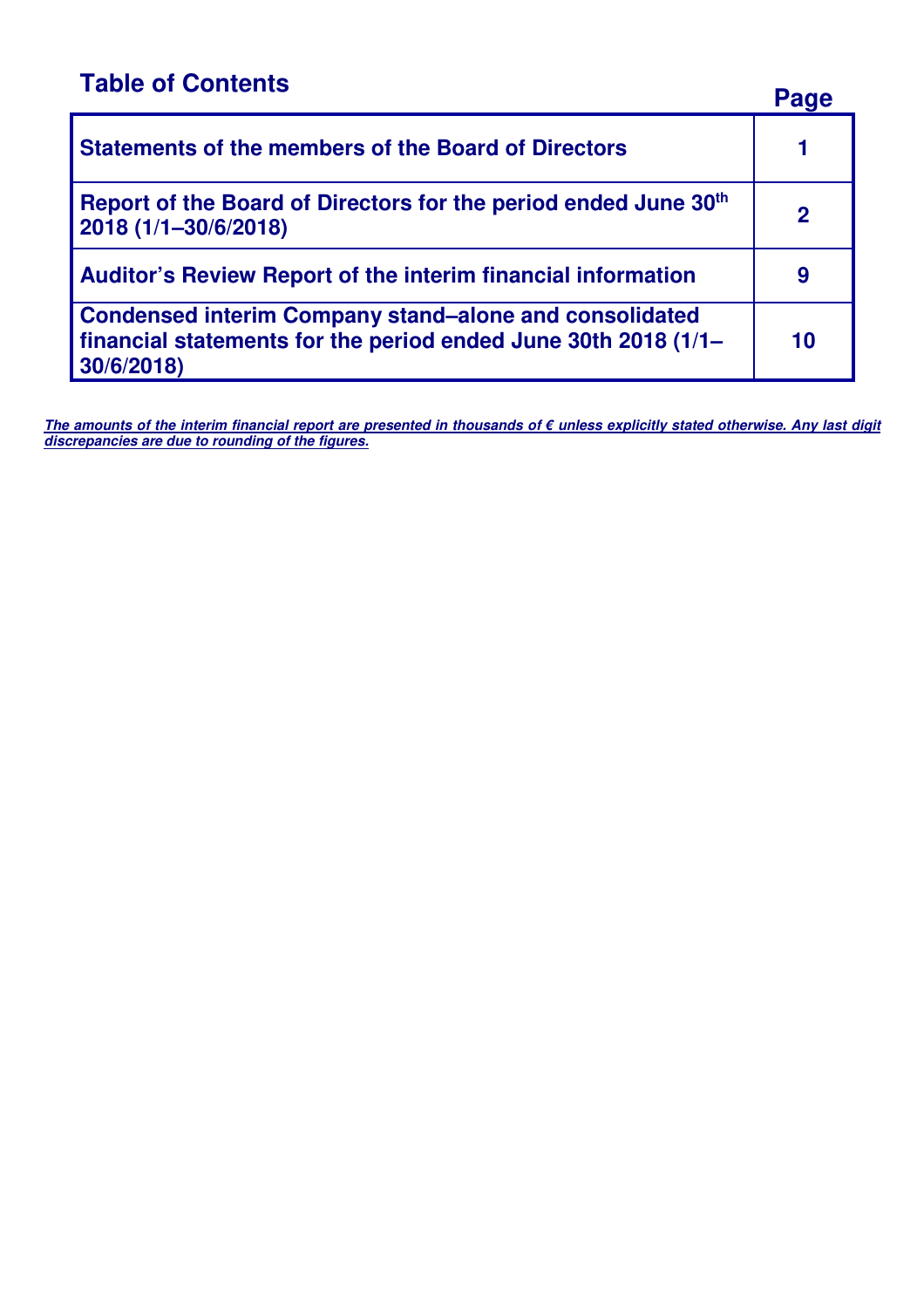**Table of Contents Page 2012 Statements of the members of the Board of Directors 1 Report of the Board of Directors for the period ended June 30th 2018 (1/1–30/6/2018) <sup>2</sup> Auditor's Review Report of the interim financial information 9 Condensed interim Company stand–alone and consolidated financial statements for the period ended June 30th 2018 (1/1– 30/6/2018) 10** 

**The amounts of the interim financial report are presented in thousands of € unless explicitly stated otherwise. Any last digit discrepancies are due to rounding of the figures.**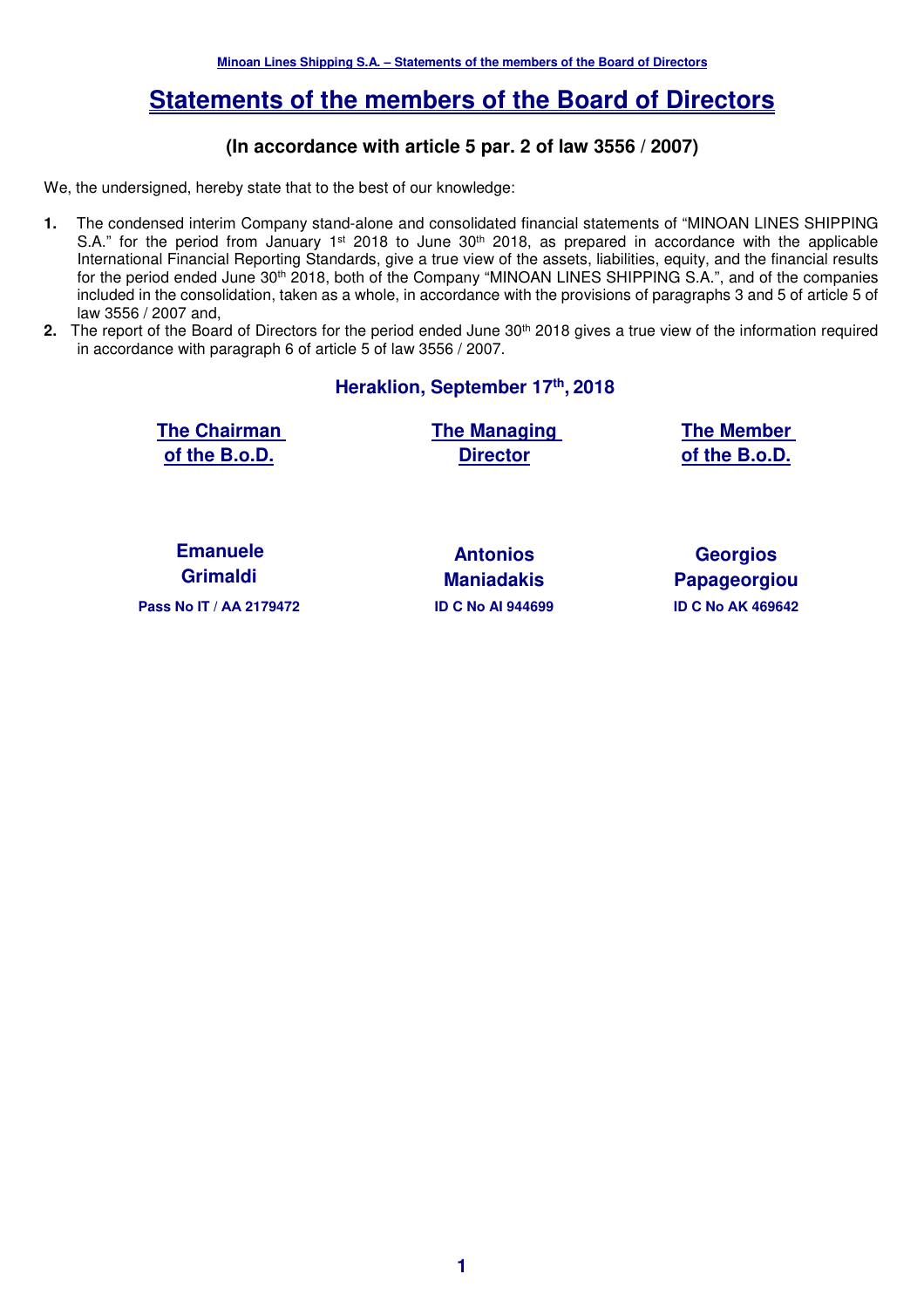# **Statements of the members of the Board of Directors**

# **(In accordance with article 5 par. 2 of law 3556 / 2007)**

We, the undersigned, hereby state that to the best of our knowledge:

- **1.** The condensed interim Company stand-alone and consolidated financial statements of "MINOAN LINES SHIPPING S.A." for the period from January 1<sup>st</sup> 2018 to June 30<sup>th</sup> 2018, as prepared in accordance with the applicable International Financial Reporting Standards, give a true view of the assets, liabilities, equity, and the financial results for the period ended June 30th 2018, both of the Company "MINOAN LINES SHIPPING S.A.", and of the companies included in the consolidation, taken as a whole, in accordance with the provisions of paragraphs 3 and 5 of article 5 of law 3556 / 2007 and,
- 2. The report of the Board of Directors for the period ended June 30<sup>th</sup> 2018 gives a true view of the information required in accordance with paragraph 6 of article 5 of law 3556 / 2007.

**Heraklion, September 17th , 2018** 

**The Chairman of the B.o.D.** 

**The Managing Director**

**The Member of the B.o.D.** 

**Emanuele Grimaldi** 

**Pass Nο IT / ΑΑ 2179472 ID C Nο AI 944699 ID C Nο ΑΚ 469642** 

**Antonios Maniadakis** 

**Georgios Papageorgiou**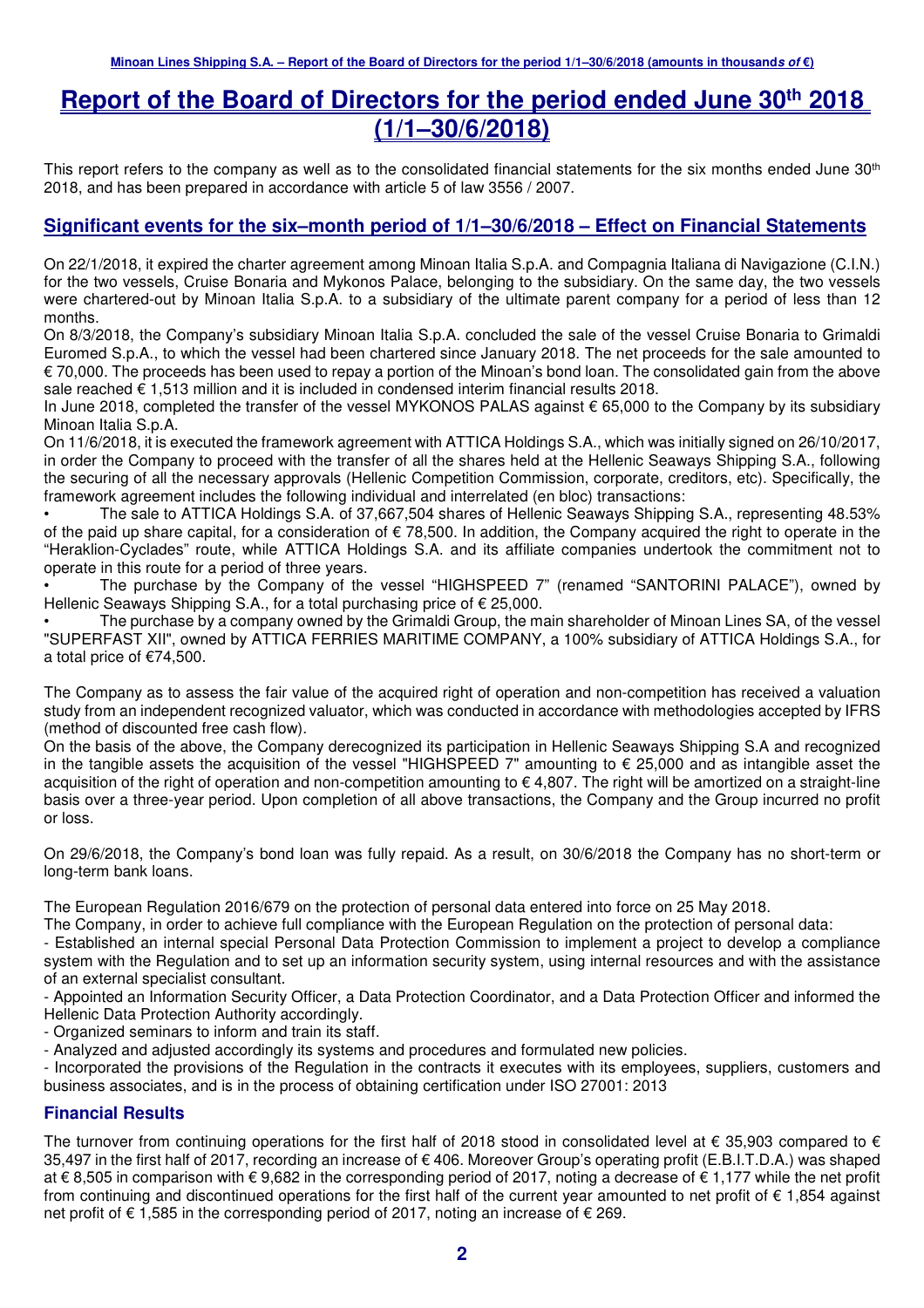# **Report of the Board of Directors for the period ended June 30th 2018 (1/1–30/6/2018)**

This report refers to the company as well as to the consolidated financial statements for the six months ended June 30<sup>th</sup> 2018, and has been prepared in accordance with article 5 of law 3556 / 2007.

#### **Significant events for the six–month period of 1/1–30/6/2018 – Effect on Financial Statements**

On 22/1/2018, it expired the charter agreement among Minoan Italia S.p.A. and Compagnia Italiana di Navigazione (C.I.N.) for the two vessels, Cruise Bonaria and Mykonos Palace, belonging to the subsidiary. On the same day, the two vessels were chartered-out by Minoan Italia S.p.A. to a subsidiary of the ultimate parent company for a period of less than 12 months.

On 8/3/2018, the Company's subsidiary Minoan Italia S.p.A. concluded the sale of the vessel Cruise Bonaria to Grimaldi Euromed S.p.A., to which the vessel had been chartered since January 2018. The net proceeds for the sale amounted to € 70,000. The proceeds has been used to repay a portion of the Minoan's bond loan. The consolidated gain from the above sale reached € 1.513 million and it is included in condensed interim financial results 2018.

In June 2018, completed the transfer of the vessel MYKONOS PALAS against € 65,000 to the Company by its subsidiary Minoan Italia S.p.A.

On 11/6/2018, it is executed the framework agreement with ATTICA Holdings S.A., which was initially signed on 26/10/2017, in order the Company to proceed with the transfer of all the shares held at the Hellenic Seaways Shipping S.A., following the securing of all the necessary approvals (Hellenic Competition Commission, corporate, creditors, etc). Specifically, the framework agreement includes the following individual and interrelated (en bloc) transactions:

• The sale to ATTICA Holdings S.A. of 37,667,504 shares of Hellenic Seaways Shipping S.A., representing 48.53% of the paid up share capital, for a consideration of  $\epsilon$  78,500. In addition, the Company acquired the right to operate in the "Heraklion-Cyclades" route, while ATTICA Holdings S.A. and its affiliate companies undertook the commitment not to operate in this route for a period of three years.

• The purchase by the Company of the vessel "HIGHSPEED 7" (renamed "SANTORINI PALACE"), owned by Hellenic Seaways Shipping S.A., for a total purchasing price of € 25,000.

• The purchase by a company owned by the Grimaldi Group, the main shareholder of Minoan Lines SA, of the vessel "SUPERFAST XII", owned by ATTICA FERRIES MARITIME COMPANY, a 100% subsidiary of ATTICA Holdings S.A., for a total price of €74,500.

The Company as to assess the fair value of the acquired right of operation and non-competition has received a valuation study from an independent recognized valuator, which was conducted in accordance with methodologies accepted by IFRS (method of discounted free cash flow).

On the basis of the above, the Company derecognized its participation in Hellenic Seaways Shipping S.A and recognized in the tangible assets the acquisition of the vessel "HIGHSPEED 7" amounting to  $\epsilon$  25,000 and as intangible asset the acquisition of the right of operation and non-competition amounting to  $\epsilon$  4,807. The right will be amortized on a straight-line basis over a three-year period. Upon completion of all above transactions, the Company and the Group incurred no profit or loss.

On 29/6/2018, the Company's bond loan was fully repaid. As a result, on 30/6/2018 the Company has no short-term or long-term bank loans.

The European Regulation 2016/679 on the protection of personal data entered into force on 25 May 2018.

The Company, in order to achieve full compliance with the European Regulation on the protection of personal data:

- Established an internal special Personal Data Protection Commission to implement a project to develop a compliance system with the Regulation and to set up an information security system, using internal resources and with the assistance of an external specialist consultant.

- Appointed an Information Security Officer, a Data Protection Coordinator, and a Data Protection Officer and informed the Hellenic Data Protection Authority accordingly.

- Organized seminars to inform and train its staff.

- Analyzed and adjusted accordingly its systems and procedures and formulated new policies.

- Incorporated the provisions of the Regulation in the contracts it executes with its employees, suppliers, customers and business associates, and is in the process of obtaining certification under ISO 27001: 2013

#### **Financial Results**

The turnover from continuing operations for the first half of 2018 stood in consolidated level at  $\epsilon$  35,903 compared to  $\epsilon$ 35,497 in the first half of 2017, recording an increase of € 406. Moreover Group's operating profit (E.B.I.T.D.A.) was shaped at € 8,505 in comparison with € 9,682 in the corresponding period of 2017, noting a decrease of € 1,177 while the net profit from continuing and discontinued operations for the first half of the current year amounted to net profit of € 1,854 against net profit of € 1,585 in the corresponding period of 2017, noting an increase of € 269.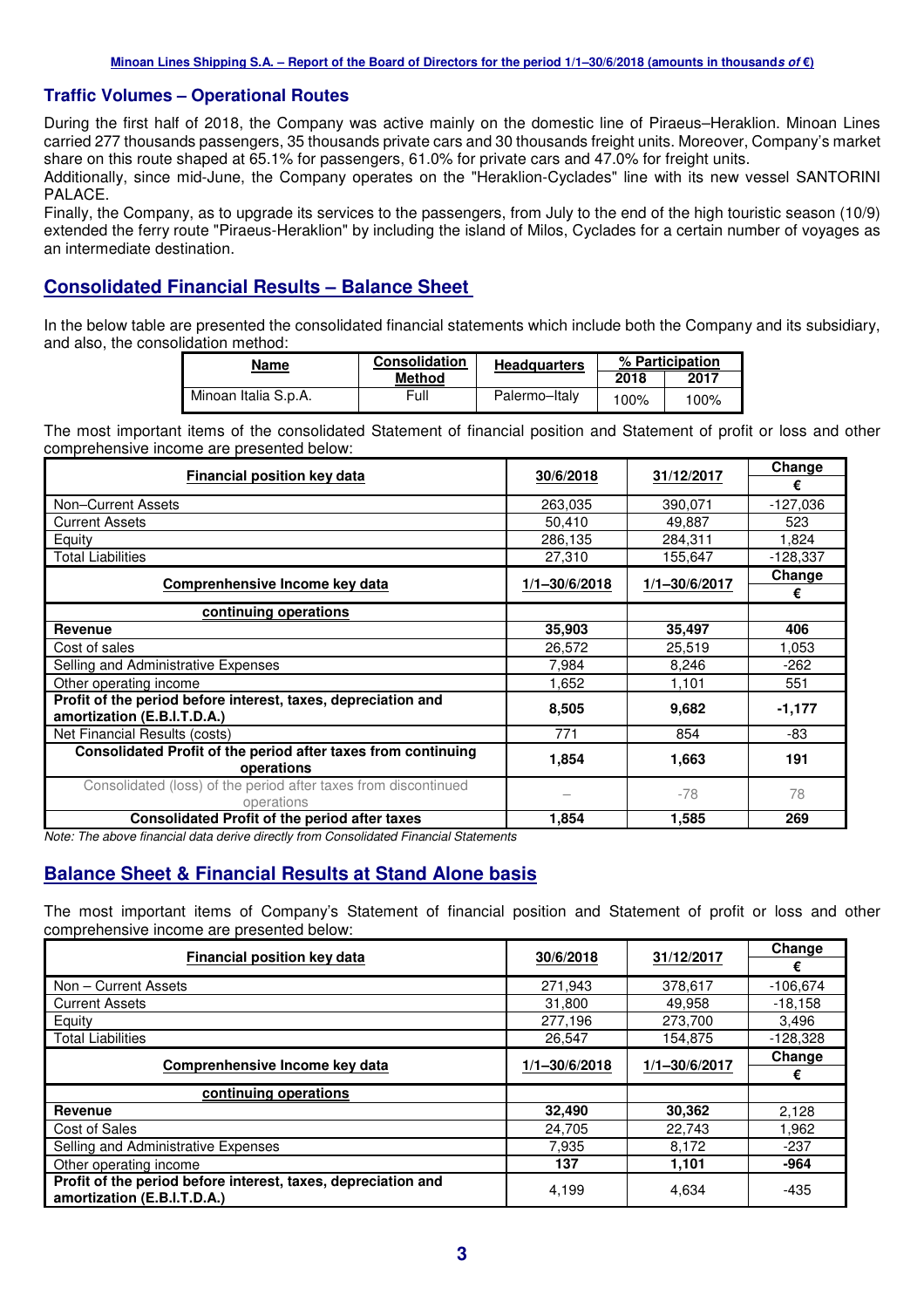#### **Traffic Volumes – Operational Routes**

During the first half of 2018, the Company was active mainly on the domestic line of Piraeus–Heraklion. Minoan Lines carried 277 thousands passengers, 35 thousands private cars and 30 thousands freight units. Moreover, Company's market share on this route shaped at 65.1% for passengers, 61.0% for private cars and 47.0% for freight units.

Additionally, since mid-June, the Company operates on the "Heraklion-Cyclades" line with its new vessel SANTORINI PALACE.

Finally, the Company, as to upgrade its services to the passengers, from July to the end of the high touristic season (10/9) extended the ferry route "Piraeus-Heraklion" by including the island of Milos, Cyclades for a certain number of voyages as an intermediate destination.

#### **Consolidated Financial Results – Balance Sheet**

In the below table are presented the consolidated financial statements which include both the Company and its subsidiary, and also, the consolidation method:

| <b>Name</b>          | <b>Consolidation</b> | <b>Headquarters</b> |      | % Participation |
|----------------------|----------------------|---------------------|------|-----------------|
|                      | Method               |                     | 2018 | 2017            |
| Minoan Italia S.p.A. | Full                 | Palermo-Italy       | 100% | 100%            |

The most important items of the consolidated Statement of financial position and Statement of profit or loss and other comprehensive income are presented below:

| <b>Financial position key data</b>                                                           |               | 31/12/2017    | Change     |
|----------------------------------------------------------------------------------------------|---------------|---------------|------------|
|                                                                                              | 30/6/2018     |               | €          |
| Non-Current Assets                                                                           | 263,035       | 390,071       | $-127,036$ |
| <b>Current Assets</b>                                                                        | 50,410        | 49,887        | 523        |
| Equity                                                                                       | 286,135       | 284,311       | 1,824      |
| <b>Total Liabilities</b>                                                                     | 27,310        | 155,647       | $-128,337$ |
|                                                                                              |               |               | Change     |
| Comprenhensive Income key data                                                               | 1/1-30/6/2018 | 1/1-30/6/2017 | €          |
| continuing operations                                                                        |               |               |            |
| Revenue                                                                                      | 35,903        | 35,497        | 406        |
| Cost of sales                                                                                | 26,572        | 25,519        | 1,053      |
| Selling and Administrative Expenses                                                          | 7.984         | 8,246         | $-262$     |
| Other operating income                                                                       | 1,652         | 1,101         | 551        |
| Profit of the period before interest, taxes, depreciation and<br>amortization (E.B.I.T.D.A.) | 8,505         | 9,682         | $-1,177$   |
| Net Financial Results (costs)                                                                | 771           | 854           | -83        |
| Consolidated Profit of the period after taxes from continuing<br>operations                  | 1,854         | 1,663         | 191        |
| Consolidated (loss) of the period after taxes from discontinued<br>operations                |               | $-78$         | 78         |
| <b>Consolidated Profit of the period after taxes</b>                                         | 1,854         | 1,585         | 269        |

Note: The above financial data derive directly from Consolidated Financial Statements

#### **Balance Sheet & Financial Results at Stand Alone basis**

The most important items of Company's Statement of financial position and Statement of profit or loss and other comprehensive income are presented below:

| <b>Financial position key data</b>                                                           | 30/6/2018         | 31/12/2017    | Change     |
|----------------------------------------------------------------------------------------------|-------------------|---------------|------------|
|                                                                                              |                   |               | €          |
| Non - Current Assets                                                                         | 271.943           | 378,617       | $-106.674$ |
| <b>Current Assets</b>                                                                        | 31,800            | 49,958        | $-18,158$  |
| Equity                                                                                       | 277,196           | 273.700       | 3.496      |
| <b>Total Liabilities</b>                                                                     | 26,547            | 154,875       | $-128,328$ |
|                                                                                              |                   |               | Change     |
| Comprenhensive Income key data                                                               | $1/1 - 30/6/2018$ | 1/1-30/6/2017 | €          |
| continuing operations                                                                        |                   |               |            |
| <b>Revenue</b>                                                                               | 32,490            | 30,362        | 2,128      |
| Cost of Sales                                                                                | 24,705            | 22,743        | 1,962      |
| Selling and Administrative Expenses                                                          | 7.935             | 8.172         | $-237$     |
| Other operating income                                                                       | 137               | 1,101         | $-964$     |
| Profit of the period before interest, taxes, depreciation and<br>amortization (E.B.I.T.D.A.) | 4,199             | 4,634         | $-435$     |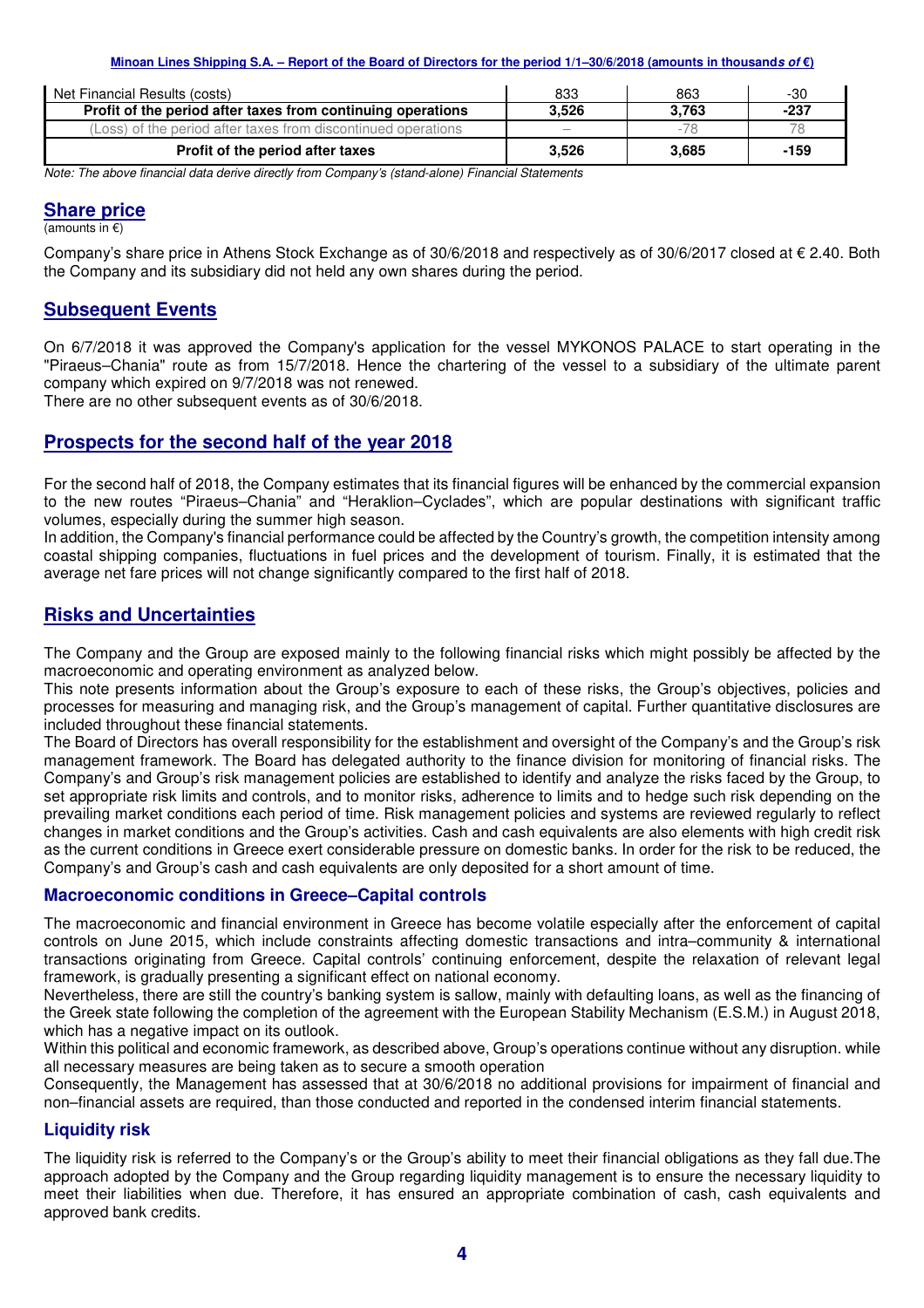| Net Financial Results (costs)                                 | 833                      | 863   | -30    |
|---------------------------------------------------------------|--------------------------|-------|--------|
| Profit of the period after taxes from continuing operations   | 3.526                    | 3.763 | $-237$ |
| (Loss) of the period after taxes from discontinued operations | $\overline{\phantom{a}}$ | $-78$ |        |
| Profit of the period after taxes                              | 3.526                    | 3.685 | $-159$ |

Note: The above financial data derive directly from Company's (stand-alone) Financial Statements

#### **Share price**

(amounts in €)

Company's share price in Athens Stock Exchange as of 30/6/2018 and respectively as of 30/6/2017 closed at  $\epsilon$  2.40. Both the Company and its subsidiary did not held any own shares during the period.

#### **Subsequent Events**

On 6/7/2018 it was approved the Company's application for the vessel MYKONOS PALACE to start operating in the "Piraeus–Chania" route as from 15/7/2018. Hence the chartering of the vessel to a subsidiary of the ultimate parent company which expired on 9/7/2018 was not renewed.

There are no other subsequent events as of 30/6/2018.

#### **Prospects for the second half of the year 2018**

For the second half of 2018, the Company estimates that its financial figures will be enhanced by the commercial expansion to the new routes "Piraeus–Chania" and "Heraklion–Cyclades", which are popular destinations with significant traffic volumes, especially during the summer high season.

In addition, the Company's financial performance could be affected by the Country's growth, the competition intensity among coastal shipping companies, fluctuations in fuel prices and the development of tourism. Finally, it is estimated that the average net fare prices will not change significantly compared to the first half of 2018.

#### **Risks and Uncertainties**

The Company and the Group are exposed mainly to the following financial risks which might possibly be affected by the macroeconomic and operating environment as analyzed below.

This note presents information about the Group's exposure to each of these risks, the Group's objectives, policies and processes for measuring and managing risk, and the Group's management of capital. Further quantitative disclosures are included throughout these financial statements.

The Board of Directors has overall responsibility for the establishment and oversight of the Company's and the Group's risk management framework. The Board has delegated authority to the finance division for monitoring of financial risks. The Company's and Group's risk management policies are established to identify and analyze the risks faced by the Group, to set appropriate risk limits and controls, and to monitor risks, adherence to limits and to hedge such risk depending on the prevailing market conditions each period of time. Risk management policies and systems are reviewed regularly to reflect changes in market conditions and the Group's activities. Cash and cash equivalents are also elements with high credit risk as the current conditions in Greece exert considerable pressure on domestic banks. In order for the risk to be reduced, the Company's and Group's cash and cash equivalents are only deposited for a short amount of time.

#### **Macroeconomic conditions in Greece–Capital controls**

The macroeconomic and financial environment in Greece has become volatile especially after the enforcement of capital controls on June 2015, which include constraints affecting domestic transactions and intra–community & international transactions originating from Greece. Capital controls' continuing enforcement, despite the relaxation of relevant legal framework, is gradually presenting a significant effect on national economy.

Nevertheless, there are still the country's banking system is sallow, mainly with defaulting loans, as well as the financing of the Greek state following the completion of the agreement with the European Stability Mechanism (E.S.M.) in August 2018, which has a negative impact on its outlook.

Within this political and economic framework, as described above, Group's operations continue without any disruption. while all necessary measures are being taken as to secure a smooth operation

Consequently, the Management has assessed that at 30/6/2018 no additional provisions for impairment of financial and non–financial assets are required, than those conducted and reported in the condensed interim financial statements.

#### **Liquidity risk**

The liquidity risk is referred to the Company's or the Group's ability to meet their financial obligations as they fall due.The approach adopted by the Company and the Group regarding liquidity management is to ensure the necessary liquidity to meet their liabilities when due. Therefore, it has ensured an appropriate combination of cash, cash equivalents and approved bank credits.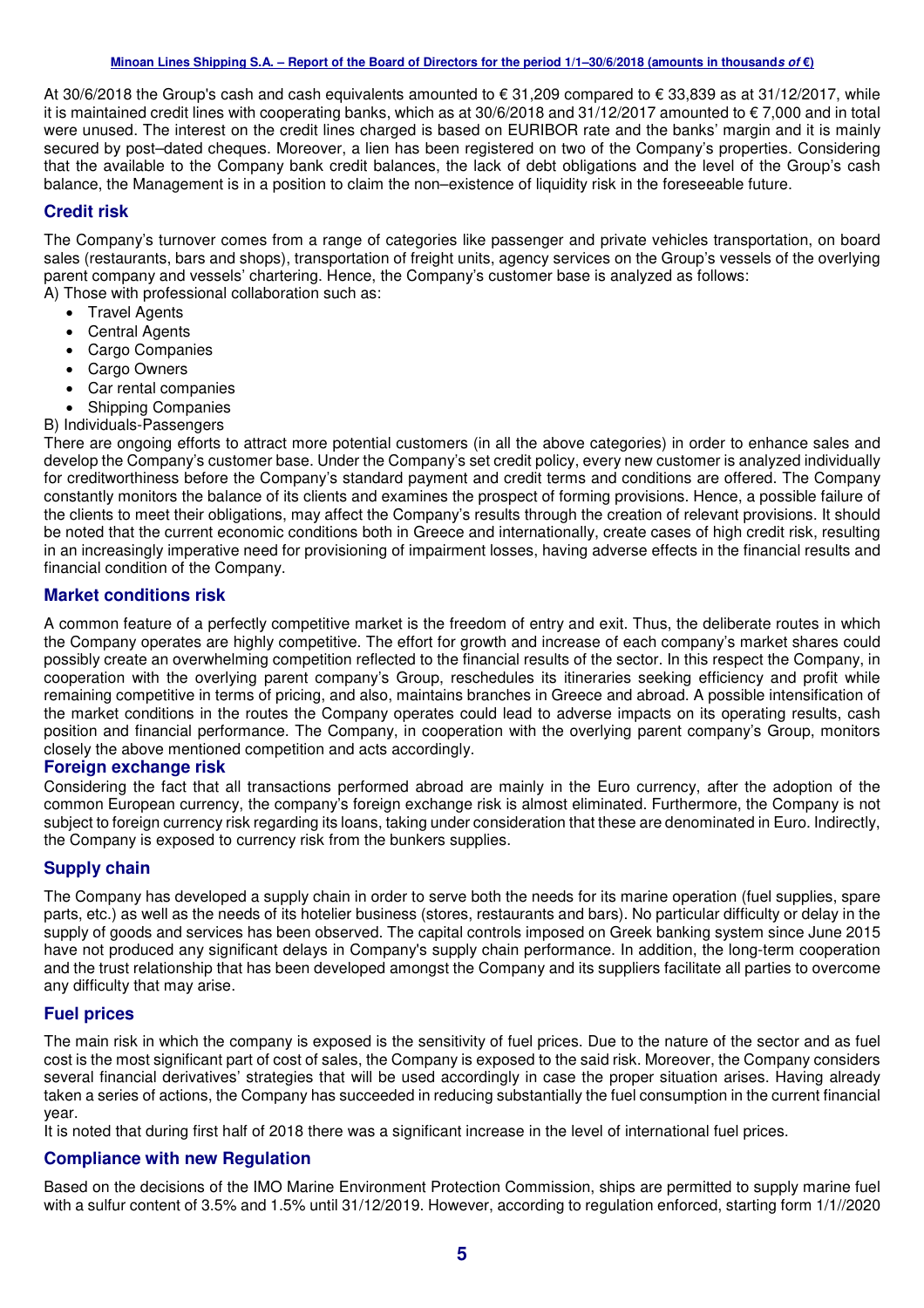At 30/6/2018 the Group's cash and cash equivalents amounted to € 31,209 compared to € 33,839 as at 31/12/2017, while it is maintained credit lines with cooperating banks, which as at 30/6/2018 and 31/12/2017 amounted to € 7,000 and in total were unused. The interest on the credit lines charged is based on EURIBOR rate and the banks' margin and it is mainly secured by post–dated cheques. Moreover, a lien has been registered on two of the Company's properties. Considering that the available to the Company bank credit balances, the lack of debt obligations and the level of the Group's cash balance, the Management is in a position to claim the non–existence of liquidity risk in the foreseeable future.

#### **Credit risk**

The Company's turnover comes from a range of categories like passenger and private vehicles transportation, on board sales (restaurants, bars and shops), transportation of freight units, agency services on the Group's vessels of the overlying parent company and vessels' chartering. Hence, the Company's customer base is analyzed as follows: A) Those with professional collaboration such as:

- Travel Agents
- Central Agents
- Cargo Companies
- Cargo Owners
- Car rental companies
- Shipping Companies
- B) Individuals-Passengers

There are ongoing efforts to attract more potential customers (in all the above categories) in order to enhance sales and develop the Company's customer base. Under the Company's set credit policy, every new customer is analyzed individually for creditworthiness before the Company's standard payment and credit terms and conditions are offered. The Company constantly monitors the balance of its clients and examines the prospect of forming provisions. Hence, a possible failure of the clients to meet their obligations, may affect the Company's results through the creation of relevant provisions. It should be noted that the current economic conditions both in Greece and internationally, create cases of high credit risk, resulting in an increasingly imperative need for provisioning of impairment losses, having adverse effects in the financial results and financial condition of the Company.

#### **Market conditions risk**

A common feature of a perfectly competitive market is the freedom of entry and exit. Thus, the deliberate routes in which the Company operates are highly competitive. The effort for growth and increase of each company's market shares could possibly create an overwhelming competition reflected to the financial results of the sector. In this respect the Company, in cooperation with the overlying parent company's Group, reschedules its itineraries seeking efficiency and profit while remaining competitive in terms of pricing, and also, maintains branches in Greece and abroad. A possible intensification of the market conditions in the routes the Company operates could lead to adverse impacts on its operating results, cash position and financial performance. The Company, in cooperation with the overlying parent company's Group, monitors closely the above mentioned competition and acts accordingly.

#### **Foreign exchange risk**

Considering the fact that all transactions performed abroad are mainly in the Euro currency, after the adoption of the common European currency, the company's foreign exchange risk is almost eliminated. Furthermore, the Company is not subject to foreign currency risk regarding its loans, taking under consideration that these are denominated in Euro. Indirectly, the Company is exposed to currency risk from the bunkers supplies.

#### **Supply chain**

The Company has developed a supply chain in order to serve both the needs for its marine operation (fuel supplies, spare parts, etc.) as well as the needs of its hotelier business (stores, restaurants and bars). No particular difficulty or delay in the supply of goods and services has been observed. The capital controls imposed on Greek banking system since June 2015 have not produced any significant delays in Company's supply chain performance. In addition, the long-term cooperation and the trust relationship that has been developed amongst the Company and its suppliers facilitate all parties to overcome any difficulty that may arise.

#### **Fuel prices**

The main risk in which the company is exposed is the sensitivity of fuel prices. Due to the nature of the sector and as fuel cost is the most significant part of cost of sales, the Company is exposed to the said risk. Moreover, the Company considers several financial derivatives' strategies that will be used accordingly in case the proper situation arises. Having already taken a series of actions, the Company has succeeded in reducing substantially the fuel consumption in the current financial year.

It is noted that during first half of 2018 there was a significant increase in the level of international fuel prices.

#### **Compliance with new Regulation**

Based on the decisions of the IMO Marine Environment Protection Commission, ships are permitted to supply marine fuel with a sulfur content of 3.5% and 1.5% until 31/12/2019. However, according to regulation enforced, starting form 1/1//2020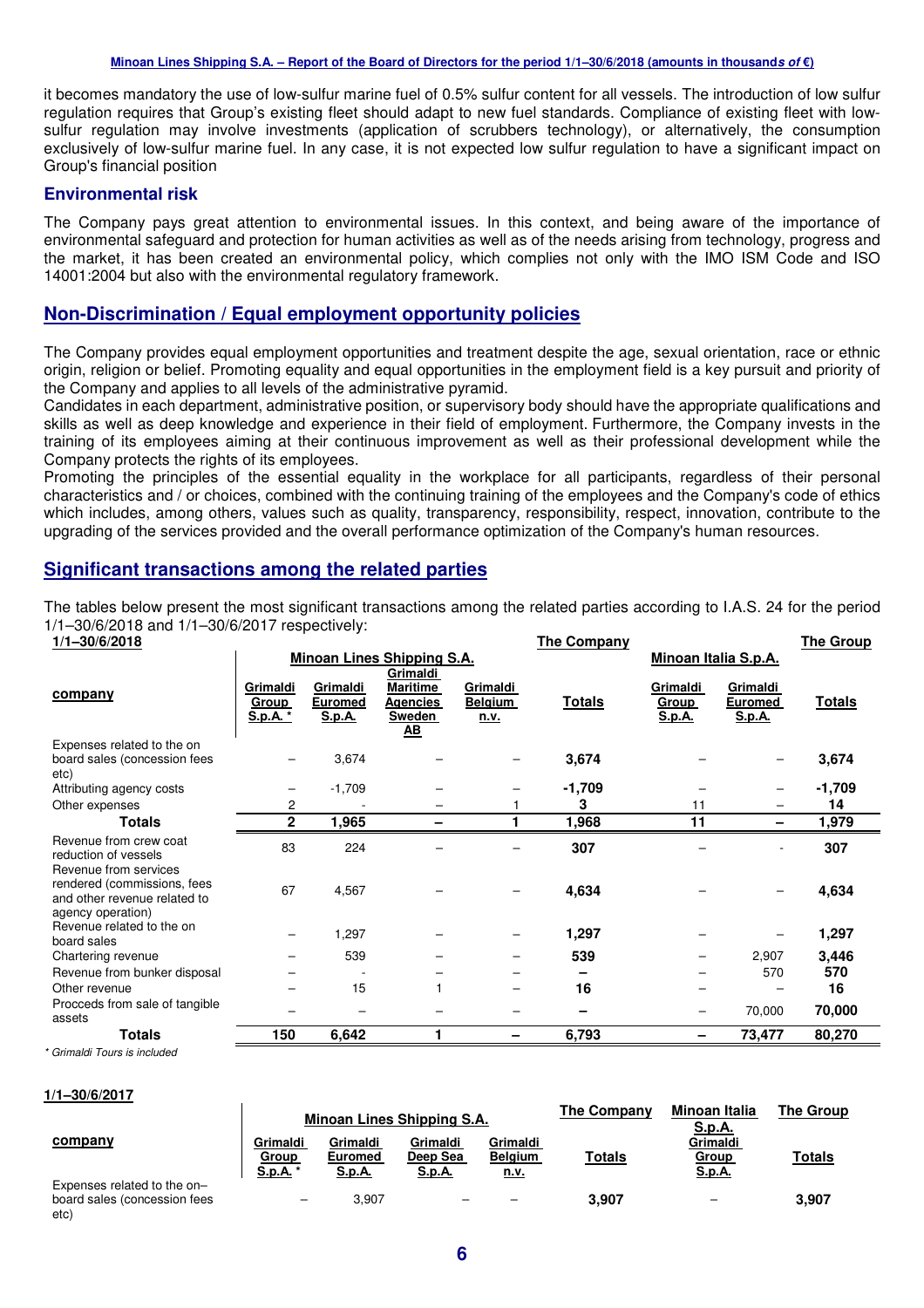it becomes mandatory the use of low-sulfur marine fuel of 0.5% sulfur content for all vessels. The introduction of low sulfur regulation requires that Group's existing fleet should adapt to new fuel standards. Compliance of existing fleet with lowsulfur regulation may involve investments (application of scrubbers technology), or alternatively, the consumption exclusively of low-sulfur marine fuel. In any case, it is not expected low sulfur regulation to have a significant impact on Group's financial position

#### **Environmental risk**

The Company pays great attention to environmental issues. In this context, and being aware of the importance of environmental safeguard and protection for human activities as well as of the needs arising from technology, progress and the market, it has been created an environmental policy, which complies not only with the IMO ISM Code and ISO 14001:2004 but also with the environmental regulatory framework.

#### **Non-Discrimination / Equal employment opportunity policies**

The Company provides equal employment opportunities and treatment despite the age, sexual orientation, race or ethnic origin, religion or belief. Promoting equality and equal opportunities in the employment field is a key pursuit and priority of the Company and applies to all levels of the administrative pyramid.

Candidates in each department, administrative position, or supervisory body should have the appropriate qualifications and skills as well as deep knowledge and experience in their field of employment. Furthermore, the Company invests in the training of its employees aiming at their continuous improvement as well as their professional development while the Company protects the rights of its employees.

Promoting the principles of the essential equality in the workplace for all participants, regardless of their personal characteristics and / or choices, combined with the continuing training of the employees and the Company's code of ethics which includes, among others, values such as quality, transparency, responsibility, respect, innovation, contribute to the upgrading of the services provided and the overall performance optimization of the Company's human resources.

#### **Significant transactions among the related parties**

The tables below present the most significant transactions among the related parties according to I.A.S. 24 for the period 1/1–30/6/2018 and 1/1–30/6/2017 respectively:

| 1/1-30/6/2018                                                                                             |                               |                                             |                                                                                |                                           | <b>The Company</b> |                                    |                                      | <u>The Group</u> |
|-----------------------------------------------------------------------------------------------------------|-------------------------------|---------------------------------------------|--------------------------------------------------------------------------------|-------------------------------------------|--------------------|------------------------------------|--------------------------------------|------------------|
|                                                                                                           |                               |                                             | <b>Minoan Lines Shipping S.A.</b>                                              |                                           |                    | <b>Minoan Italia S.p.A.</b>        |                                      |                  |
| company                                                                                                   | Grimaldi<br>Group<br>S.p.A. * | Grimaldi<br><b>Euromed</b><br><b>S.p.A.</b> | Grimaldi<br><b>Maritime</b><br>Agencies<br>Sweden<br>$\underline{\mathbf{AB}}$ | Grimaldi<br><b>Belgium</b><br><u>n.v.</u> | <b>Totals</b>      | Grimaldi<br>Group<br><u>S.p.A.</u> | Grimaldi<br><b>Euromed</b><br>S.p.A. | <b>Totals</b>    |
| Expenses related to the on<br>board sales (concession fees<br>etc)                                        |                               | 3,674                                       |                                                                                |                                           | 3,674              |                                    |                                      | 3,674            |
| Attributing agency costs                                                                                  |                               | $-1,709$                                    |                                                                                |                                           | $-1,709$           |                                    |                                      | $-1,709$         |
| Other expenses                                                                                            | 2                             |                                             |                                                                                |                                           | 3                  | 11                                 |                                      | 14               |
| <b>Totals</b>                                                                                             | $\mathbf{2}$                  | 1,965                                       |                                                                                |                                           | 1,968              | 11                                 |                                      | 1,979            |
| Revenue from crew coat<br>reduction of vessels                                                            | 83                            | 224                                         |                                                                                |                                           | 307                |                                    |                                      | 307              |
| Revenue from services<br>rendered (commissions, fees<br>and other revenue related to<br>agency operation) | 67                            | 4,567                                       |                                                                                |                                           | 4,634              |                                    | $\overline{\phantom{0}}$             | 4,634            |
| Revenue related to the on<br>board sales                                                                  |                               | 1,297                                       |                                                                                |                                           | 1,297              |                                    |                                      | 1,297            |
| Chartering revenue                                                                                        |                               | 539                                         |                                                                                |                                           | 539                |                                    | 2,907                                | 3,446            |
| Revenue from bunker disposal                                                                              |                               |                                             |                                                                                |                                           |                    |                                    | 570                                  | 570              |
| Other revenue                                                                                             |                               | 15                                          |                                                                                |                                           | 16                 |                                    |                                      | 16               |
| Procceds from sale of tangible<br>assets                                                                  |                               |                                             |                                                                                |                                           |                    |                                    | 70,000                               | 70,000           |
| <b>Totals</b>                                                                                             | 150                           | 6,642                                       |                                                                                | -                                         | 6,793              | -                                  | 73,477                               | 80,270           |

\* Grimaldi Tours is included

**1/1–30/6/2017**

|                                                                     |                               |                                             | Minoan Lines Shipping S.A.            |                                           | <b>The Company</b> | Minoan Italia<br><u>S.p.A.</u>     | <b>The Group</b> |
|---------------------------------------------------------------------|-------------------------------|---------------------------------------------|---------------------------------------|-------------------------------------------|--------------------|------------------------------------|------------------|
| company                                                             | Grimaldi<br>Group<br>S.p.A. * | Grimaldi<br><b>Euromed</b><br><u>S.p.A.</u> | Grimaldi<br>Deep Sea<br><u>S.p.A.</u> | Grimaldi<br><b>Belgium</b><br><u>n.v.</u> | Totals             | Grimaldi<br>Group<br><u>S.p.A.</u> | <b>Totals</b>    |
| Expenses related to the on-<br>board sales (concession fees<br>etc) |                               | 3.907                                       |                                       |                                           | 3.907              |                                    | 3,907            |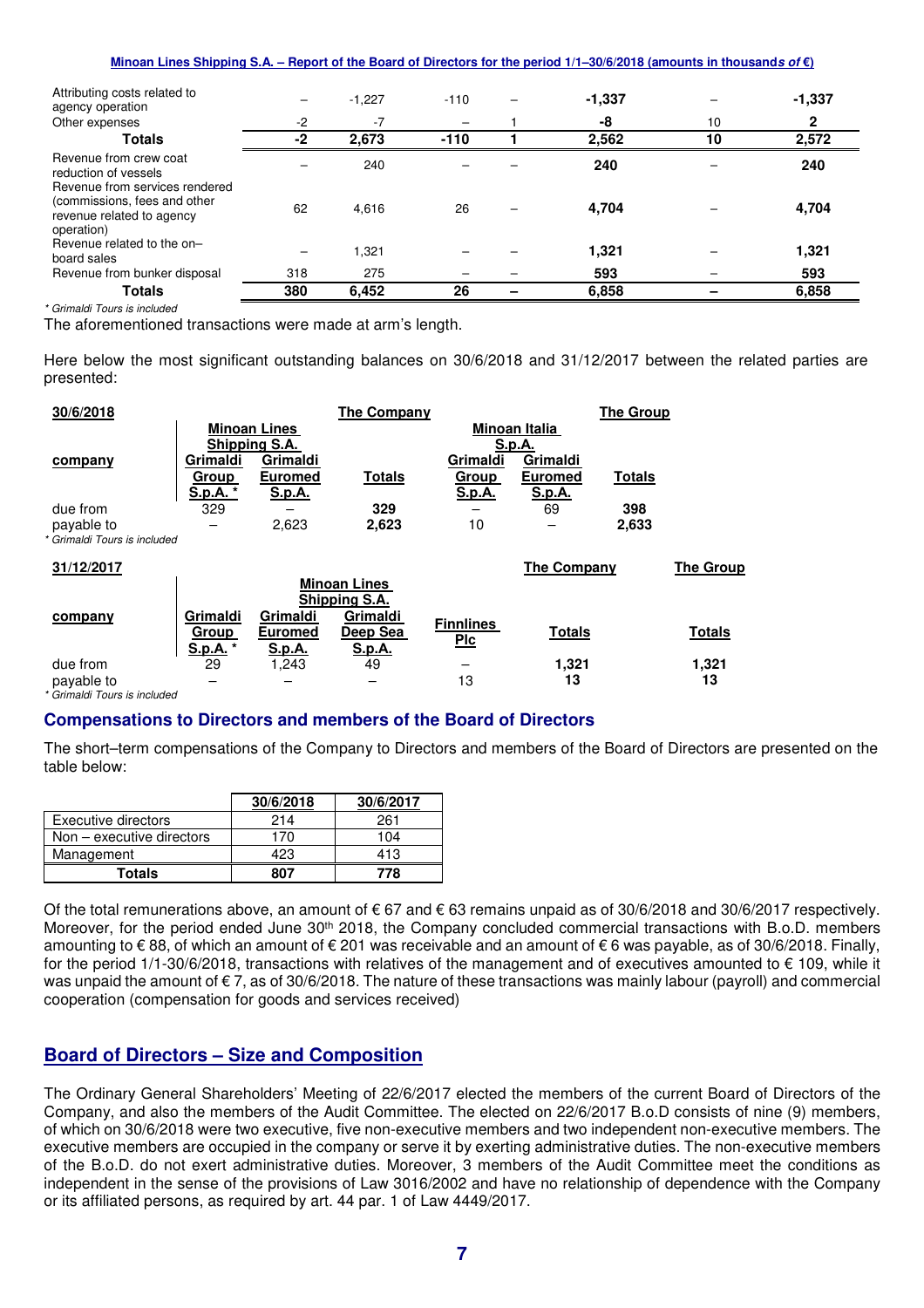| Minoan Lines Shipping S.A. – Report of the Board of Directors for the period 1/1–30/6/2018 (amounts in thousands of $\epsilon$ ) |
|----------------------------------------------------------------------------------------------------------------------------------|
|----------------------------------------------------------------------------------------------------------------------------------|

| Attributing costs related to<br>agency operation                                                          |      | $-1,227$ | $-110$ | $-1,337$ |    | $-1,337$ |
|-----------------------------------------------------------------------------------------------------------|------|----------|--------|----------|----|----------|
| Other expenses                                                                                            | $-2$ | $-7$     |        | -8       | 10 | 2        |
| <b>Totals</b>                                                                                             | $-2$ | 2,673    | $-110$ | 2,562    | 10 | 2,572    |
| Revenue from crew coat<br>reduction of vessels                                                            |      | 240      |        | 240      |    | 240      |
| Revenue from services rendered<br>(commissions, fees and other<br>revenue related to agency<br>operation) | 62   | 4,616    | 26     | 4,704    |    | 4,704    |
| Revenue related to the on-<br>board sales                                                                 |      | 321. ا   |        | 1,321    |    | 1,321    |
| Revenue from bunker disposal                                                                              | 318  | 275      |        | 593      |    | 593      |
| <b>Totals</b>                                                                                             | 380  | 6,452    | 26     | 6,858    |    | 6,858    |

\* Grimaldi Tours is included

The aforementioned transactions were made at arm's length.

Here below the most significant outstanding balances on 30/6/2018 and 31/12/2017 between the related parties are presented:

| 30/6/2018                                  |                               |                                      | <b>The Company</b>                                                     |                                  |                            | <b>The Group</b> |                  |
|--------------------------------------------|-------------------------------|--------------------------------------|------------------------------------------------------------------------|----------------------------------|----------------------------|------------------|------------------|
|                                            |                               | <b>Minoan Lines</b><br>Shipping S.A. |                                                                        |                                  | Minoan Italia<br>S.p.A.    |                  |                  |
| company                                    | Grimaldi<br>Group             | Grimaldi<br><b>Euromed</b>           | <u>Totals</u>                                                          | Grimaldi<br>Group                | Grimaldi<br><b>Euromed</b> | <b>Totals</b>    |                  |
| due from<br>payable to                     | S.p.A. *<br>329               | <u>S.p.A.</u><br>2,623               | 329<br>2,623                                                           | <u>S.p.A.</u><br>10              | <u>S.p.A.</u><br>69        | 398<br>2,633     |                  |
| * Grimaldi Tours is included<br>31/12/2017 |                               |                                      |                                                                        |                                  | <b>The Company</b>         |                  | <b>The Group</b> |
| company                                    | Grimaldi<br>Group<br>S.p.A. * | Grimaldi<br><b>Euromed</b><br>S.p.A. | <b>Minoan Lines</b><br>Shipping S.A.<br>Grimaldi<br>Deep Sea<br>S.p.A. | <b>Finnlines</b><br>$P_{\rm LC}$ | <b>Totals</b>              |                  | <b>Totals</b>    |

due from 29 1,243 49 – **1,321 1,321**

payable to – – – 13 **13 13** payable to<br>Grimaldi Tours is included

#### **Compensations to Directors and members of the Board of Directors**

The short–term compensations of the Company to Directors and members of the Board of Directors are presented on the table below:

|                             | 30/6/2018 | 30/6/2017 |
|-----------------------------|-----------|-----------|
| Executive directors         | 214       | 261       |
| $Non - executive$ directors | 170       | 104       |
| Management                  | 423       | 413       |
| Totals                      | 807       | 778       |

Of the total remunerations above, an amount of  $\epsilon$  67 and  $\epsilon$  63 remains unpaid as of 30/6/2018 and 30/6/2017 respectively. Moreover, for the period ended June 30<sup>th</sup> 2018, the Company concluded commercial transactions with B.o.D. members amounting to € 88, of which an amount of € 201 was receivable and an amount of € 6 was payable, as of 30/6/2018. Finally, for the period 1/1-30/6/2018, transactions with relatives of the management and of executives amounted to € 109, while it was unpaid the amount of €7, as of 30/6/2018. The nature of these transactions was mainly labour (payroll) and commercial cooperation (compensation for goods and services received)

#### **Board of Directors – Size and Composition**

The Ordinary General Shareholders' Meeting of 22/6/2017 elected the members of the current Board of Directors of the Company, and also the members of the Audit Committee. The elected on 22/6/2017 B.o.D consists of nine (9) members, of which on 30/6/2018 were two executive, five non-executive members and two independent non-executive members. The executive members are occupied in the company or serve it by exerting administrative duties. The non-executive members of the B.o.D. do not exert administrative duties. Moreover, 3 members of the Audit Committee meet the conditions as independent in the sense of the provisions of Law 3016/2002 and have no relationship of dependence with the Company or its affiliated persons, as required by art. 44 par. 1 of Law 4449/2017.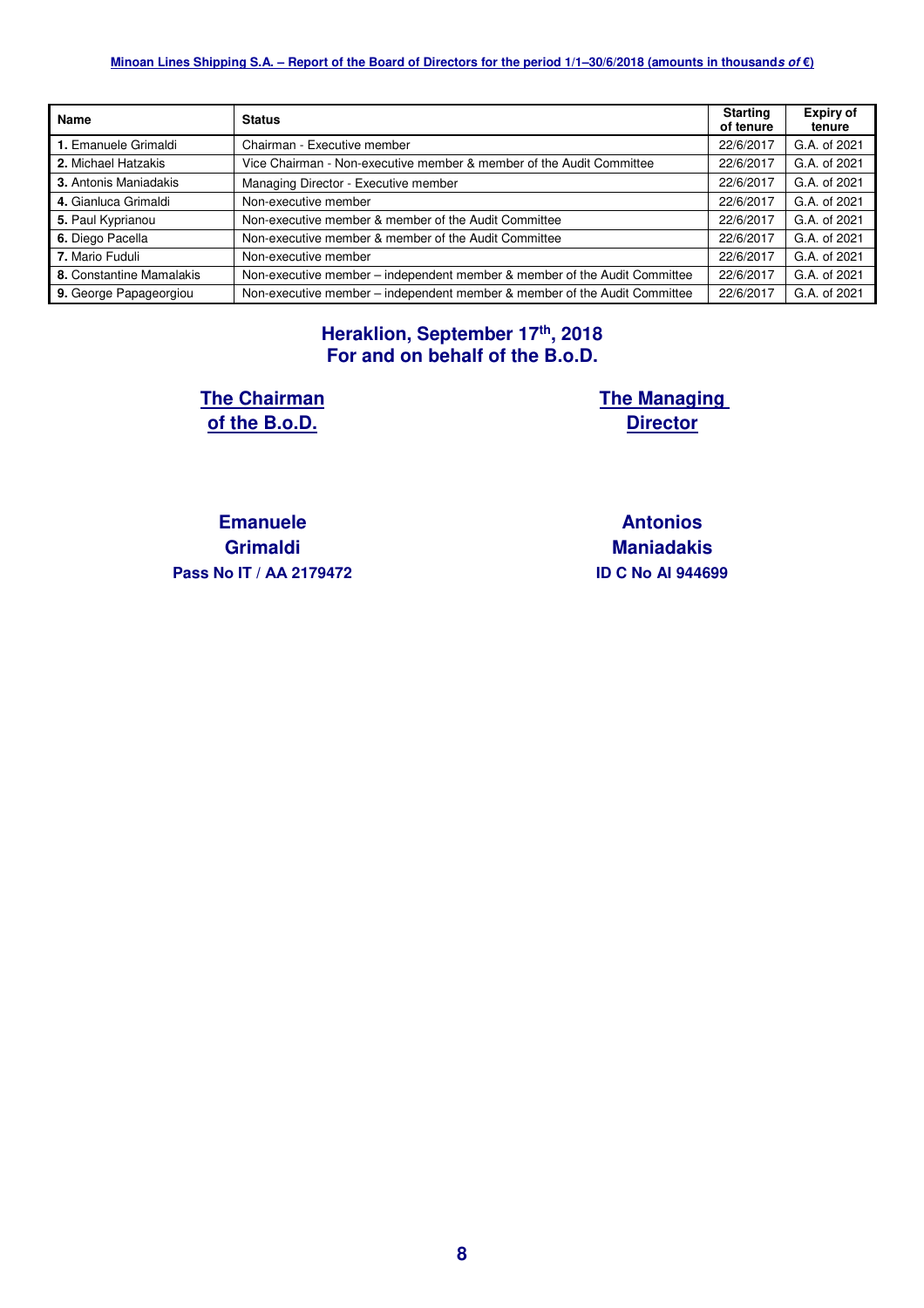| <b>Name</b>              | <b>Status</b>                                                             | <b>Starting</b><br>of tenure | <b>Expiry of</b><br>tenure |
|--------------------------|---------------------------------------------------------------------------|------------------------------|----------------------------|
| 1. Emanuele Grimaldi     | Chairman - Executive member                                               | 22/6/2017                    | G.A. of 2021               |
| 2. Michael Hatzakis      | Vice Chairman - Non-executive member & member of the Audit Committee      | 22/6/2017                    | G.A. of 2021               |
| 3. Antonis Maniadakis    | Managing Director - Executive member                                      | 22/6/2017                    | G.A. of 2021               |
| 4. Gianluca Grimaldi     | Non-executive member                                                      | 22/6/2017                    | G.A. of 2021               |
| 5. Paul Kyprianou        | Non-executive member & member of the Audit Committee                      | 22/6/2017                    | G.A. of 2021               |
| 6. Diego Pacella         | Non-executive member & member of the Audit Committee                      | 22/6/2017                    | G.A. of 2021               |
| 7. Mario Fuduli          | Non-executive member                                                      | 22/6/2017                    | G.A. of 2021               |
| 8. Constantine Mamalakis | Non-executive member - independent member & member of the Audit Committee | 22/6/2017                    | G.A. of 2021               |
| 9. George Papageorgiou   | Non-executive member – independent member & member of the Audit Committee | 22/6/2017                    | G.A. of 2021               |

#### **Heraklion, September 17th, 2018 For and on behalf of the B.o.D.**

**The Chairman of the B.o.D.** 

**The Managing Director** 

**Emanuele Grimaldi Pass Nο IT / ΑΑ 2179472 ID C Nο AI 944699**

**Antonios Maniadakis**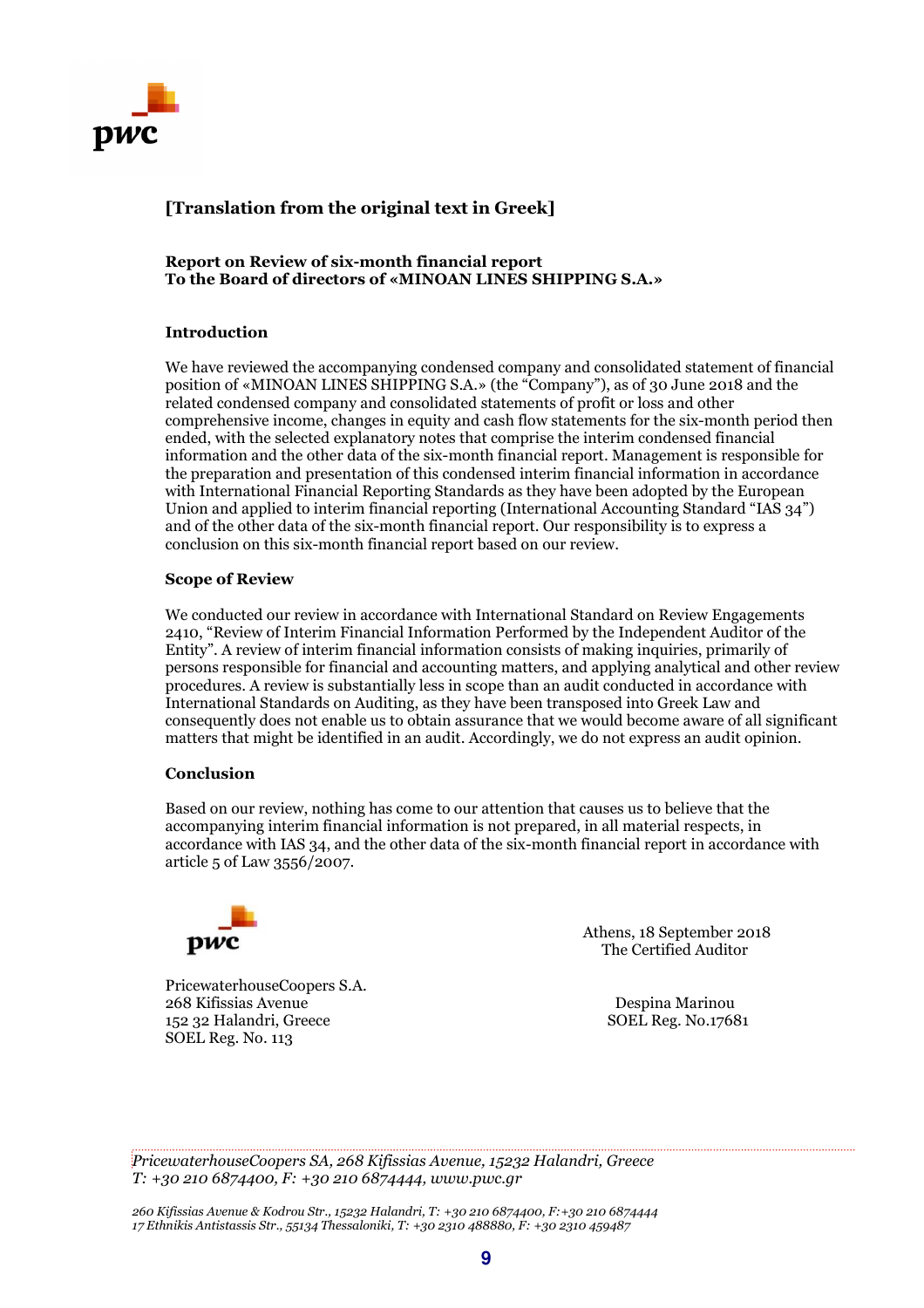

### **[Translation from the original text in Greek]**

#### **Report on Review of six-month financial report To the Board of directors of «MINOAN LINES SHIPPING S.A.»**

#### **Introduction**

We have reviewed the accompanying condensed company and consolidated statement of financial position of «MINOAN LINES SHIPPING S.A.» (the "Company"), as of 30 June 2018 and the related condensed company and consolidated statements of profit or loss and other comprehensive income, changes in equity and cash flow statements for the six-month period then ended, with the selected explanatory notes that comprise the interim condensed financial information and the other data of the six-month financial report. Management is responsible for the preparation and presentation of this condensed interim financial information in accordance with International Financial Reporting Standards as they have been adopted by the European Union and applied to interim financial reporting (International Accounting Standard "IAS 34") and of the other data of the six-month financial report. Our responsibility is to express a conclusion on this six-month financial report based on our review.

#### **Scope of Review**

We conducted our review in accordance with International Standard on Review Engagements 2410, "Review of Interim Financial Information Performed by the Independent Auditor of the Entity". A review of interim financial information consists of making inquiries, primarily of persons responsible for financial and accounting matters, and applying analytical and other review procedures. A review is substantially less in scope than an audit conducted in accordance with International Standards on Auditing, as they have been transposed into Greek Law and consequently does not enable us to obtain assurance that we would become aware of all significant matters that might be identified in an audit. Accordingly, we do not express an audit opinion.

#### **Conclusion**

Based on our review, nothing has come to our attention that causes us to believe that the accompanying interim financial information is not prepared, in all material respects, in accordance with IAS 34, and the other data of the six-month financial report in accordance with article 5 of Law 3556/2007.



PricewaterhouseCoopers S.A. 268 Kifissias Avenue Despina Marinou 152 32 Halandri, Greece SOEL Reg. No.17681 SOEL Reg. No. 113

 Athens, 18 September 2018 **PWC** The Certified Auditor

*PricewaterhouseCoopers SA, 268 Kifissias Avenue, 15232 Halandri, Greece T: +30 210 6874400, F: +30 210 6874444, www.pwc.gr* 

*260 Kifissias Avenue & Kodrou Str., 15232 Halandri, T: +30 210 6874400, F:+30 210 6874444 17 Ethnikis Antistassis Str., 55134 Thessaloniki, T: +30 2310 488880, F: +30 2310 459487*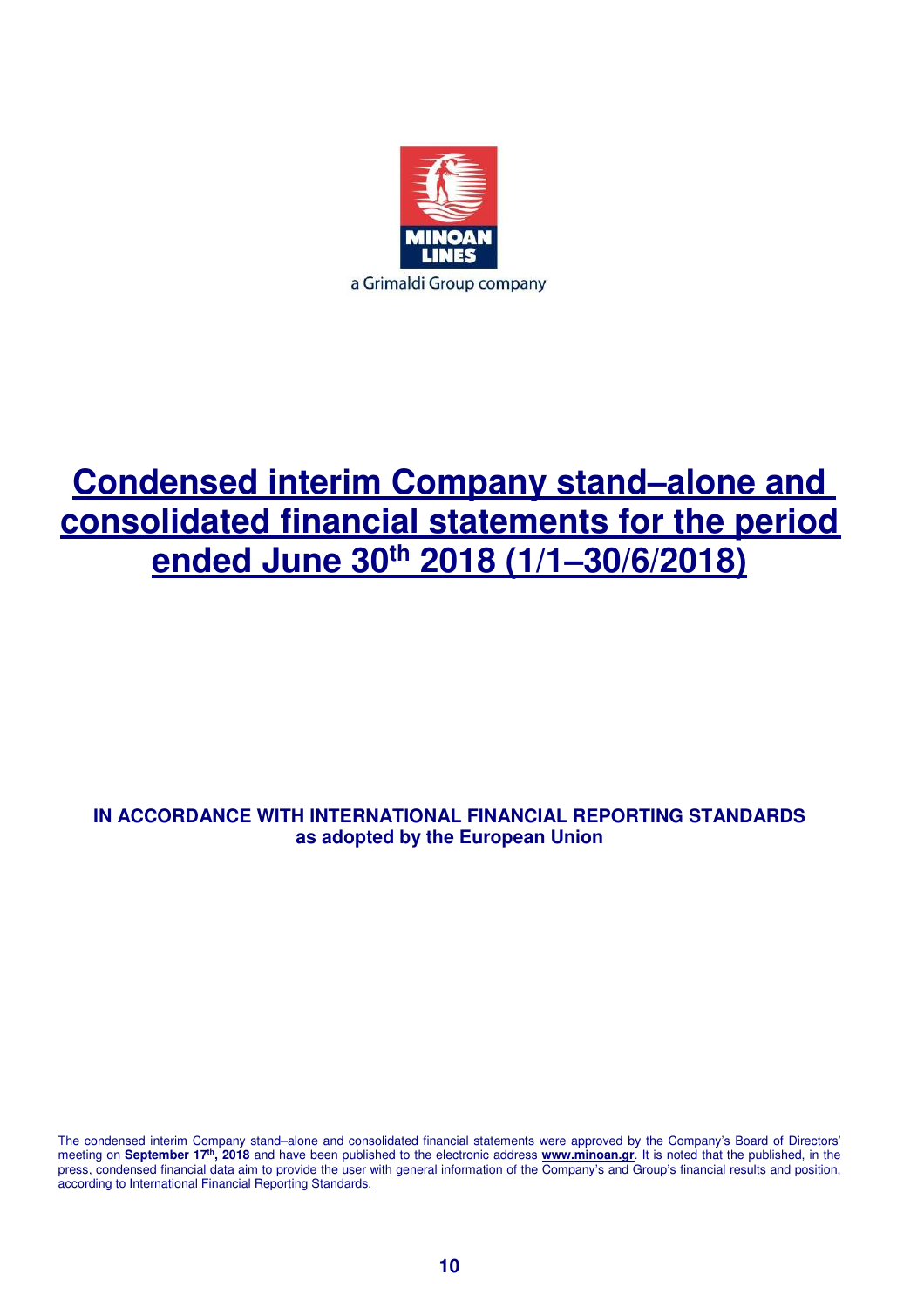

# **Condensed interim Company stand–alone and consolidated financial statements for the period ended June 30th 2018 (1/1–30/6/2018)**

# **IN ACCORDANCE WITH INTERNATIONAL FINANCIAL REPORTING STANDARDS as adopted by the European Union**

The condensed interim Company stand–alone and consolidated financial statements were approved by the Company's Board of Directors' meeting on **September 17th, 2018** and have been published to the electronic address **www.minoan.gr**. It is noted that the published, in the press, condensed financial data aim to provide the user with general information of the Company's and Group's financial results and position, according to International Financial Reporting Standards.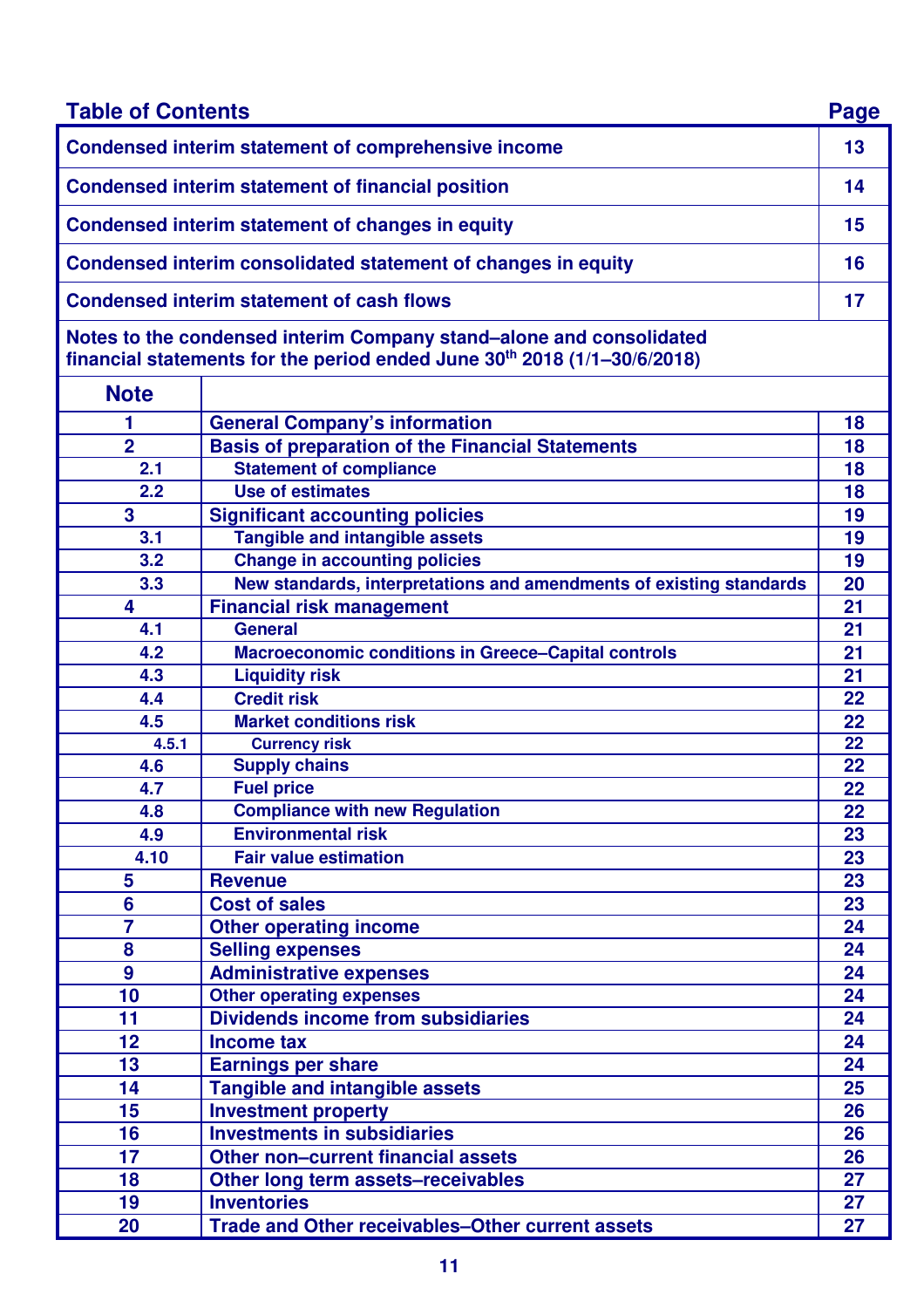| <b>Table of Contents</b> |                                                                                                                                                             | Page |
|--------------------------|-------------------------------------------------------------------------------------------------------------------------------------------------------------|------|
|                          | <b>Condensed interim statement of comprehensive income</b>                                                                                                  | 13   |
|                          | <b>Condensed interim statement of financial position</b>                                                                                                    | 14   |
|                          | <b>Condensed interim statement of changes in equity</b>                                                                                                     | 15   |
|                          | Condensed interim consolidated statement of changes in equity                                                                                               | 16   |
|                          | <b>Condensed interim statement of cash flows</b>                                                                                                            | 17   |
|                          | Notes to the condensed interim Company stand–alone and consolidated<br>financial statements for the period ended June 30 <sup>th</sup> 2018 (1/1-30/6/2018) |      |
| <b>Note</b>              |                                                                                                                                                             |      |
| 1                        | <b>General Company's information</b>                                                                                                                        | 18   |
| $\overline{2}$           | <b>Basis of preparation of the Financial Statements</b>                                                                                                     | 18   |
| 2.1                      | <b>Statement of compliance</b>                                                                                                                              | 18   |
| 2.2                      | <b>Use of estimates</b>                                                                                                                                     | 18   |
| 3                        | <b>Significant accounting policies</b>                                                                                                                      | 19   |
| 3.1                      | <b>Tangible and intangible assets</b>                                                                                                                       | 19   |
| 3.2                      | <b>Change in accounting policies</b>                                                                                                                        | 19   |
| 3.3                      | New standards, interpretations and amendments of existing standards                                                                                         | 20   |
| 4                        | <b>Financial risk management</b>                                                                                                                            | 21   |
| 4.1                      | <b>General</b>                                                                                                                                              | 21   |
| 4.2                      | <b>Macroeconomic conditions in Greece-Capital controls</b>                                                                                                  | 21   |
| 4.3                      | <b>Liquidity risk</b>                                                                                                                                       | 21   |
| 4.4                      | <b>Credit risk</b>                                                                                                                                          | 22   |
| 4.5                      | <b>Market conditions risk</b>                                                                                                                               | 22   |
| 4.5.1                    | <b>Currency risk</b>                                                                                                                                        | 22   |
| 4.6                      | <b>Supply chains</b>                                                                                                                                        | 22   |
| 4.7                      | <b>Fuel price</b>                                                                                                                                           | 22   |
| 4.8                      | <b>Compliance with new Regulation</b>                                                                                                                       | 22   |
| 4.9                      | <b>Environmental risk</b>                                                                                                                                   | 23   |
| 4.10                     | <b>Fair value estimation</b>                                                                                                                                | 23   |
| 5                        | <b>Revenue</b>                                                                                                                                              | 23   |
| 6                        | <b>Cost of sales</b>                                                                                                                                        | 23   |
| 7                        | <b>Other operating income</b>                                                                                                                               | 24   |
| 8                        | <b>Selling expenses</b>                                                                                                                                     | 24   |
| $\boldsymbol{9}$         | <b>Administrative expenses</b>                                                                                                                              | 24   |
| 10                       | <b>Other operating expenses</b>                                                                                                                             | 24   |
| 11                       | <b>Dividends income from subsidiaries</b>                                                                                                                   | 24   |
| 12                       | <b>Income tax</b>                                                                                                                                           | 24   |
| 13                       | <b>Earnings per share</b>                                                                                                                                   | 24   |
| 14                       | <b>Tangible and intangible assets</b>                                                                                                                       | 25   |
| 15                       | <b>Investment property</b>                                                                                                                                  | 26   |
| 16                       | <b>Investments in subsidiaries</b>                                                                                                                          | 26   |
| 17                       | Other non-current financial assets                                                                                                                          | 26   |
| 18                       | Other long term assets-receivables                                                                                                                          | 27   |
| 19                       | <b>Inventories</b>                                                                                                                                          | 27   |
| 20                       | <b>Trade and Other receivables-Other current assets</b>                                                                                                     | 27   |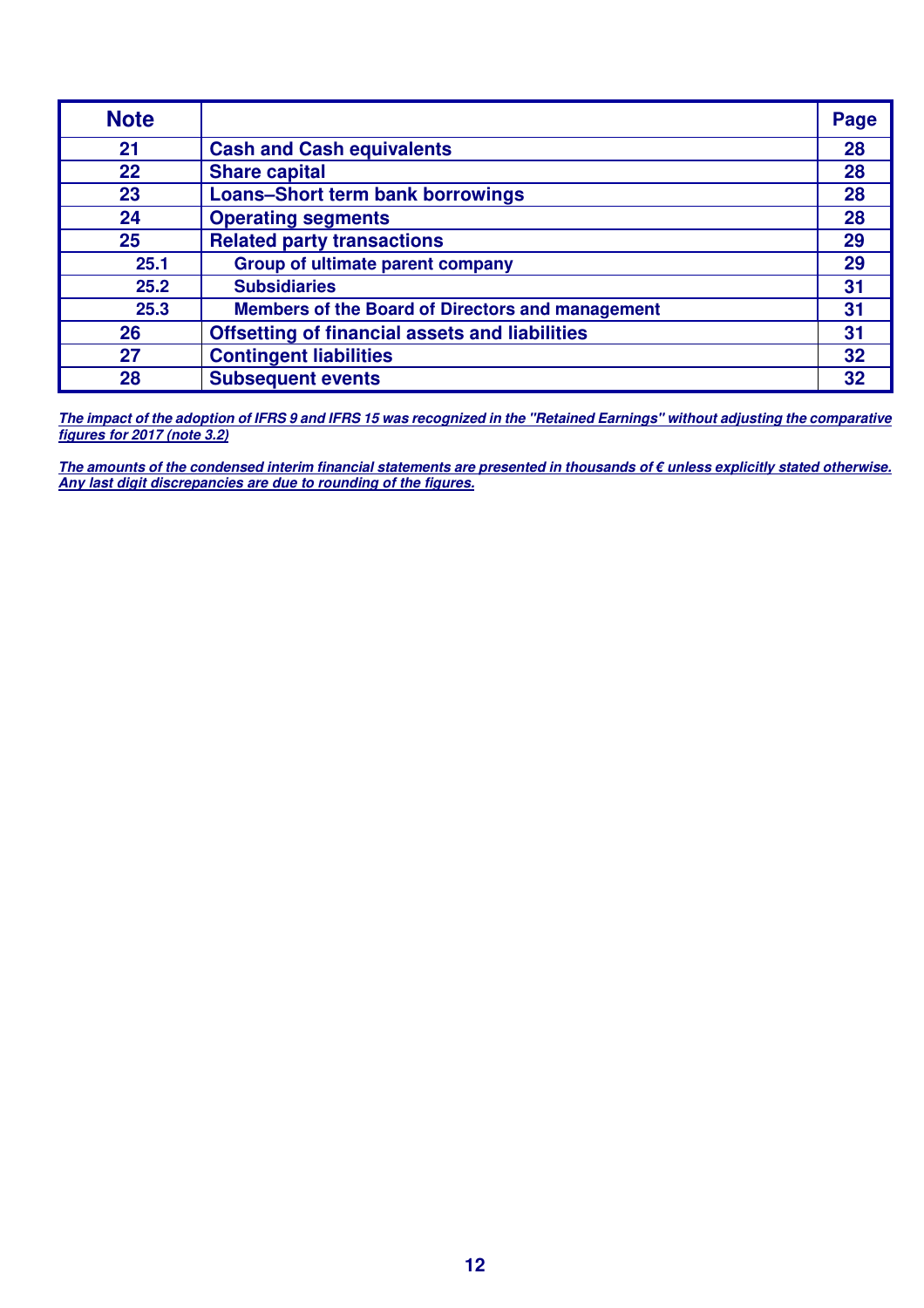| <b>Note</b> |                                                         | Page |
|-------------|---------------------------------------------------------|------|
| 21          | <b>Cash and Cash equivalents</b>                        | 28   |
| 22          | <b>Share capital</b>                                    | 28   |
| 23          | <b>Loans-Short term bank borrowings</b>                 | 28   |
| 24          | <b>Operating segments</b>                               | 28   |
| 25          | <b>Related party transactions</b>                       | 29   |
| 25.1        | <b>Group of ultimate parent company</b>                 | 29   |
| 25.2        | <b>Subsidiaries</b>                                     | 31   |
| 25.3        | <b>Members of the Board of Directors and management</b> | 31   |
| 26          | <b>Offsetting of financial assets and liabilities</b>   | 31   |
| 27          | <b>Contingent liabilities</b>                           | 32   |
| 28          | <b>Subsequent events</b>                                | 32   |

**The impact of the adoption of IFRS 9 and IFRS 15 was recognized in the "Retained Earnings" without adjusting the comparative figures for 2017 (note 3.2)**

**The amounts of the condensed interim financial statements are presented in thousands of € unless explicitly stated otherwise. Any last digit discrepancies are due to rounding of the figures.**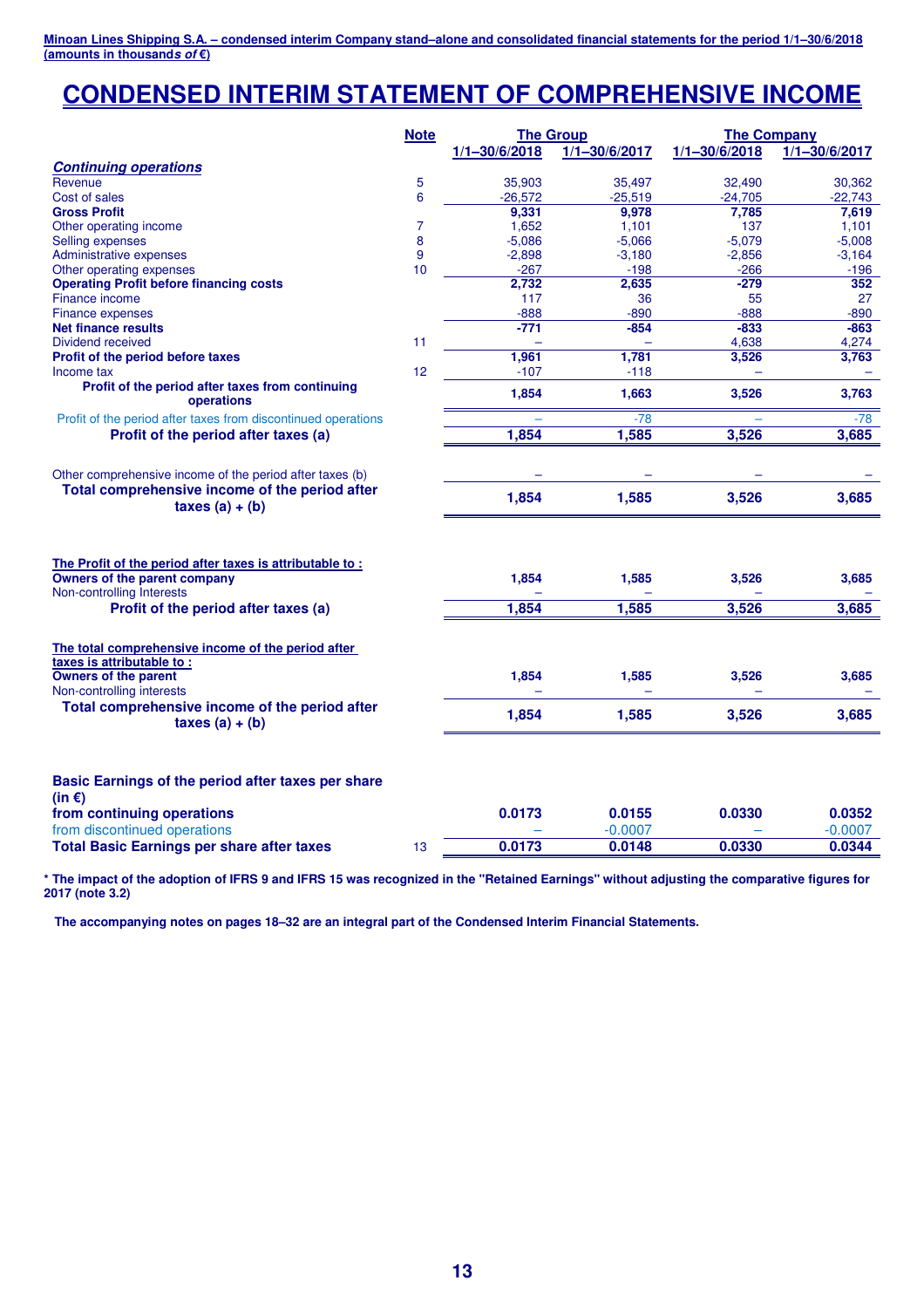# **CONDENSED INTERIM STATEMENT OF COMPREHENSIVE INCOME**

|                                                                                                                       | <b>Note</b><br><b>The Group</b> |                   |                   | <b>The Company</b> |                   |  |
|-----------------------------------------------------------------------------------------------------------------------|---------------------------------|-------------------|-------------------|--------------------|-------------------|--|
|                                                                                                                       |                                 | $1/1 - 30/6/2018$ | $1/1 - 30/6/2017$ | $1/1 - 30/6/2018$  | $1/1 - 30/6/2017$ |  |
| <b>Continuing operations</b>                                                                                          |                                 |                   |                   |                    |                   |  |
| Revenue                                                                                                               | 5                               | 35,903            | 35,497            | 32,490             | 30,362            |  |
| Cost of sales                                                                                                         | 6                               | $-26,572$         | $-25,519$         | $-24,705$          | $-22,743$         |  |
| <b>Gross Profit</b>                                                                                                   |                                 | 9,331             | 9,978             | 7,785              | 7,619             |  |
| Other operating income                                                                                                | $\overline{7}$                  | 1,652             | 1,101             | 137                | 1,101             |  |
| Selling expenses                                                                                                      | 8                               | $-5,086$          | $-5,066$          | $-5,079$           | $-5,008$          |  |
| <b>Administrative expenses</b>                                                                                        | 9                               | $-2,898$          | $-3,180$          | $-2,856$           | $-3,164$          |  |
| Other operating expenses                                                                                              | 10                              | $-267$            | $-198$            | $-266$             | $-196$            |  |
| <b>Operating Profit before financing costs</b>                                                                        |                                 | 2,732             | 2,635             | $-279$             | 352               |  |
| Finance income                                                                                                        |                                 | 117               | 36                | 55                 | 27                |  |
| <b>Finance expenses</b>                                                                                               |                                 | $-888$            | $-890$            | $-888$             | $-890$            |  |
| <b>Net finance results</b>                                                                                            |                                 | $-771$            | $-854$            | $-833$             | $-863$            |  |
| Dividend received                                                                                                     | 11                              | ÷                 |                   | 4,638              | 4,274             |  |
| Profit of the period before taxes                                                                                     |                                 | 1,961             | 1,781             | 3,526              | 3,763             |  |
| Income tax                                                                                                            | 12                              | $-107$            | $-118$            |                    |                   |  |
| Profit of the period after taxes from continuing<br>operations                                                        |                                 | 1,854             | 1,663             | 3,526              | 3,763             |  |
| Profit of the period after taxes from discontinued operations                                                         |                                 |                   | $-78$             |                    | -78               |  |
| Profit of the period after taxes (a)                                                                                  |                                 | 1,854             | 1,585             | 3,526              | 3,685             |  |
|                                                                                                                       |                                 |                   |                   |                    |                   |  |
| Other comprehensive income of the period after taxes (b)                                                              |                                 |                   |                   |                    |                   |  |
| Total comprehensive income of the period after                                                                        |                                 |                   |                   |                    |                   |  |
| taxes $(a) + (b)$                                                                                                     |                                 | 1,854             | 1,585             | 3,526              | 3,685             |  |
| The Profit of the period after taxes is attributable to:<br>Owners of the parent company<br>Non-controlling Interests |                                 | 1,854             | 1,585             | 3,526              | 3,685             |  |
| Profit of the period after taxes (a)                                                                                  |                                 | 1,854             | 1,585             | 3,526              | 3,685             |  |
| The total comprehensive income of the period after                                                                    |                                 |                   |                   |                    |                   |  |
| taxes is attributable to:<br><b>Owners of the parent</b><br>Non-controlling interests                                 |                                 | 1,854             | 1,585             | 3,526              | 3,685             |  |
| Total comprehensive income of the period after<br>taxes $(a) + (b)$                                                   |                                 | 1,854             | 1,585             | 3,526              | 3,685             |  |
| Basic Earnings of the period after taxes per share<br>(in $\epsilon$ )                                                |                                 |                   |                   |                    |                   |  |
| from continuing operations                                                                                            |                                 | 0.0173            | 0.0155            | 0.0330             | 0.0352            |  |
| from discontinued operations                                                                                          |                                 |                   | $-0.0007$         |                    | $-0.0007$         |  |
| <b>Total Basic Earnings per share after taxes</b>                                                                     | 13                              | 0.0173            | 0.0148            | 0.0330             | 0.0344            |  |

**\* The impact of the adoption of IFRS 9 and IFRS 15 was recognized in the "Retained Earnings" without adjusting the comparative figures for 2017 (note 3.2)**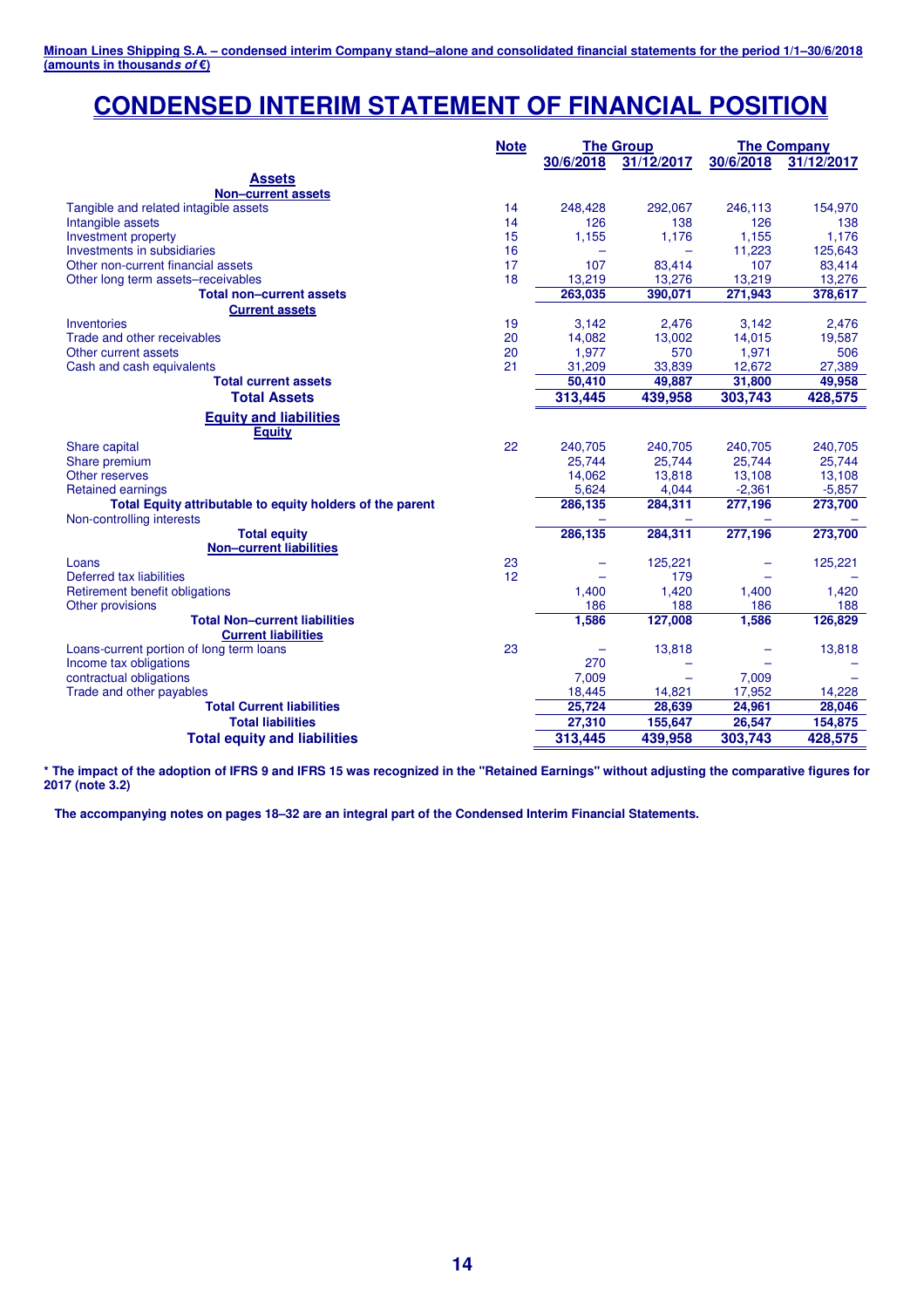# **CONDENSED INTERIM STATEMENT OF FINANCIAL POSITION**

|                                                           | <b>Note</b> | <b>The Group</b> |            |           | <b>The Company</b> |
|-----------------------------------------------------------|-------------|------------------|------------|-----------|--------------------|
|                                                           |             | 30/6/2018        | 31/12/2017 | 30/6/2018 | 31/12/2017         |
| <b>Assets</b>                                             |             |                  |            |           |                    |
| <b>Non-current assets</b>                                 |             |                  |            |           |                    |
| Tangible and related intagible assets                     | 14          | 248,428          | 292,067    | 246,113   | 154,970            |
| Intangible assets                                         | 14          | 126              | 138        | 126       | 138                |
| Investment property                                       | 15          | 1,155            | 1,176      | 1,155     | 1,176              |
| Investments in subsidiaries                               | 16          |                  |            | 11,223    | 125,643            |
| Other non-current financial assets                        | 17          | 107              | 83,414     | 107       | 83,414             |
| Other long term assets-receivables                        | 18          | 13,219           | 13,276     | 13,219    | 13,276             |
| <b>Total non-current assets</b>                           |             | 263,035          | 390,071    | 271,943   | 378,617            |
| <b>Current assets</b>                                     |             |                  |            |           |                    |
| Inventories                                               | 19          | 3,142            | 2,476      | 3,142     | 2,476              |
| Trade and other receivables                               | 20          | 14,082           | 13,002     | 14,015    | 19,587             |
| Other current assets                                      | 20          | 1,977            | 570        | 1,971     | 506                |
| Cash and cash equivalents                                 | 21          | 31,209           | 33,839     | 12,672    | 27,389             |
| <b>Total current assets</b>                               |             | 50.410           | 49.887     | 31,800    | 49,958             |
| <b>Total Assets</b>                                       |             | 313,445          | 439,958    | 303,743   | 428,575            |
| <b>Equity and liabilities</b>                             |             |                  |            |           |                    |
| <b>Equity</b>                                             |             |                  |            |           |                    |
| Share capital                                             | 22          | 240,705          | 240,705    | 240,705   | 240,705            |
| Share premium                                             |             | 25,744           | 25.744     | 25.744    | 25,744             |
| Other reserves                                            |             | 14,062           | 13,818     | 13,108    | 13,108             |
| <b>Retained earnings</b>                                  |             | 5,624            | 4,044      | $-2,361$  | $-5,857$           |
| Total Equity attributable to equity holders of the parent |             | 286,135          | 284,311    | 277,196   | 273,700            |
| Non-controlling interests                                 |             |                  |            |           |                    |
| <b>Total equity</b>                                       |             | 286,135          | 284,311    | 277,196   | 273,700            |
| <b>Non-current liabilities</b>                            |             |                  |            |           |                    |
| Loans                                                     | 23          |                  | 125,221    |           | 125,221            |
| Deferred tax liabilities                                  | 12          |                  | 179        |           |                    |
| Retirement benefit obligations                            |             | 1,400            | 1,420      | 1,400     | 1,420              |
| Other provisions                                          |             | 186              | 188        | 186       | 188                |
| <b>Total Non-current liabilities</b>                      |             | 1,586            | 127,008    | 1,586     | 126,829            |
| <b>Current liabilities</b>                                |             |                  |            |           |                    |
| Loans-current portion of long term loans                  | 23          |                  | 13,818     |           | 13,818             |
| Income tax obligations                                    |             | 270              |            |           |                    |
| contractual obligations                                   |             | 7,009            |            | 7.009     |                    |
| Trade and other payables                                  |             | 18,445           | 14,821     | 17,952    | 14,228             |
| <b>Total Current liabilities</b>                          |             | 25,724           | 28,639     | 24,961    | 28,046             |
| <b>Total liabilities</b>                                  |             | 27,310           | 155,647    | 26,547    | 154,875            |
| <b>Total equity and liabilities</b>                       |             | 313,445          | 439,958    | 303,743   | 428,575            |

**\* The impact of the adoption of IFRS 9 and IFRS 15 was recognized in the "Retained Earnings" without adjusting the comparative figures for 2017 (note 3.2)**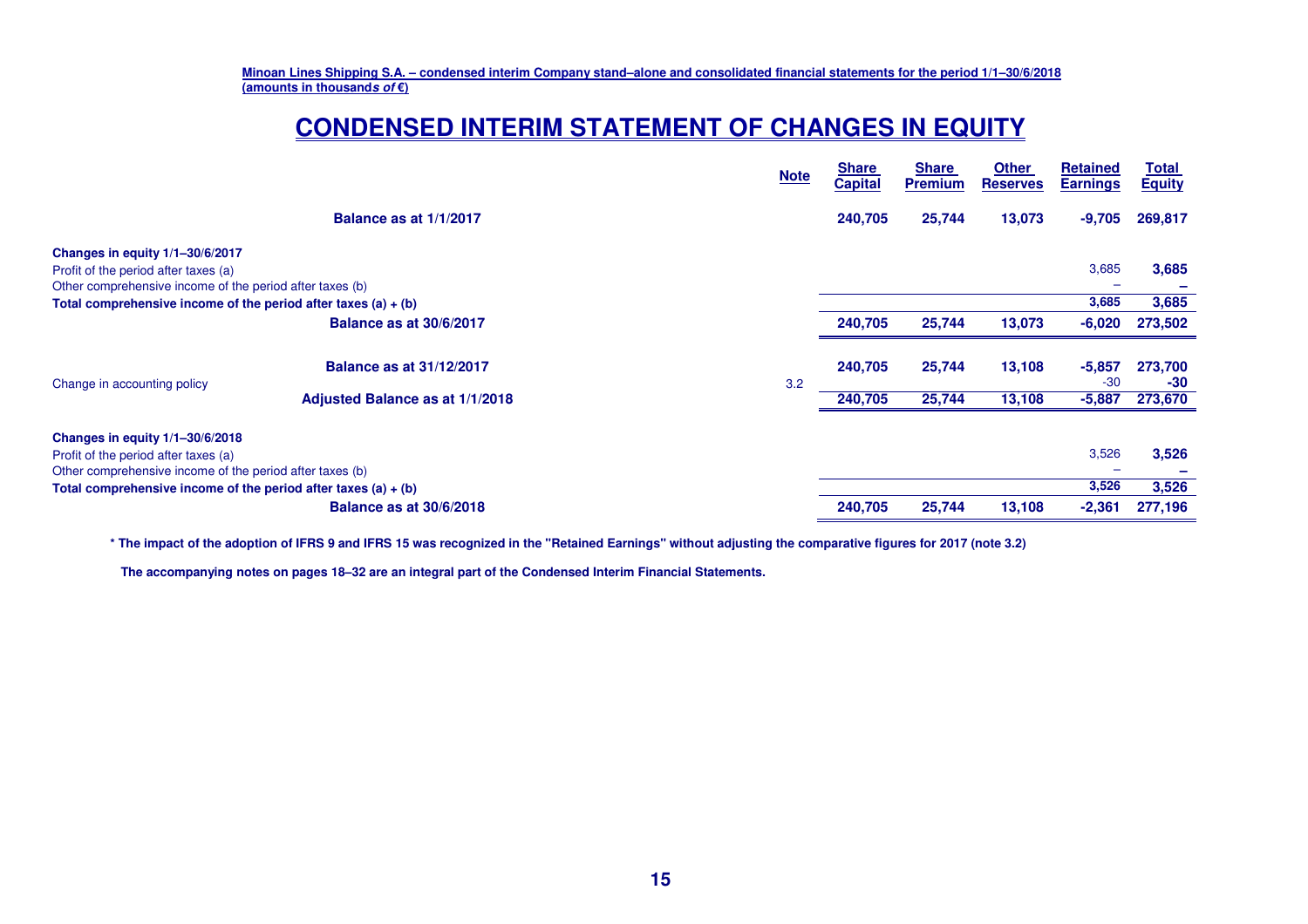# **CONDENSED INTERIM STATEMENT OF CHANGES IN EQUITY**

| <b>Note</b> | <b>Share</b><br><b>Capital</b> | <b>Share</b><br><b>Premium</b> | <b>Other</b><br><b>Reserves</b> | <b>Retained</b><br><b>Earnings</b> | <u>Total</u><br><b>Equity</b> |
|-------------|--------------------------------|--------------------------------|---------------------------------|------------------------------------|-------------------------------|
|             | 240,705                        | 25,744                         | 13,073                          | $-9,705$                           | 269,817                       |
|             |                                |                                |                                 |                                    |                               |
|             |                                |                                |                                 | 3,685                              | 3,685                         |
|             |                                |                                |                                 |                                    |                               |
|             |                                |                                |                                 | 3,685                              | 3,685                         |
|             | 240,705                        | 25,744                         | 13,073                          | $-6,020$                           | 273,502                       |
|             | 240,705                        | 25,744                         | 13,108                          | $-5,857$<br>$-30$                  | 273,700<br>-30                |
|             | 240,705                        | 25,744                         | 13,108                          | $-5,887$                           | 273,670                       |
|             |                                |                                |                                 |                                    |                               |
|             |                                |                                |                                 | 3,526                              | 3,526                         |
|             |                                |                                |                                 |                                    |                               |
|             |                                |                                |                                 | 3,526                              | 3,526                         |
|             | 240,705                        | 25,744                         | 13,108                          | $-2,361$                           | 277,196                       |
|             | 3.2                            |                                |                                 |                                    |                               |

**\* The impact of the adoption of IFRS 9 and IFRS 15 was recognized in the "Retained Earnings" without adjusting the comparative figures for 2017 (note 3.2)**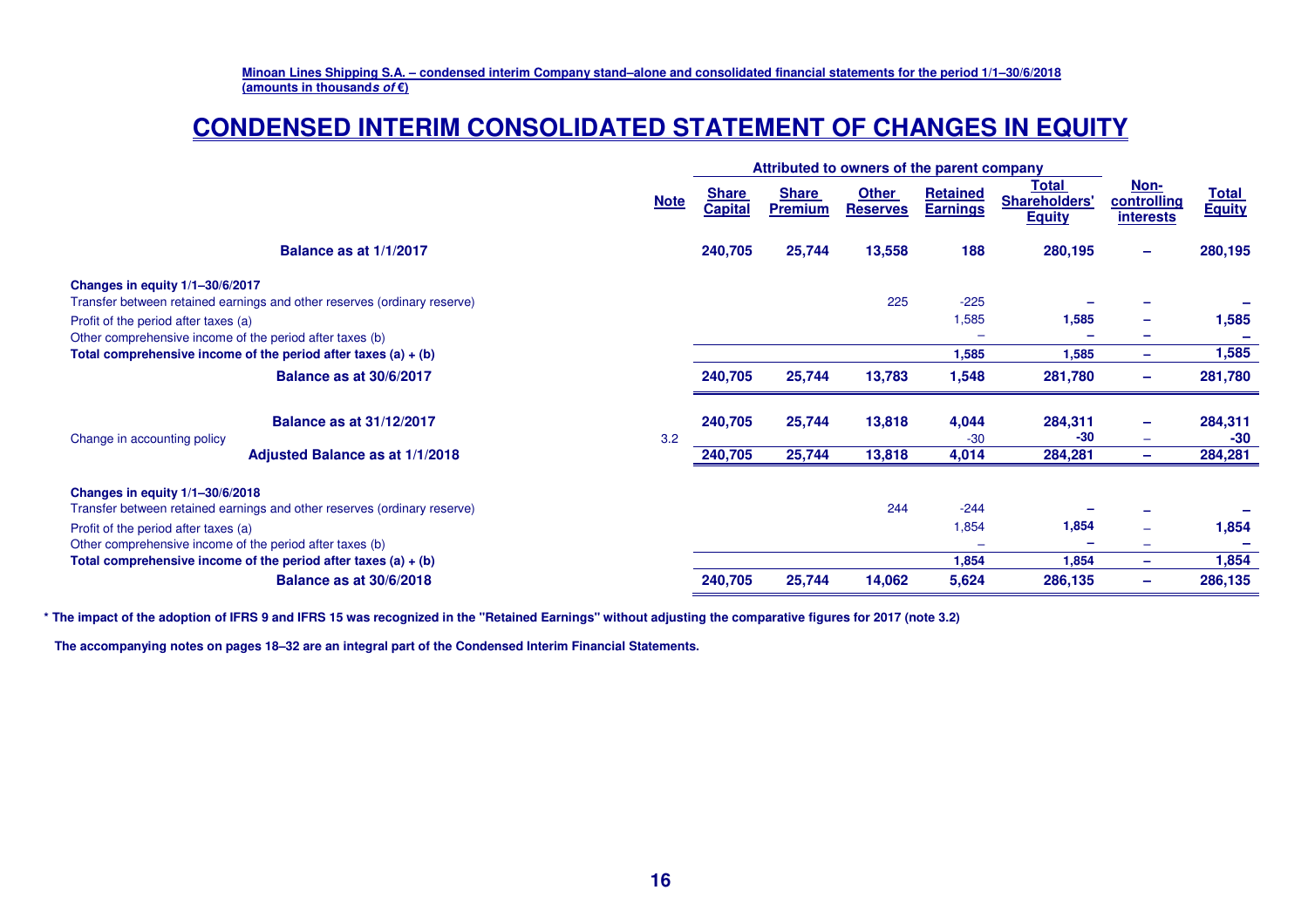# **CONDENSED INTERIM CONSOLIDATED STATEMENT OF CHANGES IN EQUITY**

|                                                                                                                              | Attributed to owners of the parent company |                                |                                |                                 |                                    |                                                |                                                |                               |
|------------------------------------------------------------------------------------------------------------------------------|--------------------------------------------|--------------------------------|--------------------------------|---------------------------------|------------------------------------|------------------------------------------------|------------------------------------------------|-------------------------------|
|                                                                                                                              | <b>Note</b>                                | <b>Share</b><br><b>Capital</b> | <b>Share</b><br><b>Premium</b> | <b>Other</b><br><b>Reserves</b> | <b>Retained</b><br><b>Earnings</b> | Total<br><b>Shareholders'</b><br><b>Equity</b> | <u>Non-</u><br>controlling<br><b>interests</b> | <b>Total</b><br><b>Equity</b> |
| Balance as at 1/1/2017                                                                                                       |                                            | 240,705                        | 25,744                         | 13,558                          | 188                                | 280,195                                        | $\qquad \qquad \blacksquare$                   | 280,195                       |
| Changes in equity 1/1-30/6/2017<br>Transfer between retained earnings and other reserves (ordinary reserve)                  |                                            |                                |                                | 225                             | $-225$                             |                                                |                                                |                               |
| Profit of the period after taxes (a)<br>Other comprehensive income of the period after taxes (b)                             |                                            |                                |                                |                                 | 1,585                              | 1,585                                          | -<br>-                                         | 1,585                         |
| Total comprehensive income of the period after taxes $(a) + (b)$                                                             |                                            |                                |                                |                                 | 1,585                              | 1,585                                          | ÷                                              | 1,585                         |
| <b>Balance as at 30/6/2017</b>                                                                                               |                                            | 240,705                        | 25,744                         | 13,783                          | 1,548                              | 281,780                                        | -                                              | 281,780                       |
| <b>Balance as at 31/12/2017</b><br>Change in accounting policy<br>Adjusted Balance as at 1/1/2018                            | 3.2                                        | 240,705                        | 25,744                         | 13,818                          | 4,044<br>$-30$                     | 284,311<br>-30                                 | ÷<br>-                                         | 284,311<br>$-30$              |
|                                                                                                                              |                                            | 240,705                        | 25,744                         | 13,818                          | 4,014                              | 284,281                                        | $\overline{\phantom{m}}$                       | 284,281                       |
| Changes in equity 1/1-30/6/2018                                                                                              |                                            |                                |                                |                                 |                                    |                                                |                                                |                               |
| Transfer between retained earnings and other reserves (ordinary reserve)                                                     |                                            |                                |                                | 244                             | $-244$                             |                                                |                                                |                               |
| Profit of the period after taxes (a)                                                                                         |                                            |                                |                                |                                 | 1,854                              | 1,854                                          | -                                              | 1,854                         |
| Other comprehensive income of the period after taxes (b)<br>Total comprehensive income of the period after taxes $(a) + (b)$ |                                            |                                |                                |                                 | 1,854                              | 1,854                                          | -<br>-                                         | 1,854                         |
| <b>Balance as at 30/6/2018</b>                                                                                               |                                            | 240,705                        | 25,744                         | 14,062                          | 5,624                              | 286,135                                        | -                                              | 286,135                       |

**\* The impact of the adoption of IFRS 9 and IFRS 15 was recognized in the "Retained Earnings" without adjusting the comparative figures for 2017 (note 3.2)**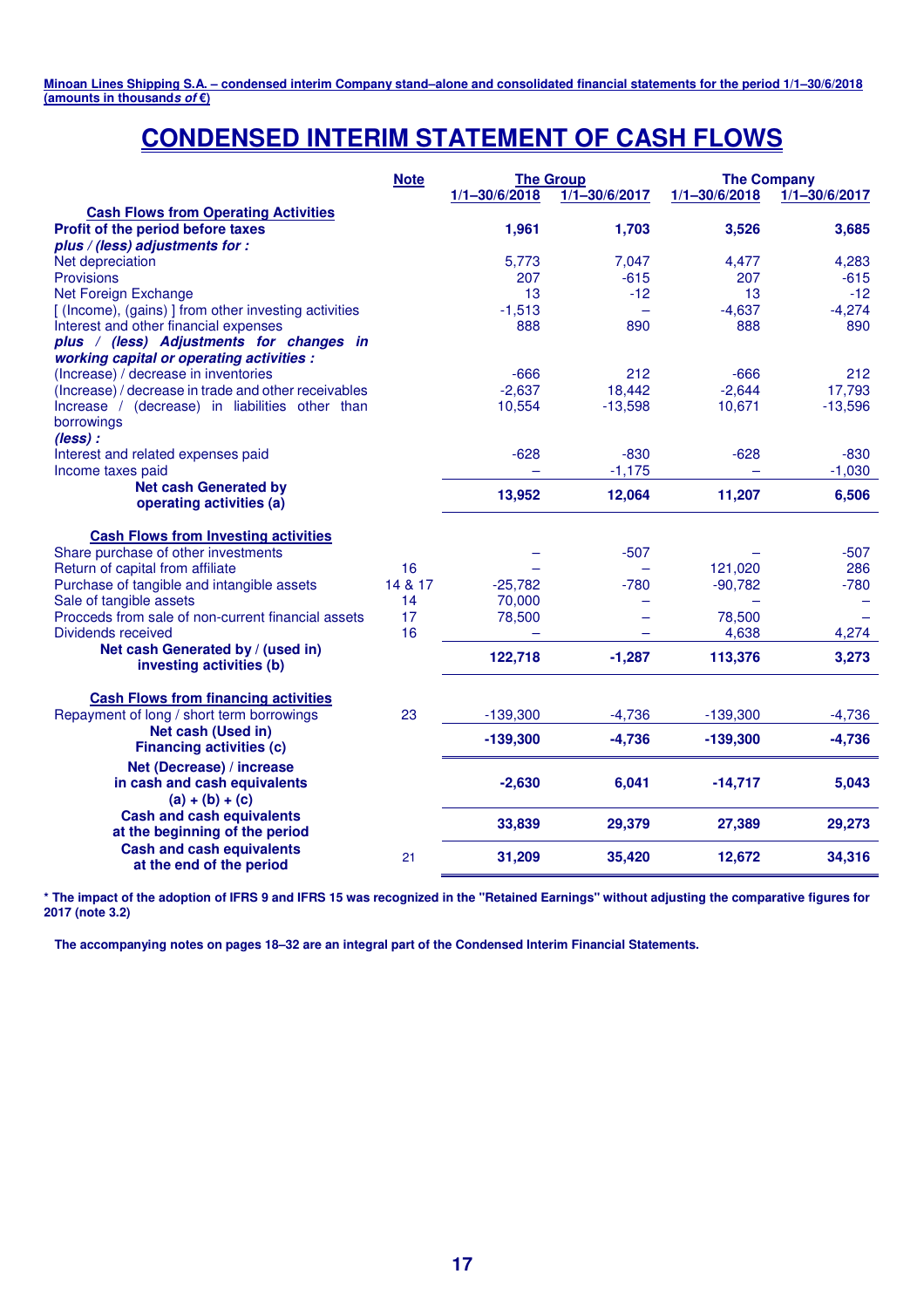# **CONDENSED INTERIM STATEMENT OF CASH FLOWS**

|                                                                                          | <b>Note</b> | $1/1 - 30/6/2018$ | <b>The Group</b><br>$1/1 - 30/6/2017$ | <b>The Company</b><br>$1/1 - 30/6/2018$ | $1/1 - 30/6/2017$ |
|------------------------------------------------------------------------------------------|-------------|-------------------|---------------------------------------|-----------------------------------------|-------------------|
| <b>Cash Flows from Operating Activities</b>                                              |             |                   |                                       |                                         |                   |
| Profit of the period before taxes                                                        |             | 1,961             | 1,703                                 | 3,526                                   | 3,685             |
| plus / (less) adjustments for :                                                          |             |                   |                                       |                                         |                   |
| Net depreciation                                                                         |             | 5,773             | 7,047                                 | 4,477                                   | 4,283             |
| <b>Provisions</b>                                                                        |             | 207               | $-615$                                | 207                                     | $-615$            |
| Net Foreign Exchange                                                                     |             | 13                | $-12$                                 | 13                                      | $-12$             |
| [ (Income), (gains) ] from other investing activities                                    |             | $-1,513$          |                                       | $-4,637$                                | $-4,274$          |
| Interest and other financial expenses                                                    |             | 888               | 890                                   | 888                                     | 890               |
| plus / (less) Adjustments for changes in<br>working capital or operating activities :    |             |                   |                                       |                                         |                   |
| (Increase) / decrease in inventories                                                     |             | $-666$            | 212                                   | $-666$                                  | 212               |
| (Increase) / decrease in trade and other receivables                                     |             | $-2,637$          | 18,442                                | $-2,644$                                | 17,793            |
| Increase / (decrease) in liabilities other than                                          |             | 10,554            | $-13,598$                             | 10,671                                  | $-13,596$         |
| borrowings                                                                               |             |                   |                                       |                                         |                   |
| $(less)$ :                                                                               |             |                   |                                       |                                         |                   |
| Interest and related expenses paid                                                       |             | $-628$            | $-830$                                | $-628$                                  | $-830$            |
| Income taxes paid                                                                        |             |                   | $-1,175$                              |                                         | $-1,030$          |
| <b>Net cash Generated by</b><br>operating activities (a)                                 |             | 13,952            | 12,064                                | 11,207                                  | 6,506             |
| <b>Cash Flows from Investing activities</b>                                              |             |                   |                                       |                                         |                   |
| Share purchase of other investments                                                      |             |                   | $-507$                                |                                         | $-507$            |
| Return of capital from affiliate                                                         | 16          |                   |                                       | 121.020                                 | 286               |
| Purchase of tangible and intangible assets                                               | 14 & 17     | $-25,782$         | $-780$                                | $-90,782$                               | $-780$            |
| Sale of tangible assets                                                                  | 14          | 70,000            |                                       |                                         |                   |
| Procceds from sale of non-current financial assets                                       | 17          | 78,500            |                                       | 78,500                                  |                   |
| <b>Dividends received</b>                                                                | 16          |                   |                                       | 4,638                                   | 4,274             |
| Net cash Generated by / (used in)<br>investing activities (b)                            |             | 122,718           | $-1,287$                              | 113,376                                 | 3,273             |
|                                                                                          |             |                   |                                       |                                         |                   |
| <b>Cash Flows from financing activities</b><br>Repayment of long / short term borrowings | 23          | $-139,300$        | $-4,736$                              | $-139,300$                              | $-4,736$          |
| Net cash (Used in)                                                                       |             | $-139,300$        | $-4,736$                              | $-139,300$                              | $-4,736$          |
| <b>Financing activities (c)</b>                                                          |             |                   |                                       |                                         |                   |
| Net (Decrease) / increase                                                                |             |                   |                                       |                                         |                   |
| in cash and cash equivalents                                                             |             | $-2,630$          | 6,041                                 | $-14,717$                               | 5,043             |
| $(a) + (b) + (c)$                                                                        |             |                   |                                       |                                         |                   |
| <b>Cash and cash equivalents</b><br>at the beginning of the period                       |             | 33,839            | 29,379                                | 27,389                                  | 29,273            |
| <b>Cash and cash equivalents</b>                                                         | 21          | 31,209            | 35,420                                | 12,672                                  | 34,316            |
| at the end of the period                                                                 |             |                   |                                       |                                         |                   |

**\* The impact of the adoption of IFRS 9 and IFRS 15 was recognized in the "Retained Earnings" without adjusting the comparative figures for 2017 (note 3.2)**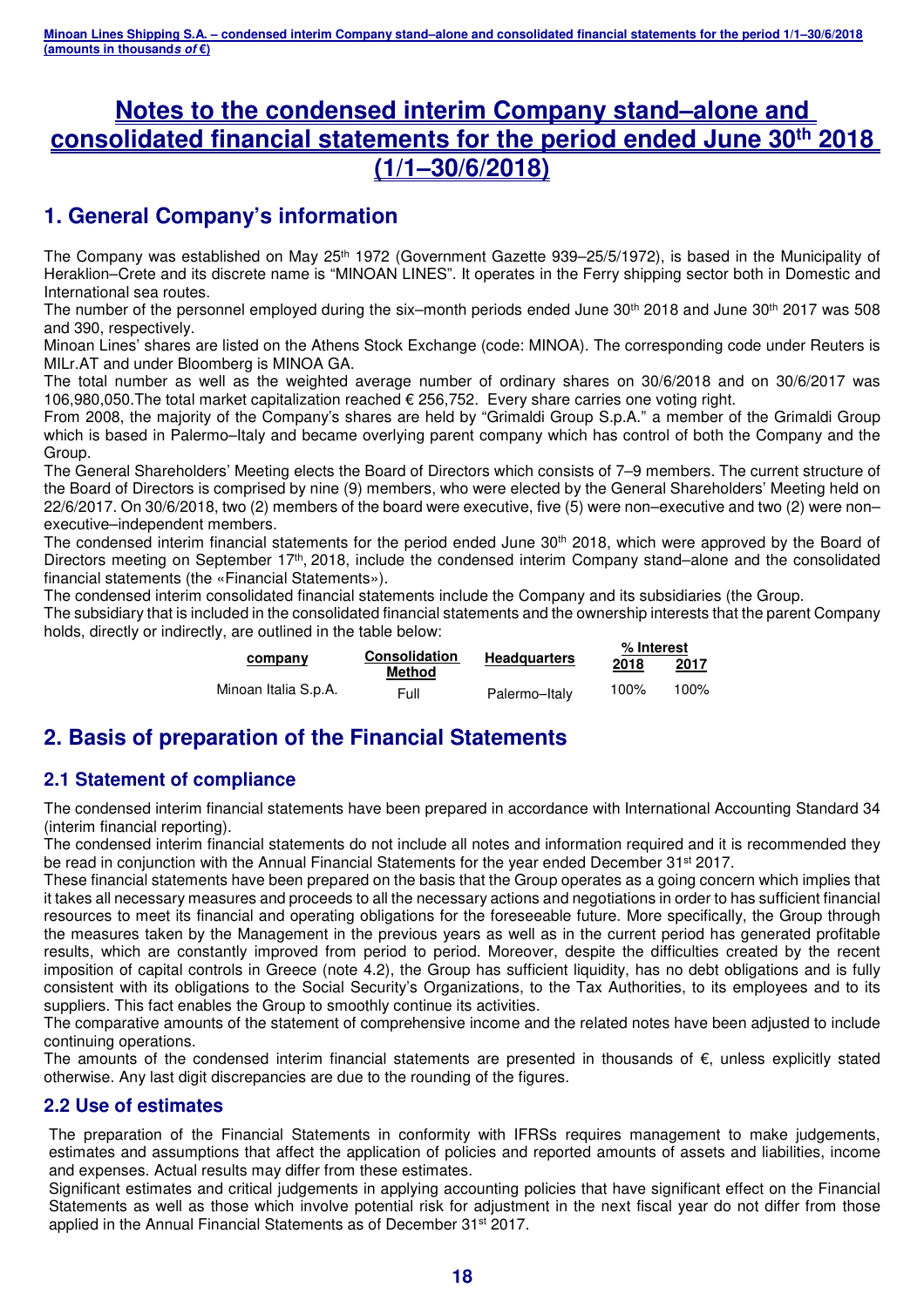# **Notes to the condensed interim Company stand–alone and consolidated financial statements for the period ended June 30th 2018 (1/1–30/6/2018)**

# **1. General Company's information**

The Company was established on May 25<sup>th</sup> 1972 (Government Gazette 939–25/5/1972), is based in the Municipality of Heraklion–Crete and its discrete name is "MINOAN LINES". It operates in the Ferry shipping sector both in Domestic and International sea routes.

The number of the personnel employed during the six–month periods ended June 30<sup>th</sup> 2018 and June 30<sup>th</sup> 2017 was 508 and 390, respectively.

Minoan Lines' shares are listed on the Athens Stock Exchange (code: MINOA). The corresponding code under Reuters is MILr.AT and under Bloomberg is MINOA GA.

The total number as well as the weighted average number of ordinary shares on 30/6/2018 and on 30/6/2017 was 106,980,050.The total market capitalization reached € 256,752. Every share carries one voting right.

From 2008, the majority of the Company's shares are held by "Grimaldi Group S.p.A." a member of the Grimaldi Group which is based in Palermo–Italy and became overlying parent company which has control of both the Company and the Group.

The General Shareholders' Meeting elects the Board of Directors which consists of 7–9 members. The current structure of the Board of Directors is comprised by nine (9) members, who were elected by the General Shareholders' Meeting held on 22/6/2017. On 30/6/2018, two (2) members of the board were executive, five (5) were non–executive and two (2) were non– executive–independent members.

The condensed interim financial statements for the period ended June 30<sup>th</sup> 2018, which were approved by the Board of Directors meeting on September 17<sup>th</sup>, 2018, include the condensed interim Company stand–alone and the consolidated financial statements (the «Financial Statements»).

The condensed interim consolidated financial statements include the Company and its subsidiaries (the Group.

The subsidiary that is included in the consolidated financial statements and the ownership interests that the parent Company holds, directly or indirectly, are outlined in the table below:

|                      | <b>Consolidation</b> |                     | % Interest |      |  |
|----------------------|----------------------|---------------------|------------|------|--|
| company              | Method               | <b>Headquarters</b> | 2018       | 2017 |  |
| Minoan Italia S.p.A. | Full                 | Palermo-Italy       | 100%       | 100% |  |

# **2. Basis of preparation of the Financial Statements**

### **2.1 Statement of compliance**

The condensed interim financial statements have been prepared in accordance with International Accounting Standard 34 (interim financial reporting).

The condensed interim financial statements do not include all notes and information required and it is recommended they be read in conjunction with the Annual Financial Statements for the year ended December 31<sup>st</sup> 2017.

These financial statements have been prepared on the basis that the Group operates as a going concern which implies that it takes all necessary measures and proceeds to all the necessary actions and negotiations in order to has sufficient financial resources to meet its financial and operating obligations for the foreseeable future. More specifically, the Group through the measures taken by the Management in the previous years as well as in the current period has generated profitable results, which are constantly improved from period to period. Moreover, despite the difficulties created by the recent imposition of capital controls in Greece (note 4.2), the Group has sufficient liquidity, has no debt obligations and is fully consistent with its obligations to the Social Security's Organizations, to the Tax Authorities, to its employees and to its suppliers. This fact enables the Group to smoothly continue its activities.

The comparative amounts of the statement of comprehensive income and the related notes have been adjusted to include continuing operations.

The amounts of the condensed interim financial statements are presented in thousands of  $\epsilon$ , unless explicitly stated otherwise. Any last digit discrepancies are due to the rounding of the figures.

#### **2.2 Use of estimates**

The preparation of the Financial Statements in conformity with IFRSs requires management to make judgements, estimates and assumptions that affect the application of policies and reported amounts of assets and liabilities, income and expenses. Actual results may differ from these estimates.

Significant estimates and critical judgements in applying accounting policies that have significant effect on the Financial Statements as well as those which involve potential risk for adjustment in the next fiscal year do not differ from those applied in the Annual Financial Statements as of December 31<sup>st</sup> 2017.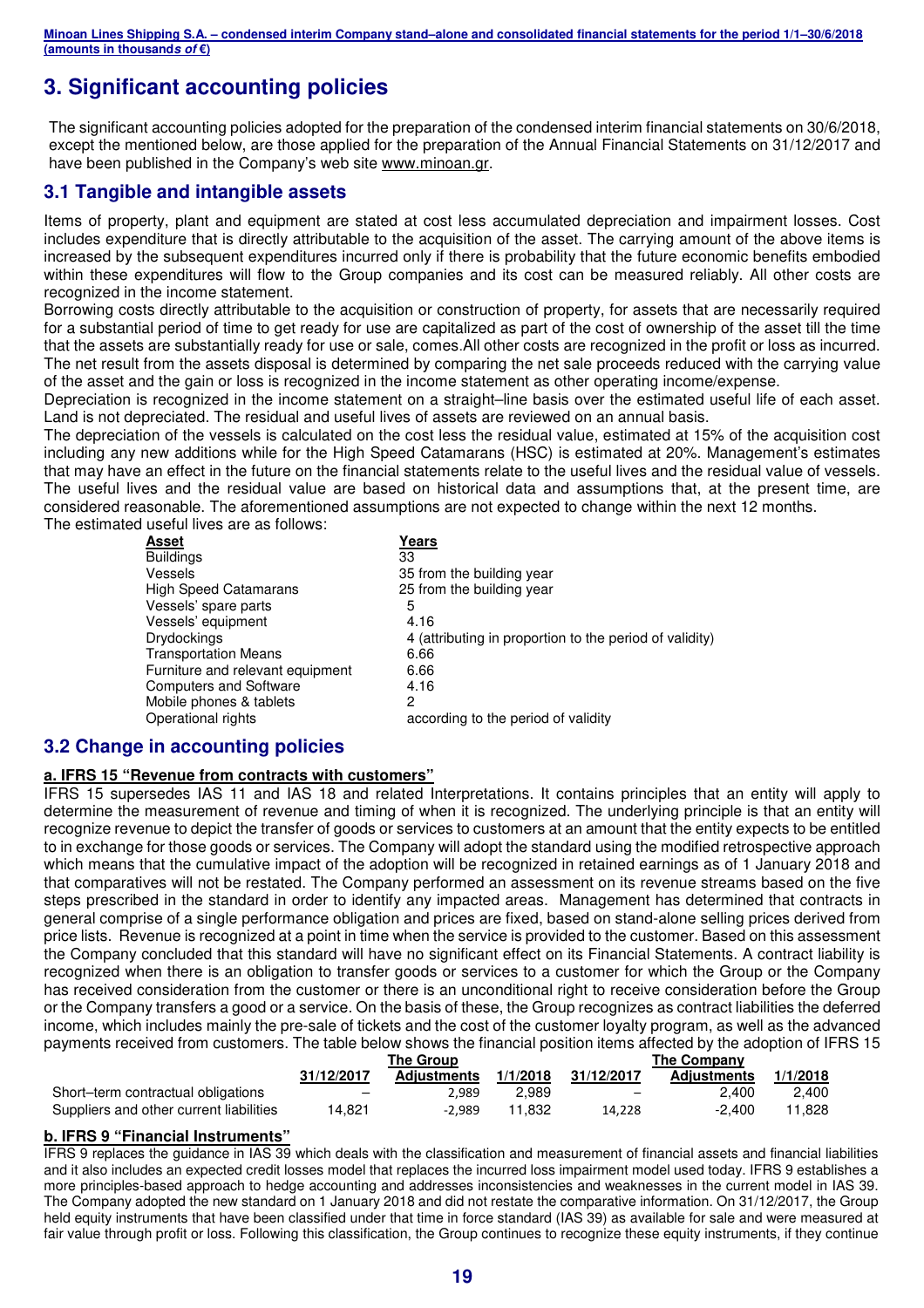# **3. Significant accounting policies**

The significant accounting policies adopted for the preparation of the condensed interim financial statements on 30/6/2018, except the mentioned below, are those applied for the preparation of the Annual Financial Statements on 31/12/2017 and have been published in the Company's web site www.minoan.gr.

### **3.1 Tangible and intangible assets**

Items of property, plant and equipment are stated at cost less accumulated depreciation and impairment losses. Cost includes expenditure that is directly attributable to the acquisition of the asset. The carrying amount of the above items is increased by the subsequent expenditures incurred only if there is probability that the future economic benefits embodied within these expenditures will flow to the Group companies and its cost can be measured reliably. All other costs are recognized in the income statement.

Borrowing costs directly attributable to the acquisition or construction of property, for assets that are necessarily required for a substantial period of time to get ready for use are capitalized as part of the cost of ownership of the asset till the time that the assets are substantially ready for use or sale, comes.All other costs are recognized in the profit or loss as incurred. The net result from the assets disposal is determined by comparing the net sale proceeds reduced with the carrying value of the asset and the gain or loss is recognized in the income statement as other operating income/expense.

Depreciation is recognized in the income statement on a straight–line basis over the estimated useful life of each asset. Land is not depreciated. The residual and useful lives of assets are reviewed on an annual basis.

The depreciation of the vessels is calculated on the cost less the residual value, estimated at 15% of the acquisition cost including any new additions while for the High Speed Catamarans (HSC) is estimated at 20%. Management's estimates that may have an effect in the future on the financial statements relate to the useful lives and the residual value of vessels. The useful lives and the residual value are based on historical data and assumptions that, at the present time, are considered reasonable. The aforementioned assumptions are not expected to change within the next 12 months. The estimated useful lives are as follows:

| Asset                            | Years                                                   |
|----------------------------------|---------------------------------------------------------|
| <b>Buildings</b>                 | 33                                                      |
| Vessels                          | 35 from the building year                               |
| <b>High Speed Catamarans</b>     | 25 from the building year                               |
| Vessels' spare parts             | 5                                                       |
| Vessels' equipment               | 4.16                                                    |
| <b>Drydockings</b>               | 4 (attributing in proportion to the period of validity) |
| <b>Transportation Means</b>      | 6.66                                                    |
| Furniture and relevant equipment | 6.66                                                    |
| <b>Computers and Software</b>    | 4.16                                                    |
| Mobile phones & tablets          | 2                                                       |
| Operational rights               | according to the period of validity                     |

#### **3.2 Change in accounting policies**

#### **a. IFRS 15 "Revenue from contracts with customers"**

IFRS 15 supersedes IAS 11 and IAS 18 and related Interpretations. It contains principles that an entity will apply to determine the measurement of revenue and timing of when it is recognized. The underlying principle is that an entity will recognize revenue to depict the transfer of goods or services to customers at an amount that the entity expects to be entitled to in exchange for those goods or services. The Company will adopt the standard using the modified retrospective approach which means that the cumulative impact of the adoption will be recognized in retained earnings as of 1 January 2018 and that comparatives will not be restated. The Company performed an assessment on its revenue streams based on the five steps prescribed in the standard in order to identify any impacted areas. Management has determined that contracts in general comprise of a single performance obligation and prices are fixed, based on stand-alone selling prices derived from price lists. Revenue is recognized at a point in time when the service is provided to the customer. Based on this assessment the Company concluded that this standard will have no significant effect on its Financial Statements. A contract liability is recognized when there is an obligation to transfer goods or services to a customer for which the Group or the Company has received consideration from the customer or there is an unconditional right to receive consideration before the Group or the Company transfers a good or a service. On the basis of these, the Group recognizes as contract liabilities the deferred income, which includes mainly the pre-sale of tickets and the cost of the customer loyalty program, as well as the advanced payments received from customers. The table below shows the financial position items affected by the adoption of IFRS 15

|                                         | The Group                |                    |          | <b>The Company</b>       |                    |          |  |
|-----------------------------------------|--------------------------|--------------------|----------|--------------------------|--------------------|----------|--|
|                                         | 31/12/2017               | <b>Adiustments</b> | 1/1/2018 | 31/12/2017               | <b>Adiustments</b> | 1/1/2018 |  |
| Short-term contractual obligations      | $\overline{\phantom{0}}$ | 2.989              | 2.989    | $\overline{\phantom{0}}$ | 2.400              | 2.400    |  |
| Suppliers and other current liabilities | 14,821                   | -2.989             | 11.832   | 14,228                   | -2.400             | 11.828   |  |

#### **b. IFRS 9 "Financial Instruments"**

IFRS 9 replaces the guidance in IAS 39 which deals with the classification and measurement of financial assets and financial liabilities and it also includes an expected credit losses model that replaces the incurred loss impairment model used today. IFRS 9 establishes a more principles-based approach to hedge accounting and addresses inconsistencies and weaknesses in the current model in IAS 39. The Company adopted the new standard on 1 January 2018 and did not restate the comparative information. On 31/12/2017, the Group held equity instruments that have been classified under that time in force standard (IAS 39) as available for sale and were measured at fair value through profit or loss. Following this classification, the Group continues to recognize these equity instruments, if they continue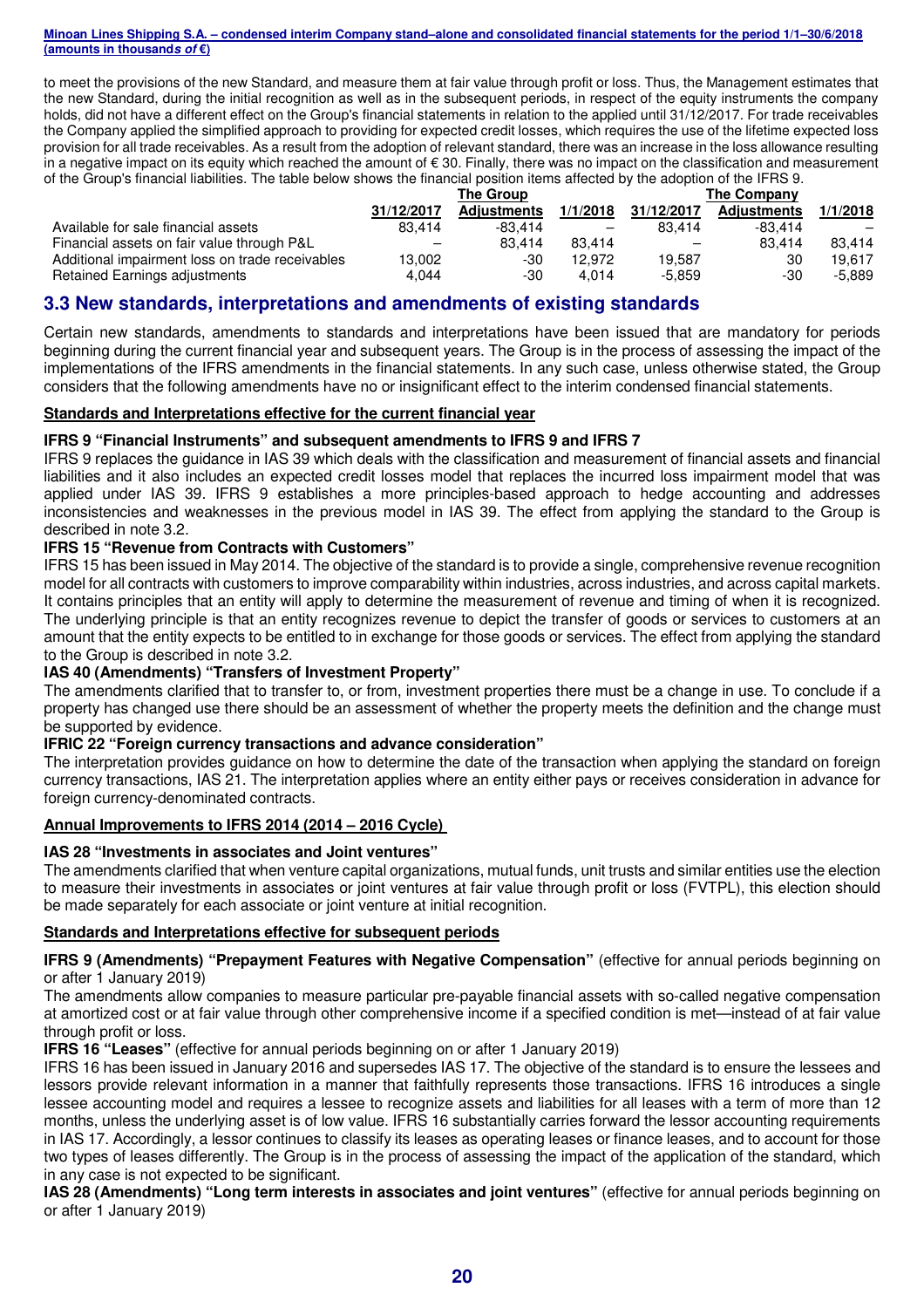to meet the provisions of the new Standard, and measure them at fair value through profit or loss. Thus, the Management estimates that the new Standard, during the initial recognition as well as in the subsequent periods, in respect of the equity instruments the company holds, did not have a different effect on the Group's financial statements in relation to the applied until 31/12/2017. For trade receivables the Company applied the simplified approach to providing for expected credit losses, which requires the use of the lifetime expected loss provision for all trade receivables. As a result from the adoption of relevant standard, there was an increase in the loss allowance resulting in a negative impact on its equity which reached the amount of € 30. Finally, there was no impact on the classification and measurement of the Group's financial liabilities. The table below shows the financial position items affected by the adoption of the IFRS 9.

|                                                 | <b>The Group</b> |                    |                          | <b>The Company</b>       |                    |          |
|-------------------------------------------------|------------------|--------------------|--------------------------|--------------------------|--------------------|----------|
|                                                 | 31/12/2017       | <b>Adiustments</b> | 1/1/2018                 | 31/12/2017               | <b>Adiustments</b> | 1/1/2018 |
| Available for sale financial assets             | 83.414           | $-83.414$          | $\overline{\phantom{m}}$ | 83.414                   | $-83.414$          |          |
| Financial assets on fair value through P&L      |                  | 83.414             | 83.414                   | $\overline{\phantom{0}}$ | 83.414             | 83.414   |
| Additional impairment loss on trade receivables | 13,002           | -30                | 12.972                   | 19.587                   | 30                 | 19.617   |
| Retained Earnings adjustments                   | 4.044            | -30                | 4.014                    | $-5.859$                 | -30                | -5.889   |

#### **3.3 New standards, interpretations and amendments of existing standards**

Certain new standards, amendments to standards and interpretations have been issued that are mandatory for periods beginning during the current financial year and subsequent years. The Group is in the process of assessing the impact of the implementations of the IFRS amendments in the financial statements. In any such case, unless otherwise stated, the Group considers that the following amendments have no or insignificant effect to the interim condensed financial statements.

#### **Standards and Interpretations effective for the current financial year**

#### **IFRS 9 "Financial Instruments" and subsequent amendments to IFRS 9 and IFRS 7**

IFRS 9 replaces the guidance in IAS 39 which deals with the classification and measurement of financial assets and financial liabilities and it also includes an expected credit losses model that replaces the incurred loss impairment model that was applied under IAS 39. IFRS 9 establishes a more principles-based approach to hedge accounting and addresses inconsistencies and weaknesses in the previous model in IAS 39. The effect from applying the standard to the Group is described in note 3.2.

#### **IFRS 15 "Revenue from Contracts with Customers"**

IFRS 15 has been issued in May 2014. The objective of the standard is to provide a single, comprehensive revenue recognition model for all contracts with customers to improve comparability within industries, across industries, and across capital markets. It contains principles that an entity will apply to determine the measurement of revenue and timing of when it is recognized. The underlying principle is that an entity recognizes revenue to depict the transfer of goods or services to customers at an amount that the entity expects to be entitled to in exchange for those goods or services. The effect from applying the standard to the Group is described in note 3.2.

#### **IAS 40 (Amendments) "Transfers of Investment Property"**

The amendments clarified that to transfer to, or from, investment properties there must be a change in use. To conclude if a property has changed use there should be an assessment of whether the property meets the definition and the change must be supported by evidence.

#### **IFRIC 22 "Foreign currency transactions and advance consideration"**

The interpretation provides guidance on how to determine the date of the transaction when applying the standard on foreign currency transactions, IAS 21. The interpretation applies where an entity either pays or receives consideration in advance for foreign currency-denominated contracts.

#### **Annual Improvements to IFRS 2014 (2014 – 2016 Cycle)**

#### **IAS 28 "Investments in associates and Joint ventures"**

The amendments clarified that when venture capital organizations, mutual funds, unit trusts and similar entities use the election to measure their investments in associates or joint ventures at fair value through profit or loss (FVTPL), this election should be made separately for each associate or joint venture at initial recognition.

#### **Standards and Interpretations effective for subsequent periods**

#### **IFRS 9 (Amendments) "Prepayment Features with Negative Compensation"** (effective for annual periods beginning on or after 1 January 2019)

The amendments allow companies to measure particular pre-payable financial assets with so-called negative compensation at amortized cost or at fair value through other comprehensive income if a specified condition is met—instead of at fair value through profit or loss.

**IFRS 16 "Leases"** (effective for annual periods beginning on or after 1 January 2019)

IFRS 16 has been issued in January 2016 and supersedes IAS 17. The objective of the standard is to ensure the lessees and lessors provide relevant information in a manner that faithfully represents those transactions. IFRS 16 introduces a single lessee accounting model and requires a lessee to recognize assets and liabilities for all leases with a term of more than 12 months, unless the underlying asset is of low value. IFRS 16 substantially carries forward the lessor accounting requirements in IAS 17. Accordingly, a lessor continues to classify its leases as operating leases or finance leases, and to account for those two types of leases differently. The Group is in the process of assessing the impact of the application of the standard, which in any case is not expected to be significant.

**IAS 28 (Amendments) "Long term interests in associates and joint ventures"** (effective for annual periods beginning on or after 1 January 2019)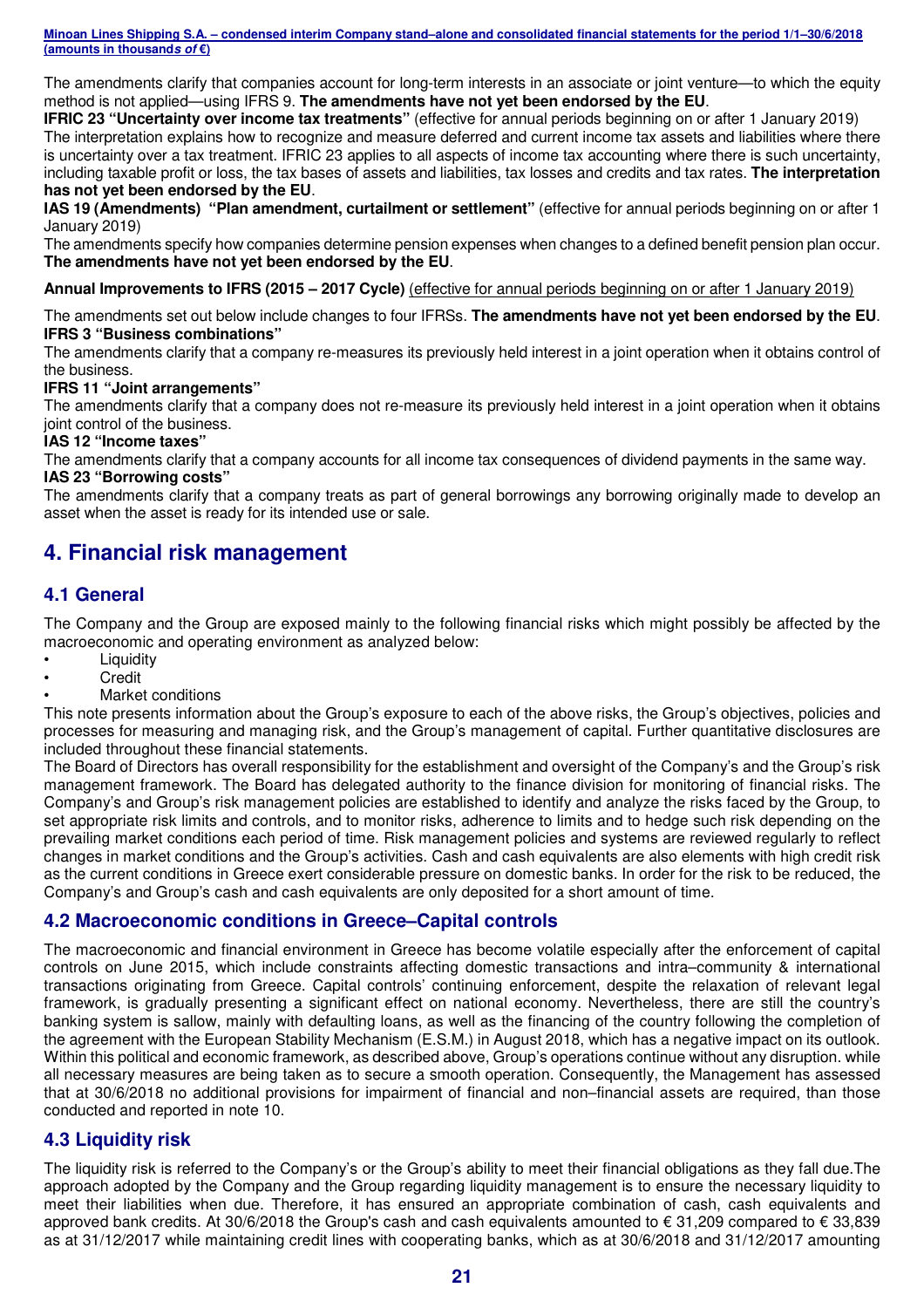The amendments clarify that companies account for long-term interests in an associate or joint venture—to which the equity method is not applied—using IFRS 9. **The amendments have not yet been endorsed by the EU**.

**IFRIC 23 "Uncertainty over income tax treatments"** (effective for annual periods beginning on or after 1 January 2019) The interpretation explains how to recognize and measure deferred and current income tax assets and liabilities where there is uncertainty over a tax treatment. IFRIC 23 applies to all aspects of income tax accounting where there is such uncertainty, including taxable profit or loss, the tax bases of assets and liabilities, tax losses and credits and tax rates. **The interpretation has not yet been endorsed by the EU**.

**IAS 19 (Amendments) "Plan amendment, curtailment or settlement"** (effective for annual periods beginning on or after 1 January 2019)

The amendments specify how companies determine pension expenses when changes to a defined benefit pension plan occur. **The amendments have not yet been endorsed by the EU**.

**Annual Improvements to IFRS (2015 – 2017 Cycle)** (effective for annual periods beginning on or after 1 January 2019)

The amendments set out below include changes to four IFRSs. **The amendments have not yet been endorsed by the EU**. **IFRS 3 "Business combinations"** 

The amendments clarify that a company re-measures its previously held interest in a joint operation when it obtains control of the business.

#### **IFRS 11 "Joint arrangements"**

The amendments clarify that a company does not re-measure its previously held interest in a joint operation when it obtains joint control of the business.

#### **IAS 12 "Income taxes"**

The amendments clarify that a company accounts for all income tax consequences of dividend payments in the same way. **IAS 23 "Borrowing costs"** 

The amendments clarify that a company treats as part of general borrowings any borrowing originally made to develop an asset when the asset is ready for its intended use or sale.

# **4. Financial risk management**

#### **4.1 General**

The Company and the Group are exposed mainly to the following financial risks which might possibly be affected by the macroeconomic and operating environment as analyzed below:

- **Liquidity**
- Credit
- Market conditions

This note presents information about the Group's exposure to each of the above risks, the Group's objectives, policies and processes for measuring and managing risk, and the Group's management of capital. Further quantitative disclosures are included throughout these financial statements.

The Board of Directors has overall responsibility for the establishment and oversight of the Company's and the Group's risk management framework. The Board has delegated authority to the finance division for monitoring of financial risks. The Company's and Group's risk management policies are established to identify and analyze the risks faced by the Group, to set appropriate risk limits and controls, and to monitor risks, adherence to limits and to hedge such risk depending on the prevailing market conditions each period of time. Risk management policies and systems are reviewed regularly to reflect changes in market conditions and the Group's activities. Cash and cash equivalents are also elements with high credit risk as the current conditions in Greece exert considerable pressure on domestic banks. In order for the risk to be reduced, the Company's and Group's cash and cash equivalents are only deposited for a short amount of time.

#### **4.2 Macroeconomic conditions in Greece–Capital controls**

The macroeconomic and financial environment in Greece has become volatile especially after the enforcement of capital controls on June 2015, which include constraints affecting domestic transactions and intra–community & international transactions originating from Greece. Capital controls' continuing enforcement, despite the relaxation of relevant legal framework, is gradually presenting a significant effect on national economy. Nevertheless, there are still the country's banking system is sallow, mainly with defaulting loans, as well as the financing of the country following the completion of the agreement with the European Stability Mechanism (E.S.M.) in August 2018, which has a negative impact on its outlook. Within this political and economic framework, as described above, Group's operations continue without any disruption. while all necessary measures are being taken as to secure a smooth operation. Consequently, the Management has assessed that at 30/6/2018 no additional provisions for impairment of financial and non–financial assets are required, than those conducted and reported in note 10.

#### **4.3 Liquidity risk**

The liquidity risk is referred to the Company's or the Group's ability to meet their financial obligations as they fall due.The approach adopted by the Company and the Group regarding liquidity management is to ensure the necessary liquidity to meet their liabilities when due. Therefore, it has ensured an appropriate combination of cash, cash equivalents and approved bank credits. At 30/6/2018 the Group's cash and cash equivalents amounted to € 31,209 compared to € 33,839 as at 31/12/2017 while maintaining credit lines with cooperating banks, which as at 30/6/2018 and 31/12/2017 amounting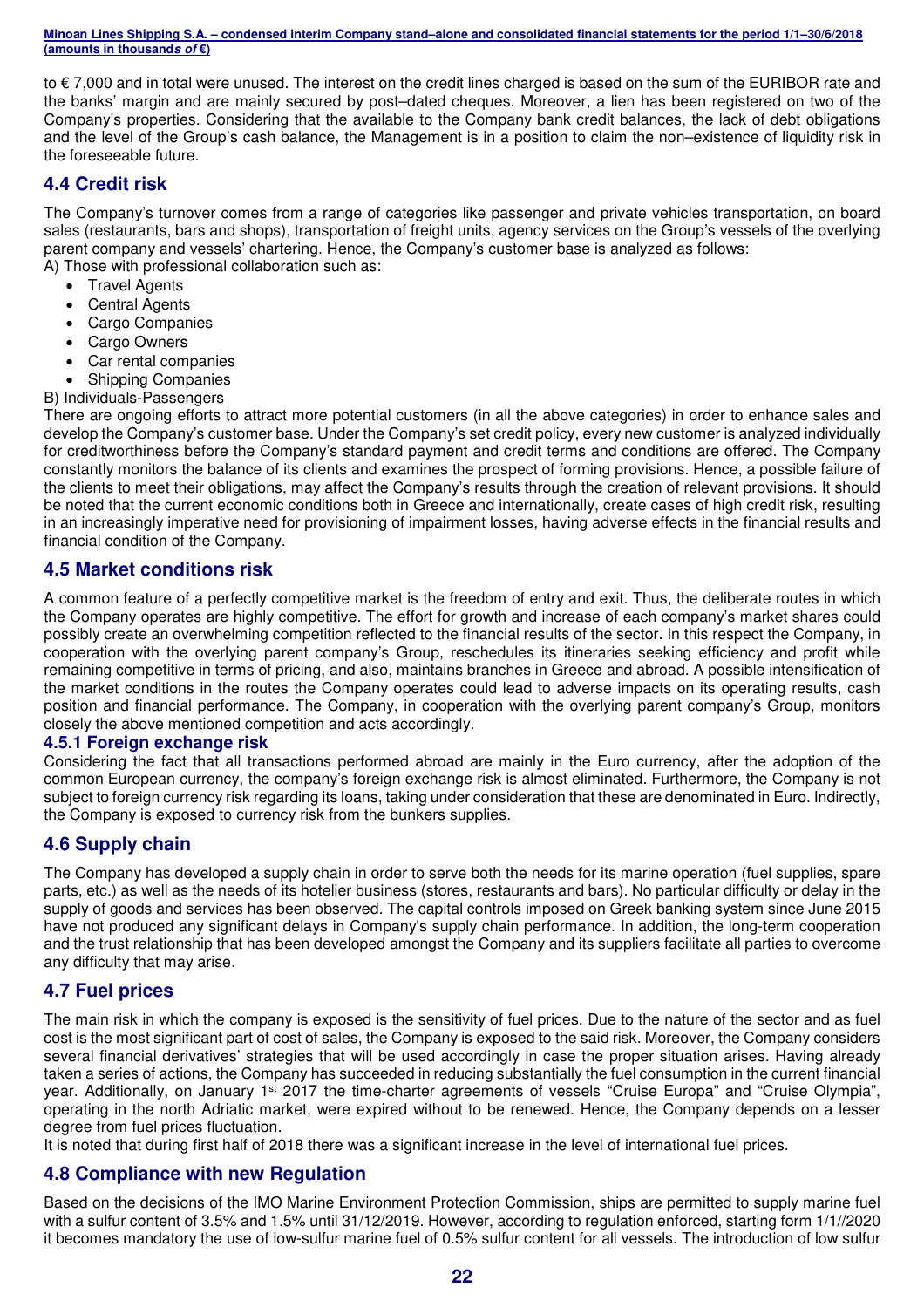to € 7,000 and in total were unused. The interest on the credit lines charged is based on the sum of the EURIBOR rate and the banks' margin and are mainly secured by post–dated cheques. Moreover, a lien has been registered on two of the Company's properties. Considering that the available to the Company bank credit balances, the lack of debt obligations and the level of the Group's cash balance, the Management is in a position to claim the non–existence of liquidity risk in the foreseeable future.

#### **4.4 Credit risk**

The Company's turnover comes from a range of categories like passenger and private vehicles transportation, on board sales (restaurants, bars and shops), transportation of freight units, agency services on the Group's vessels of the overlying parent company and vessels' chartering. Hence, the Company's customer base is analyzed as follows: A) Those with professional collaboration such as:

- Travel Agents
- Central Agents
- Cargo Companies
- Cargo Owners
- Car rental companies
- Shipping Companies
- B) Individuals-Passengers

There are ongoing efforts to attract more potential customers (in all the above categories) in order to enhance sales and develop the Company's customer base. Under the Company's set credit policy, every new customer is analyzed individually for creditworthiness before the Company's standard payment and credit terms and conditions are offered. The Company constantly monitors the balance of its clients and examines the prospect of forming provisions. Hence, a possible failure of the clients to meet their obligations, may affect the Company's results through the creation of relevant provisions. It should be noted that the current economic conditions both in Greece and internationally, create cases of high credit risk, resulting in an increasingly imperative need for provisioning of impairment losses, having adverse effects in the financial results and financial condition of the Company.

#### **4.5 Market conditions risk**

A common feature of a perfectly competitive market is the freedom of entry and exit. Thus, the deliberate routes in which the Company operates are highly competitive. The effort for growth and increase of each company's market shares could possibly create an overwhelming competition reflected to the financial results of the sector. In this respect the Company, in cooperation with the overlying parent company's Group, reschedules its itineraries seeking efficiency and profit while remaining competitive in terms of pricing, and also, maintains branches in Greece and abroad. A possible intensification of the market conditions in the routes the Company operates could lead to adverse impacts on its operating results, cash position and financial performance. The Company, in cooperation with the overlying parent company's Group, monitors closely the above mentioned competition and acts accordingly.

#### **4.5.1 Foreign exchange risk**

Considering the fact that all transactions performed abroad are mainly in the Euro currency, after the adoption of the common European currency, the company's foreign exchange risk is almost eliminated. Furthermore, the Company is not subject to foreign currency risk regarding its loans, taking under consideration that these are denominated in Euro. Indirectly, the Company is exposed to currency risk from the bunkers supplies.

#### **4.6 Supply chain**

The Company has developed a supply chain in order to serve both the needs for its marine operation (fuel supplies, spare parts, etc.) as well as the needs of its hotelier business (stores, restaurants and bars). No particular difficulty or delay in the supply of goods and services has been observed. The capital controls imposed on Greek banking system since June 2015 have not produced any significant delays in Company's supply chain performance. In addition, the long-term cooperation and the trust relationship that has been developed amongst the Company and its suppliers facilitate all parties to overcome any difficulty that may arise.

#### **4.7 Fuel prices**

The main risk in which the company is exposed is the sensitivity of fuel prices. Due to the nature of the sector and as fuel cost is the most significant part of cost of sales, the Company is exposed to the said risk. Moreover, the Company considers several financial derivatives' strategies that will be used accordingly in case the proper situation arises. Having already taken a series of actions, the Company has succeeded in reducing substantially the fuel consumption in the current financial year. Additionally, on January 1<sup>st</sup> 2017 the time-charter agreements of vessels "Cruise Europa" and "Cruise Olympia", operating in the north Adriatic market, were expired without to be renewed. Hence, the Company depends on a lesser degree from fuel prices fluctuation.

It is noted that during first half of 2018 there was a significant increase in the level of international fuel prices.

#### **4.8 Compliance with new Regulation**

Based on the decisions of the IMO Marine Environment Protection Commission, ships are permitted to supply marine fuel with a sulfur content of 3.5% and 1.5% until 31/12/2019. However, according to regulation enforced, starting form 1/1//2020 it becomes mandatory the use of low-sulfur marine fuel of 0.5% sulfur content for all vessels. The introduction of low sulfur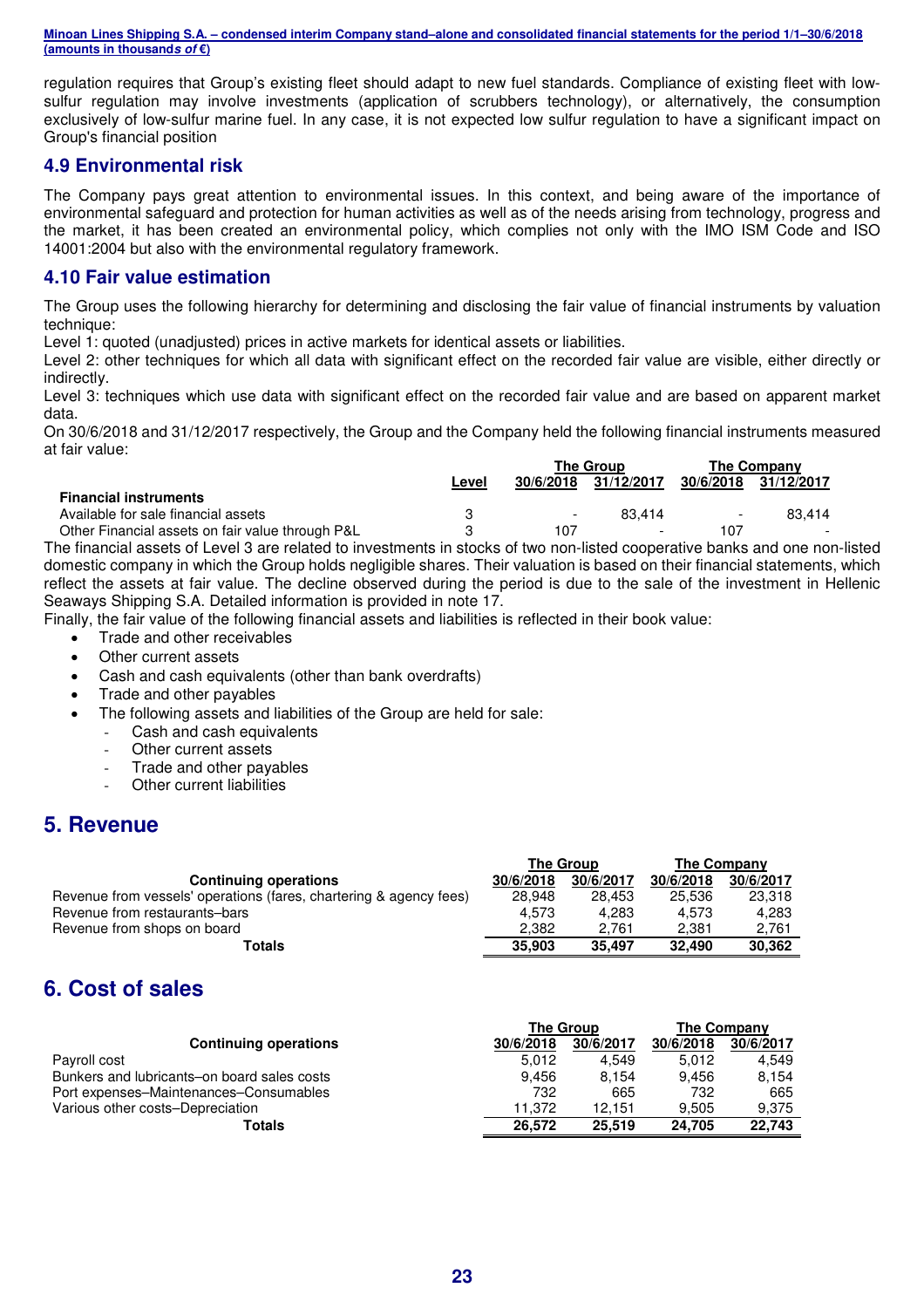regulation requires that Group's existing fleet should adapt to new fuel standards. Compliance of existing fleet with lowsulfur regulation may involve investments (application of scrubbers technology), or alternatively, the consumption exclusively of low-sulfur marine fuel. In any case, it is not expected low sulfur regulation to have a significant impact on Group's financial position

#### **4.9 Environmental risk**

The Company pays great attention to environmental issues. In this context, and being aware of the importance of environmental safeguard and protection for human activities as well as of the needs arising from technology, progress and the market, it has been created an environmental policy, which complies not only with the IMO ISM Code and ISO 14001:2004 but also with the environmental regulatory framework.

#### **4.10 Fair value estimation**

The Group uses the following hierarchy for determining and disclosing the fair value of financial instruments by valuation technique:

Level 1: quoted (unadjusted) prices in active markets for identical assets or liabilities.

Level 2: other techniques for which all data with significant effect on the recorded fair value are visible, either directly or indirectly.

Level 3: techniques which use data with significant effect on the recorded fair value and are based on apparent market data.

On 30/6/2018 and 31/12/2017 respectively, the Group and the Company held the following financial instruments measured at fair value:

|                                                  |       |                          | The Group                | <b>The Company</b>       |            |  |
|--------------------------------------------------|-------|--------------------------|--------------------------|--------------------------|------------|--|
|                                                  | Level | 30/6/2018                | 31/12/2017               | 30/6/2018                | 31/12/2017 |  |
| <b>Financial instruments</b>                     |       |                          |                          |                          |            |  |
| Available for sale financial assets              |       | $\overline{\phantom{a}}$ | 83.414                   | $\overline{\phantom{0}}$ | 83.414     |  |
| Other Financial assets on fair value through P&L |       | 107                      | $\overline{\phantom{a}}$ | 107                      |            |  |

The financial assets of Level 3 are related to investments in stocks of two non-listed cooperative banks and one non-listed domestic company in which the Group holds negligible shares. Their valuation is based on their financial statements, which reflect the assets at fair value. The decline observed during the period is due to the sale of the investment in Hellenic Seaways Shipping S.A. Detailed information is provided in note 17.

Finally, the fair value of the following financial assets and liabilities is reflected in their book value:

- Trade and other receivables
- Other current assets
- Cash and cash equivalents (other than bank overdrafts)
- Trade and other payables
- The following assets and liabilities of the Group are held for sale:
	- Cash and cash equivalents
	- Other current assets
	- Trade and other payables
	- Other current liabilities

# **5. Revenue**

|                                                                    | <b>The Group</b> |           | The Company |           |
|--------------------------------------------------------------------|------------------|-----------|-------------|-----------|
| <b>Continuing operations</b>                                       | 30/6/2018        | 30/6/2017 | 30/6/2018   | 30/6/2017 |
| Revenue from vessels' operations (fares, chartering & agency fees) | 28.948           | 28.453    | 25.536      | 23,318    |
| Revenue from restaurants-bars                                      | 4.573            | 4.283     | 4.573       | 4.283     |
| Revenue from shops on board                                        | 2.382            | 2.761     | 2.381       | 2.761     |
| Totals                                                             | 35,903           | 35.497    | 32.490      | 30.362    |

# **6. Cost of sales**

|                                             | <b>The Group</b> |           | The Company |           |
|---------------------------------------------|------------------|-----------|-------------|-----------|
| <b>Continuing operations</b>                | 30/6/2018        | 30/6/2017 | 30/6/2018   | 30/6/2017 |
| Payroll cost                                | 5.012            | 4.549     | 5.012       | 4.549     |
| Bunkers and lubricants-on board sales costs | 9.456            | 8.154     | 9.456       | 8.154     |
| Port expenses–Maintenances–Consumables      | 732              | 665       | 732         | 665       |
| Various other costs–Depreciation            | 11.372           | 12.151    | 9.505       | 9.375     |
| Totals                                      | 26.572           | 25.519    | 24.705      | 22.743    |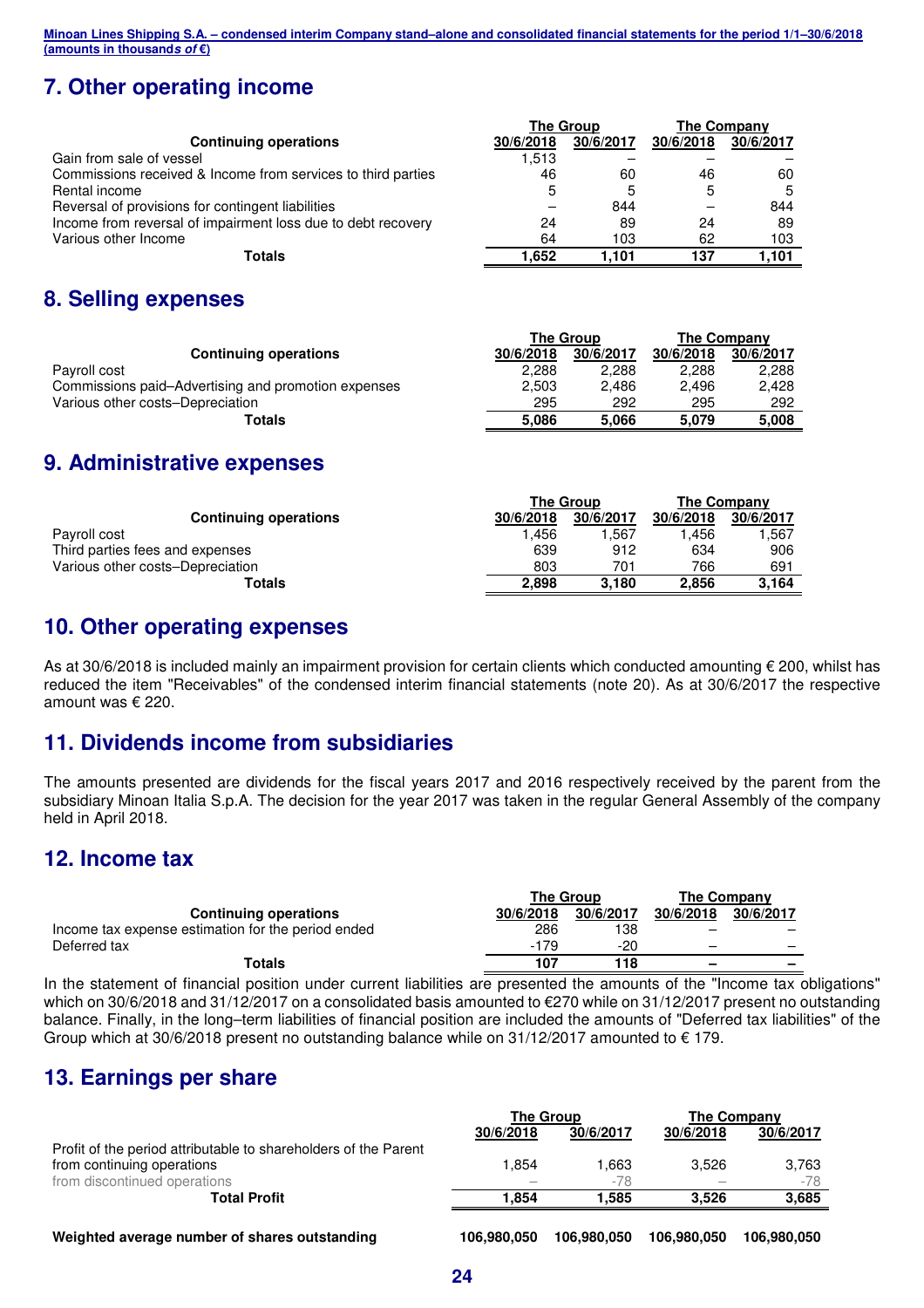# **7. Other operating income**

|                                                              |           | <b>The Group</b> | <b>The Company</b> |           |  |
|--------------------------------------------------------------|-----------|------------------|--------------------|-----------|--|
| <b>Continuing operations</b>                                 | 30/6/2018 | 30/6/2017        | 30/6/2018          | 30/6/2017 |  |
| Gain from sale of vessel                                     | 1,513     |                  |                    |           |  |
| Commissions received & Income from services to third parties | 46        | 60               | 46                 | 60        |  |
| Rental income                                                | 5         | 5                | 5                  | .5        |  |
| Reversal of provisions for contingent liabilities            |           | 844              |                    | 844       |  |
| Income from reversal of impairment loss due to debt recovery | 24        | 89               | 24                 | 89        |  |
| Various other Income                                         | 64        | 103              | 62                 | 103       |  |
| Totals                                                       | 1.652     | 1.101            | 137                | 1.101     |  |

# **8. Selling expenses**

|                                                     |           | <b>The Group</b> | The Company |           |  |
|-----------------------------------------------------|-----------|------------------|-------------|-----------|--|
| <b>Continuing operations</b>                        | 30/6/2018 | 30/6/2017        | 30/6/2018   | 30/6/2017 |  |
| Payroll cost                                        | 2.288     | 2.288            | 2.288       | 2.288     |  |
| Commissions paid–Advertising and promotion expenses | 2,503     | 2.486            | 2.496       | 2.428     |  |
| Various other costs-Depreciation                    | 295       | 292              | 295         | 292       |  |
| Totals                                              | 5.086     | 5.066            | 5.079       | 5,008     |  |
|                                                     |           |                  |             |           |  |

# **9. Administrative expenses**

|                                  | The Group |           | The Company |           |
|----------------------------------|-----------|-----------|-------------|-----------|
| <b>Continuing operations</b>     | 30/6/2018 | 30/6/2017 | 30/6/2018   | 30/6/2017 |
| Payroll cost                     | 1.456     | .567      | 1.456       | 1.567     |
| Third parties fees and expenses  | 639       | 912       | 634         | 906       |
| Various other costs-Depreciation | 803       | 701       | 766         | 691       |
| Totals                           | 2.898     | 3.180     | 2.856       | 3.164     |

# **10. Other operating expenses**

As at 30/6/2018 is included mainly an impairment provision for certain clients which conducted amounting  $\epsilon$  200, whilst has reduced the item "Receivables" of the condensed interim financial statements (note 20). As at 30/6/2017 the respective amount was € 220.

# **11. Dividends income from subsidiaries**

The amounts presented are dividends for the fiscal years 2017 and 2016 respectively received by the parent from the subsidiary Minoan Italia S.p.A. The decision for the year 2017 was taken in the regular General Assembly of the company held in April 2018.

# **12. Income tax**

|                                                    | The Group |           | <b>The Company</b> |                          |  |
|----------------------------------------------------|-----------|-----------|--------------------|--------------------------|--|
| <b>Continuing operations</b>                       | 30/6/2018 | 30/6/2017 | 30/6/2018          | 30/6/2017                |  |
| Income tax expense estimation for the period ended | 286       | 138       | -                  | $\overline{\phantom{0}}$ |  |
| Deferred tax                                       | $-179$    | $-20$     | -                  |                          |  |
| Totals                                             | 107       | 118       | -                  | $\overline{\phantom{0}}$ |  |

In the statement of financial position under current liabilities are presented the amounts of the "Income tax obligations" which on 30/6/2018 and 31/12/2017 on a consolidated basis amounted to €270 while on 31/12/2017 present no outstanding balance. Finally, in the long–term liabilities of financial position are included the amounts of "Deferred tax liabilities" of the Group which at 30/6/2018 present no outstanding balance while on 31/12/2017 amounted to  $\epsilon$  179.

# **13. Earnings per share**

|                                                                                           |             | The Company |             |  |
|-------------------------------------------------------------------------------------------|-------------|-------------|-------------|--|
| 30/6/2017<br>30/6/2018<br>Profit of the period attributable to shareholders of the Parent |             | 30/6/2018   | 30/6/2017   |  |
|                                                                                           |             |             |             |  |
| 1.854                                                                                     | 1.663       | 3.526       | 3,763       |  |
| $\qquad \qquad$                                                                           | $-78$       |             | $-78$       |  |
| 1.854                                                                                     | 1.585       | 3.526       | 3,685       |  |
|                                                                                           |             |             |             |  |
| 106.980.050                                                                               | 106.980.050 | 106.980.050 | 106.980.050 |  |
|                                                                                           |             | The Group   |             |  |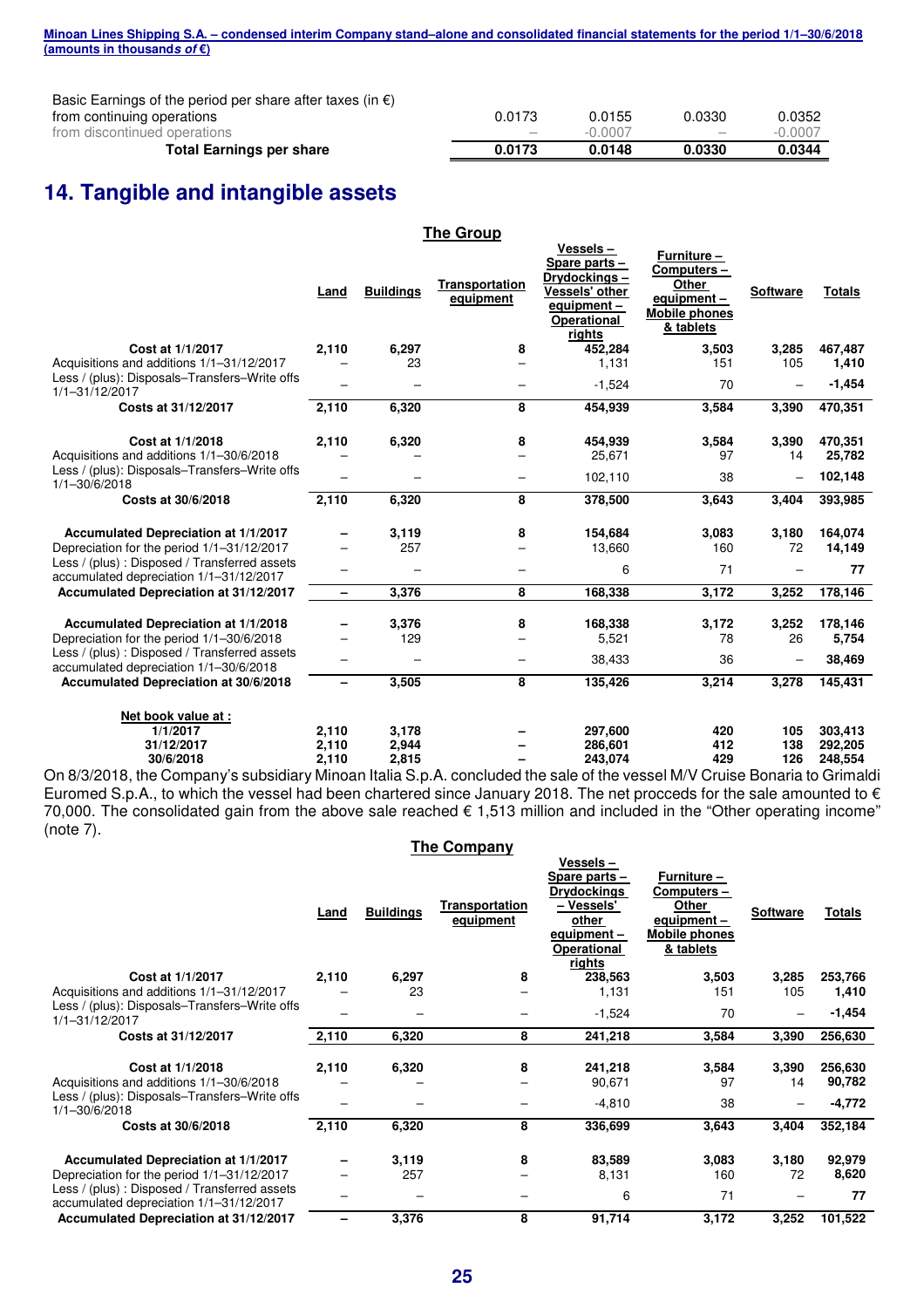| Minoan Lines Shipping S.A. – condensed interim Company stand–alone and consolidated financial statements for the period 1/1–30/6/2018 |  |  |  |
|---------------------------------------------------------------------------------------------------------------------------------------|--|--|--|
| (amounts in thousand <i>s of</i> €)                                                                                                   |  |  |  |

Basic Earnings of the period per share after taxes (in  $\epsilon$ ) from continuing operations

| Total Earnings per share     | 0.0173                   | 0.0148    | 0.0330                          | 0.0344    |
|------------------------------|--------------------------|-----------|---------------------------------|-----------|
| from discontinued operations | $\overline{\phantom{a}}$ | $-0.0007$ | $\hspace{0.1mm}-\hspace{0.1mm}$ | $-0.0007$ |
| from continuing operations   | 0.0173                   | 0.0155    | 0.0330                          | 0.0352    |

# **14. Tangible and intangible assets**

|                                                                                                               |       |                  | <b>The Group</b>            |                                                                                                           |                                                                                        |                          |                   |
|---------------------------------------------------------------------------------------------------------------|-------|------------------|-----------------------------|-----------------------------------------------------------------------------------------------------------|----------------------------------------------------------------------------------------|--------------------------|-------------------|
|                                                                                                               | Land  | <b>Buildings</b> | Transportation<br>equipment | Vessels-<br>Spare parts-<br>Drydockings –<br>Vessels' other<br>equipment-<br><b>Operational</b><br>rights | Furniture -<br>Computers-<br>Other<br>equipment -<br><b>Mobile phones</b><br>& tablets | <b>Software</b>          | <b>Totals</b>     |
| Cost at 1/1/2017                                                                                              | 2,110 | 6,297            | 8                           | 452,284                                                                                                   | 3,503                                                                                  | 3,285                    | 467,487           |
| Acquisitions and additions 1/1-31/12/2017                                                                     |       | 23               |                             | 1,131                                                                                                     | 151                                                                                    | 105                      | 1,410             |
| Less / (plus): Disposals-Transfers-Write offs<br>1/1-31/12/2017                                               |       | -                |                             | $-1,524$                                                                                                  | 70                                                                                     | $\qquad \qquad -$        | $-1,454$          |
| Costs at 31/12/2017                                                                                           | 2,110 | 6,320            | 8                           | 454,939                                                                                                   | 3,584                                                                                  | 3,390                    | 470,351           |
| Cost at 1/1/2018<br>Acquisitions and additions 1/1-30/6/2018<br>Less / (plus): Disposals-Transfers-Write offs | 2,110 | 6,320            | 8                           | 454,939<br>25,671                                                                                         | 3,584<br>97                                                                            | 3,390<br>14              | 470,351<br>25,782 |
| $1/1 - 30/6/2018$                                                                                             |       |                  | -                           | 102,110                                                                                                   | 38                                                                                     | $\overline{\phantom{0}}$ | 102,148           |
| Costs at 30/6/2018                                                                                            | 2,110 | 6,320            | 8                           | 378,500                                                                                                   | 3,643                                                                                  | 3,404                    | 393,985           |
| Accumulated Depreciation at 1/1/2017<br>Depreciation for the period 1/1-31/12/2017                            |       | 3,119<br>257     | 8<br>-                      | 154,684<br>13,660                                                                                         | 3,083<br>160                                                                           | 3,180<br>72              | 164,074<br>14,149 |
| Less / (plus) : Disposed / Transferred assets<br>accumulated depreciation 1/1-31/12/2017                      |       |                  |                             | 6                                                                                                         | 71                                                                                     |                          | 77                |
| Accumulated Depreciation at 31/12/2017                                                                        | -     | 3,376            | 8                           | 168,338                                                                                                   | 3,172                                                                                  | 3,252                    | 178,146           |
| Accumulated Depreciation at 1/1/2018<br>Depreciation for the period 1/1-30/6/2018                             |       | 3,376<br>129     | 8                           | 168,338<br>5,521                                                                                          | 3,172<br>78                                                                            | 3,252<br>26              | 178,146<br>5,754  |
| Less / (plus) : Disposed / Transferred assets<br>accumulated depreciation 1/1-30/6/2018                       |       |                  | -                           | 38,433                                                                                                    | 36                                                                                     | $\overline{\phantom{0}}$ | 38,469            |
| Accumulated Depreciation at 30/6/2018                                                                         |       | 3,505            | 8                           | 135,426                                                                                                   | 3,214                                                                                  | 3,278                    | 145,431           |
| Net book value at :<br>1/1/2017                                                                               | 2,110 | 3,178            |                             | 297,600                                                                                                   | 420                                                                                    | 105                      | 303,413           |
| 31/12/2017                                                                                                    | 2,110 | 2,944            |                             | 286,601                                                                                                   | 412                                                                                    | 138                      | 292.205           |
| 30/6/2018                                                                                                     | 2,110 | 2,815            |                             | 243,074                                                                                                   | 429                                                                                    | 126                      | 248,554           |

On 8/3/2018, the Company's subsidiary Minoan Italia S.p.A. concluded the sale of the vessel M/V Cruise Bonaria to Grimaldi Euromed S.p.A., to which the vessel had been chartered since January 2018. The net procceds for the sale amounted to  $\epsilon$ 70,000. The consolidated gain from the above sale reached € 1,513 million and included in the "Other operating income" (note 7). **The Company** 

|                                                                                                                                                                                |       |                  | THE COMPANY                 |                                                                                                                        |                                                                                        |                  |                             |
|--------------------------------------------------------------------------------------------------------------------------------------------------------------------------------|-------|------------------|-----------------------------|------------------------------------------------------------------------------------------------------------------------|----------------------------------------------------------------------------------------|------------------|-----------------------------|
|                                                                                                                                                                                | Land  | <b>Buildings</b> | Transportation<br>equipment | Vessels –<br>Spare parts –<br><b>Drydockings</b><br>- Vessels'<br>other<br>equipment –<br><b>Operational</b><br>rights | Furniture -<br>Computers-<br>Other<br>equipment -<br><b>Mobile phones</b><br>& tablets | <b>Software</b>  | Totals                      |
| Cost at 1/1/2017                                                                                                                                                               | 2,110 | 6,297            | 8                           | 238,563                                                                                                                | 3,503                                                                                  | 3,285            | 253,766                     |
| Acquisitions and additions 1/1-31/12/2017                                                                                                                                      |       | 23               |                             | 1,131                                                                                                                  | 151                                                                                    | 105              | 1,410                       |
| Less / (plus): Disposals–Transfers–Write offs<br>1/1-31/12/2017                                                                                                                |       |                  |                             | $-1,524$                                                                                                               | 70                                                                                     | —                | $-1,454$                    |
| Costs at 31/12/2017                                                                                                                                                            | 2,110 | 6,320            | 8                           | 241,218                                                                                                                | 3,584                                                                                  | 3,390            | 256,630                     |
| Cost at 1/1/2018<br>Acquisitions and additions 1/1-30/6/2018<br>Less / (plus): Disposals–Transfers–Write offs<br>$1/1 - 30/6/2018$                                             | 2,110 | 6,320            | 8                           | 241,218<br>90,671<br>$-4,810$                                                                                          | 3,584<br>97<br>38                                                                      | 3,390<br>14<br>- | 256,630<br>90,782<br>-4,772 |
| Costs at 30/6/2018                                                                                                                                                             | 2,110 | 6,320            | 8                           | 336,699                                                                                                                | 3,643                                                                                  | 3,404            | 352,184                     |
| Accumulated Depreciation at 1/1/2017<br>Depreciation for the period 1/1-31/12/2017<br>Less / (plus) : Disposed / Transferred assets<br>accumulated depreciation 1/1-31/12/2017 |       | 3,119<br>257     | 8                           | 83,589<br>8,131<br>6                                                                                                   | 3,083<br>160<br>71                                                                     | 3,180<br>72      | 92,979<br>8,620<br>77       |
| Accumulated Depreciation at 31/12/2017                                                                                                                                         |       | 3,376            | 8                           | 91,714                                                                                                                 | 3,172                                                                                  | 3,252            | 101,522                     |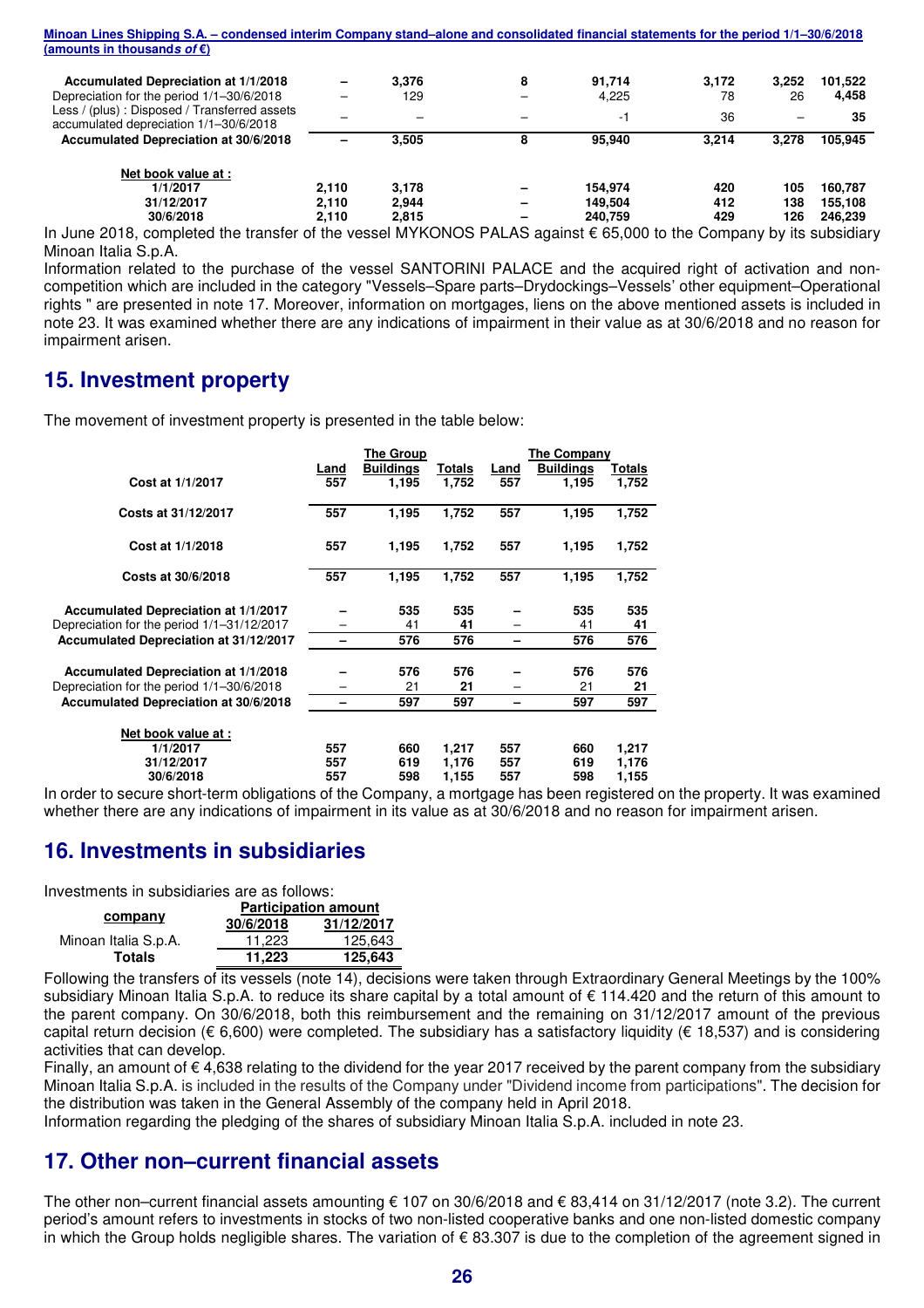| Minoan Lines Shipping S.A. – condensed interim Company stand–alone and consolidated financial statements for the period 1/1–30/6/2018 |       |       |   |         |       |       |         |
|---------------------------------------------------------------------------------------------------------------------------------------|-------|-------|---|---------|-------|-------|---------|
| (amounts in thousands of $\varepsilon$ )                                                                                              |       |       |   |         |       |       |         |
| Accumulated Depreciation at 1/1/2018                                                                                                  |       | 3.376 | 8 | 91.714  | 3,172 | 3,252 | 101,522 |
| Depreciation for the period 1/1-30/6/2018                                                                                             |       | 129   |   | 4.225   | 78    | 26    | 4,458   |
| Less / (plus): Disposed / Transferred assets<br>accumulated depreciation 1/1-30/6/2018                                                |       |       |   | -1      | 36    |       | 35      |
| Accumulated Depreciation at 30/6/2018                                                                                                 |       | 3.505 | 8 | 95,940  | 3.214 | 3.278 | 105,945 |
| Net book value at :                                                                                                                   |       |       |   |         |       |       |         |
| 1/1/2017                                                                                                                              | 2.110 | 3.178 |   | 154.974 | 420   | 105   | 160.787 |
| 31/12/2017                                                                                                                            | 2.110 | 2.944 |   | 149.504 | 412   | 138   | 155.108 |
| 30/6/2018                                                                                                                             | 2.110 | 2.815 |   | 240.759 | 429   | 126   | 246.239 |
| In June 2018, completed the transfer of the vessel MYKONOS PALAS against $\epsilon$ 65,000 to the Company by its subsidiar            |       |       |   |         |       |       |         |

In June 2018, completed the transfer of the vessel MYKONOS PALAS against € 65,000 to the Company by its subsidiary Minoan Italia S.p.A.

Information related to the purchase of the vessel SANTORINI PALACE and the acquired right of activation and noncompetition which are included in the category "Vessels–Spare parts–Drydockings–Vessels' other equipment–Operational rights " are presented in note 17. Moreover, information on mortgages, liens on the above mentioned assets is included in note 23. It was examined whether there are any indications of impairment in their value as at 30/6/2018 and no reason for impairment arisen.

# **15. Investment property**

The movement of investment property is presented in the table below:

|                                            | <b>The Group</b> |                  |        | The Company |                  |        |  |
|--------------------------------------------|------------------|------------------|--------|-------------|------------------|--------|--|
|                                            | Land             | <b>Buildings</b> | Totals | Land        | <b>Buildings</b> | Totals |  |
| Cost at 1/1/2017                           | 557              | 1,195            | 1,752  | 557         | 1,195            | 1,752  |  |
| Costs at 31/12/2017                        | 557              | 1,195            | 1,752  | 557         | 1,195            | 1,752  |  |
| Cost at 1/1/2018                           | 557              | 1,195            | 1,752  | 557         | 1,195            | 1,752  |  |
| Costs at 30/6/2018                         | 557              | 1,195            | 1,752  | 557         | 1,195            | 1,752  |  |
| Accumulated Depreciation at 1/1/2017       |                  | 535              | 535    |             | 535              | 535    |  |
| Depreciation for the period 1/1-31/12/2017 |                  | 41               | 41     |             | 41               | 41     |  |
| Accumulated Depreciation at 31/12/2017     |                  | 576              | 576    | -           | 576              | 576    |  |
| Accumulated Depreciation at 1/1/2018       |                  | 576              | 576    |             | 576              | 576    |  |
| Depreciation for the period 1/1-30/6/2018  |                  | 21               | 21     |             | 21               | 21     |  |
| Accumulated Depreciation at 30/6/2018      |                  | 597              | 597    |             | 597              | 597    |  |
| Net book value at :                        |                  |                  |        |             |                  |        |  |
| 1/1/2017                                   | 557              | 660              | 1,217  | 557         | 660              | 1,217  |  |
| 31/12/2017                                 | 557              | 619              | 1,176  | 557         | 619              | 1,176  |  |
| 30/6/2018                                  | 557              | 598              | 1,155  | 557         | 598              | 1,155  |  |

In order to secure short-term obligations of the Company, a mortgage has been registered on the property. It was examined whether there are any indications of impairment in its value as at 30/6/2018 and no reason for impairment arisen.

# **16. Investments in subsidiaries**

Investments in subsidiaries are as follows:

|                      | <b>Participation amount</b> |            |  |  |
|----------------------|-----------------------------|------------|--|--|
| company              | 30/6/2018                   | 31/12/2017 |  |  |
| Minoan Italia S.p.A. | 11.223                      | 125.643    |  |  |
| Totals               | 11.223                      | 125,643    |  |  |

Following the transfers of its vessels (note 14), decisions were taken through Extraordinary General Meetings by the 100% subsidiary Minoan Italia S.p.A. to reduce its share capital by a total amount of € 114.420 and the return of this amount to the parent company. On 30/6/2018, both this reimbursement and the remaining on 31/12/2017 amount of the previous capital return decision (€ 6,600) were completed. The subsidiary has a satisfactory liquidity (€ 18,537) and is considering activities that can develop.

Finally, an amount of € 4,638 relating to the dividend for the year 2017 received by the parent company from the subsidiary Minoan Italia S.p.A. is included in the results of the Company under "Dividend income from participations". The decision for the distribution was taken in the General Assembly of the company held in April 2018.

Information regarding the pledging of the shares of subsidiary Minoan Italia S.p.A. included in note 23.

# **17. Other non–current financial assets**

The other non–current financial assets amounting € 107 on 30/6/2018 and € 83,414 on 31/12/2017 (note 3.2). The current period's amount refers to investments in stocks of two non-listed cooperative banks and one non-listed domestic company in which the Group holds negligible shares. The variation of  $\epsilon$  83.307 is due to the completion of the agreement signed in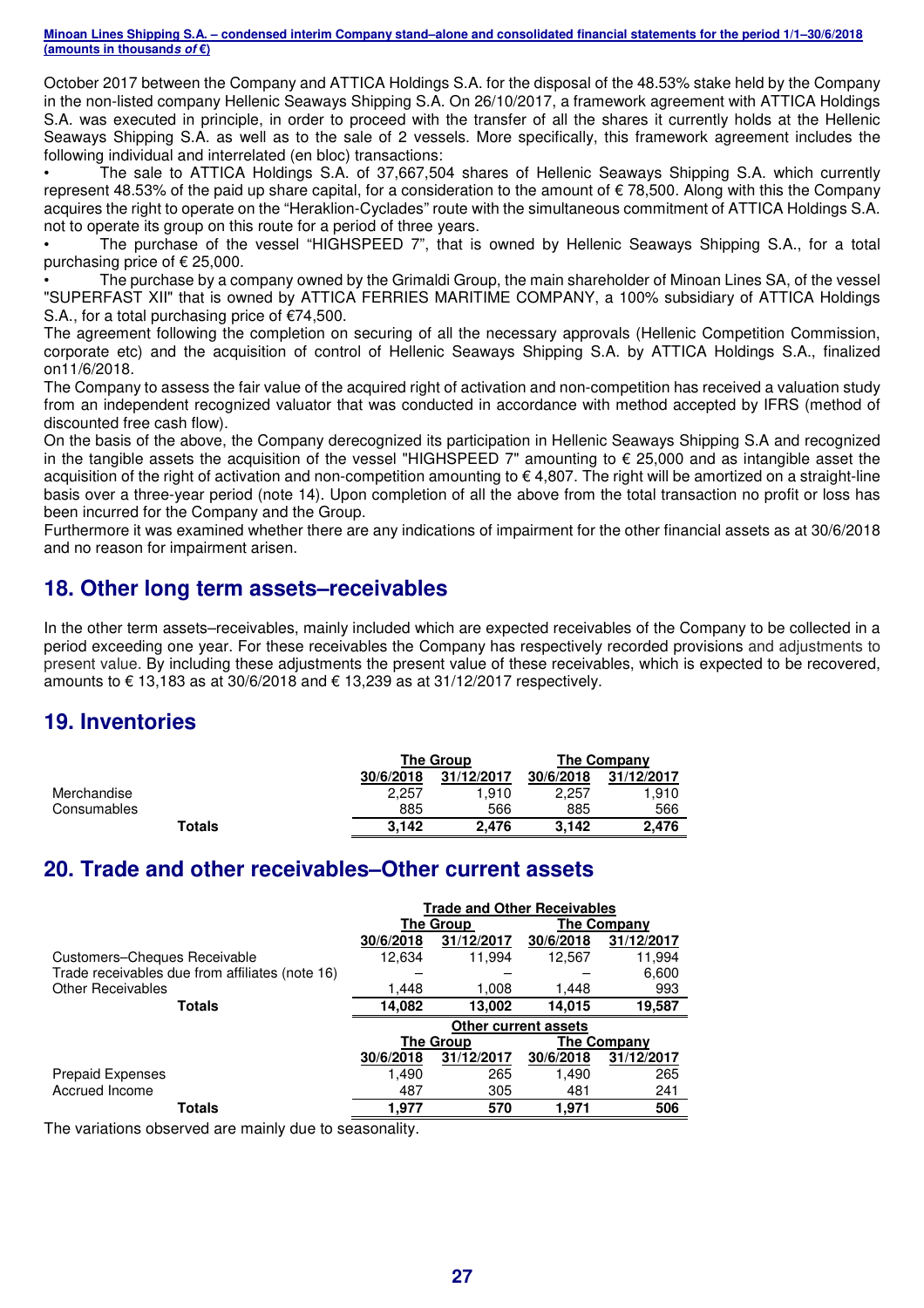October 2017 between the Company and ATTICA Holdings S.A. for the disposal of the 48.53% stake held by the Company in the non-listed company Hellenic Seaways Shipping S.A. On 26/10/2017, a framework agreement with ATTICA Holdings S.A. was executed in principle, in order to proceed with the transfer of all the shares it currently holds at the Hellenic Seaways Shipping S.A. as well as to the sale of 2 vessels. More specifically, this framework agreement includes the following individual and interrelated (en bloc) transactions:

• The sale to ATTICA Holdings S.A. of 37,667,504 shares of Hellenic Seaways Shipping S.A. which currently represent 48.53% of the paid up share capital, for a consideration to the amount of  $\epsilon$  78,500. Along with this the Company acquires the right to operate on the "Heraklion-Cyclades" route with the simultaneous commitment of ATTICA Holdings S.A. not to operate its group on this route for a period of three years.

• The purchase of the vessel "HIGHSPEED 7", that is owned by Hellenic Seaways Shipping S.A., for a total purchasing price of € 25,000.

• The purchase by a company owned by the Grimaldi Group, the main shareholder of Minoan Lines SA, of the vessel "SUPERFAST XII" that is owned by ATTICA FERRIES MARITIME COMPANY, a 100% subsidiary of ATTICA Holdings S.A., for a total purchasing price of €74,500.

The agreement following the completion on securing of all the necessary approvals (Hellenic Competition Commission, corporate etc) and the acquisition of control of Hellenic Seaways Shipping S.A. by ATTICA Holdings S.A., finalized on11/6/2018.

The Company to assess the fair value of the acquired right of activation and non-competition has received a valuation study from an independent recognized valuator that was conducted in accordance with method accepted by IFRS (method of discounted free cash flow).

On the basis of the above, the Company derecognized its participation in Hellenic Seaways Shipping S.A and recognized in the tangible assets the acquisition of the vessel "HIGHSPEED 7" amounting to € 25,000 and as intangible asset the acquisition of the right of activation and non-competition amounting to € 4,807. The right will be amortized on a straight-line basis over a three-year period (note 14). Upon completion of all the above from the total transaction no profit or loss has been incurred for the Company and the Group.

Furthermore it was examined whether there are any indications of impairment for the other financial assets as at 30/6/2018 and no reason for impairment arisen.

# **18. Other long term assets–receivables**

In the other term assets–receivables, mainly included which are expected receivables of the Company to be collected in a period exceeding one year. For these receivables the Company has respectively recorded provisions and adjustments to present value. By including these adjustments the present value of these receivables, which is expected to be recovered, amounts to € 13,183 as at 30/6/2018 and € 13,239 as at 31/12/2017 respectively.

# **19. Inventories**

|             |           | <b>The Group</b> | The Company |            |  |
|-------------|-----------|------------------|-------------|------------|--|
|             | 30/6/2018 | 31/12/2017       | 30/6/2018   | 31/12/2017 |  |
| Merchandise | 2.257     | 1.910            | 2.257       | 1.910      |  |
| Consumables | 885       | 566              | 885         | 566        |  |
| Totals      | 3.142     | 2.476            | 3,142       | 2.476      |  |

# **20. Trade and other receivables–Other current assets**

|                                                 | <b>Trade and Other Receivables</b> |                             |           |                    |  |
|-------------------------------------------------|------------------------------------|-----------------------------|-----------|--------------------|--|
|                                                 |                                    | The Group                   |           | <b>The Company</b> |  |
|                                                 | 30/6/2018                          | 31/12/2017                  | 30/6/2018 | 31/12/2017         |  |
| Customers-Cheques Receivable                    | 12,634                             | 11,994                      | 12,567    | 11,994             |  |
| Trade receivables due from affiliates (note 16) |                                    |                             |           | 6,600              |  |
| <b>Other Receivables</b>                        | 1,448                              | 1,008                       | 1,448     | 993                |  |
| Totals                                          | 14,082                             | 13,002                      | 14.015    | 19,587             |  |
|                                                 |                                    | <b>Other current assets</b> |           |                    |  |
|                                                 |                                    | <b>The Group</b>            |           | The Company        |  |
|                                                 | 30/6/2018                          | 31/12/2017                  | 30/6/2018 | 31/12/2017         |  |
| <b>Prepaid Expenses</b>                         | 1,490                              | 265                         | 1,490     | 265                |  |
| Accrued Income                                  | 487                                | 305                         | 481       | 241                |  |
| Totals                                          | 1.977                              | 570                         | 1,971     | 506                |  |

The variations observed are mainly due to seasonality.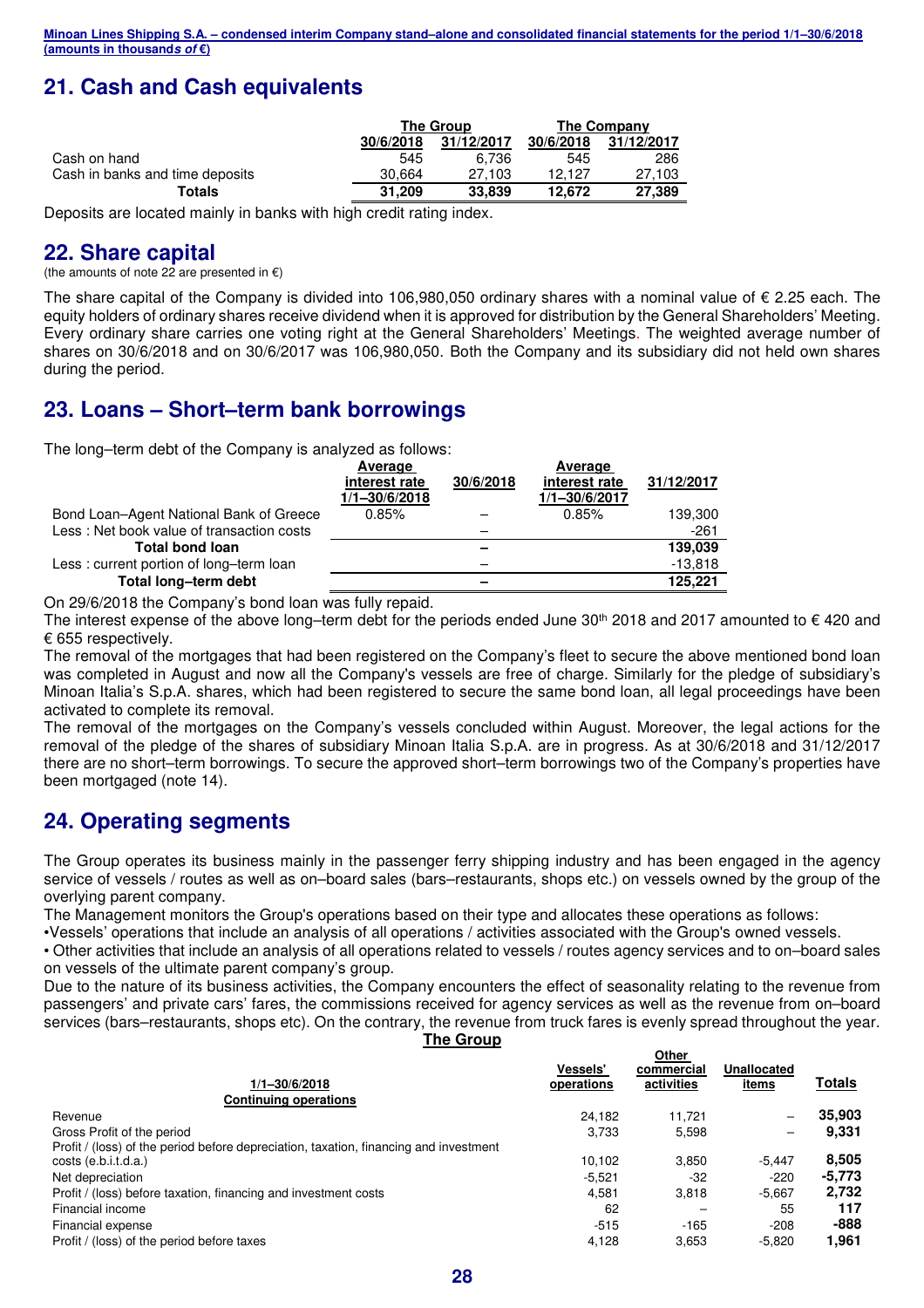# **21. Cash and Cash equivalents**

|                                 |           | The Group  | The Company |            |  |
|---------------------------------|-----------|------------|-------------|------------|--|
|                                 | 30/6/2018 | 31/12/2017 | 30/6/2018   | 31/12/2017 |  |
| Cash on hand                    | 545       | 6.736      | 545         | 286        |  |
| Cash in banks and time deposits | 30.664    | 27.103     | 12.127      | 27.103     |  |
| Totals                          | 31.209    | 33.839     | 12.672      | 27,389     |  |
|                                 |           |            |             |            |  |

Deposits are located mainly in banks with high credit rating index.

# **22. Share capital**

(the amounts of note 22 are presented in  $\epsilon$ )

The share capital of the Company is divided into 106,980,050 ordinary shares with a nominal value of € 2.25 each. The equity holders of ordinary shares receive dividend when it is approved for distribution by the General Shareholders' Meeting. Every ordinary share carries one voting right at the General Shareholders' Meetings. The weighted average number of shares on 30/6/2018 and on 30/6/2017 was 106,980,050. Both the Company and its subsidiary did not held own shares during the period.

# **23. Loans – Short–term bank borrowings**

The long–term debt of the Company is analyzed as follows:

|                                           | Average           |           | Average       |            |
|-------------------------------------------|-------------------|-----------|---------------|------------|
|                                           | interest rate     | 30/6/2018 | interest rate | 31/12/2017 |
|                                           | $1/1 - 30/6/2018$ |           | 1/1-30/6/2017 |            |
| Bond Loan-Agent National Bank of Greece   | 0.85%             |           | 0.85%         | 139,300    |
| Less: Net book value of transaction costs |                   |           |               | $-261$     |
| <b>Total bond loan</b>                    |                   |           |               | 139,039    |
| Less: current portion of long-term loan   |                   |           |               | $-13,818$  |
| Total long-term debt                      |                   |           |               | 125,221    |

On 29/6/2018 the Company's bond loan was fully repaid.

The interest expense of the above long–term debt for the periods ended June 30<sup>th</sup> 2018 and 2017 amounted to  $\epsilon$  420 and € 655 respectively.

The removal of the mortgages that had been registered on the Company's fleet to secure the above mentioned bond loan was completed in August and now all the Company's vessels are free of charge. Similarly for the pledge of subsidiary's Minoan Italia's S.p.A. shares, which had been registered to secure the same bond loan, all legal proceedings have been activated to complete its removal.

The removal of the mortgages on the Company's vessels concluded within August. Moreover, the legal actions for the removal of the pledge of the shares of subsidiary Minoan Italia S.p.Α. are in progress. As at 30/6/2018 and 31/12/2017 there are no short–term borrowings. To secure the approved short–term borrowings two of the Company's properties have been mortgaged (note 14).

# **24. Operating segments**

The Group operates its business mainly in the passenger ferry shipping industry and has been engaged in the agency service of vessels / routes as well as on–board sales (bars–restaurants, shops etc.) on vessels owned by the group of the overlying parent company.

The Management monitors the Group's operations based on their type and allocates these operations as follows:

•Vessels' operations that include an analysis of all operations / activities associated with the Group's owned vessels.

• Other activities that include an analysis of all operations related to vessels / routes agency services and to on–board sales on vessels of the ultimate parent company's group.

Due to the nature of its business activities, the Company encounters the effect of seasonality relating to the revenue from passengers' and private cars' fares, the commissions received for agency services as well as the revenue from on–board services (bars–restaurants, shops etc). On the contrary, the revenue from truck fares is evenly spread throughout the year.

**The Group** 

**Other** 

|                                                                                       | <b>Vessels'</b> | <b>VUIT</b><br>commercial | Unallocated              |        |
|---------------------------------------------------------------------------------------|-----------------|---------------------------|--------------------------|--------|
| $1/1 - 30/6/2018$                                                                     | operations      | activities                | items                    | Totals |
| <b>Continuing operations</b>                                                          |                 |                           |                          |        |
| Revenue                                                                               | 24.182          | 11.721                    | $\overline{\phantom{0}}$ | 35.903 |
| Gross Profit of the period                                                            | 3.733           | 5,598                     | -                        | 9.331  |
| Profit / (loss) of the period before depreciation, taxation, financing and investment |                 |                           |                          |        |
| costs (e.b.i.t.d.a.)                                                                  | 10.102          | 3,850                     | $-5.447$                 | 8,505  |
| Net depreciation                                                                      | $-5,521$        | -32                       | $-220$                   | -5,773 |
| Profit / (loss) before taxation, financing and investment costs                       | 4.581           | 3.818                     | $-5.667$                 | 2,732  |
| Financial income                                                                      | 62              |                           | 55                       | 117    |
| Financial expense                                                                     | $-515$          | $-165$                    | $-208$                   | $-888$ |
| Profit / (loss) of the period before taxes                                            | 4,128           | 3,653                     | $-5,820$                 | 1,961  |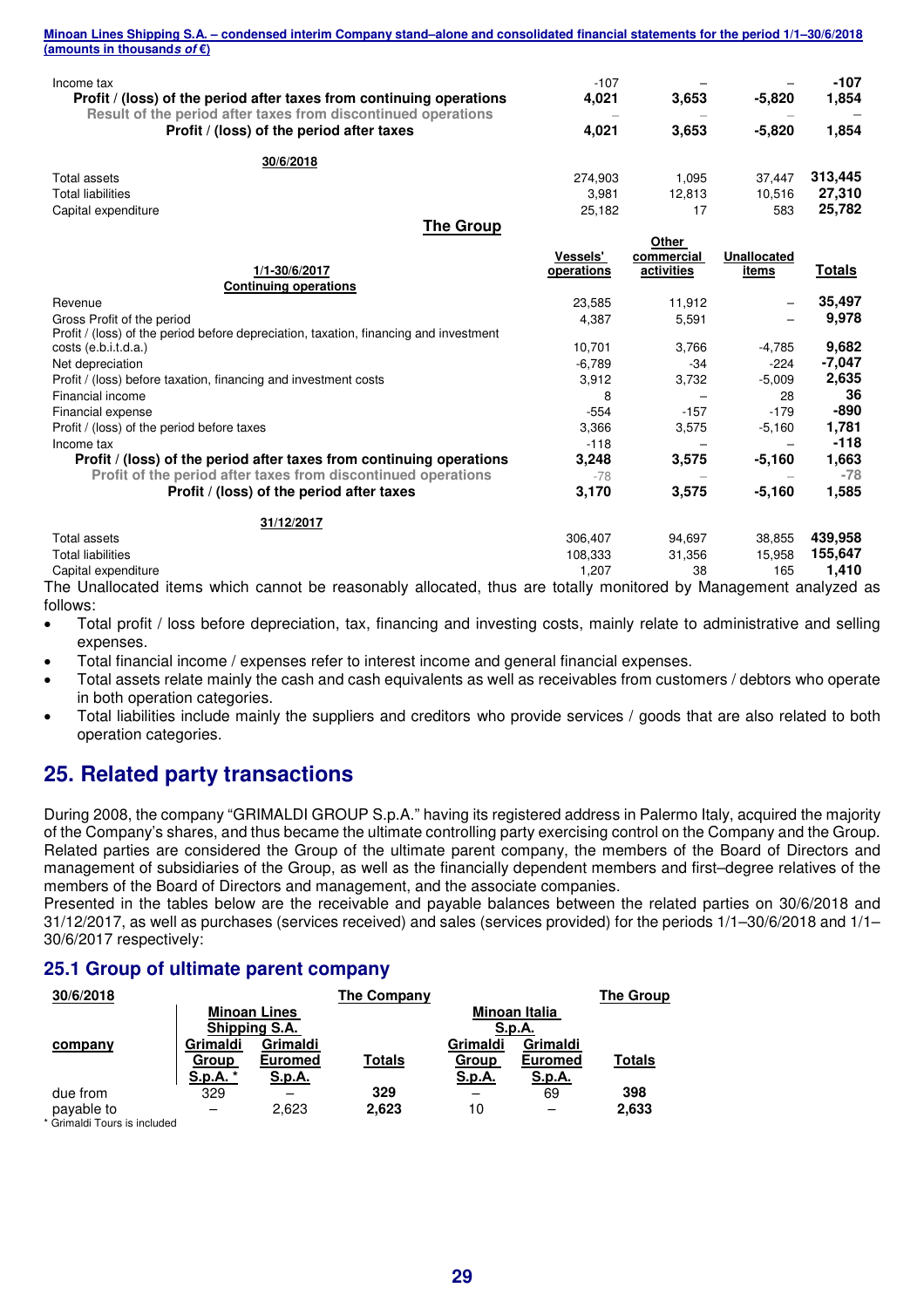| Income tax<br>Profit / (loss) of the period after taxes from continuing operations<br>Result of the period after taxes from discontinued operations | $-107$<br>4,021 | 3,653      | $-5,820$           | $-107$<br>1,854 |
|-----------------------------------------------------------------------------------------------------------------------------------------------------|-----------------|------------|--------------------|-----------------|
| Profit / (loss) of the period after taxes                                                                                                           | 4.021           | 3.653      | $-5.820$           | 1,854           |
| 30/6/2018                                                                                                                                           |                 |            |                    |                 |
| Total assets                                                                                                                                        | 274,903         | 1,095      | 37,447             | 313,445         |
| <b>Total liabilities</b>                                                                                                                            | 3.981           | 12.813     | 10.516             | 27,310          |
| Capital expenditure                                                                                                                                 | 25,182          | 17         | 583                | 25,782          |
| <b>The Group</b>                                                                                                                                    |                 |            |                    |                 |
|                                                                                                                                                     |                 | Other      |                    |                 |
|                                                                                                                                                     | <b>Vessels'</b> | commercial | <b>Unallocated</b> |                 |
| 1/1-30/6/2017                                                                                                                                       | operations      | activities | items              | <b>Totals</b>   |
| <b>Continuing operations</b>                                                                                                                        |                 |            |                    |                 |
| Revenue                                                                                                                                             | 23,585          | 11,912     |                    | 35,497          |
| Gross Profit of the period                                                                                                                          | 4.387           | 5,591      |                    | 9,978           |
| Profit / (loss) of the period before depreciation, taxation, financing and investment                                                               |                 |            |                    |                 |
| costs (e.b.i.t.d.a.)                                                                                                                                | 10,701          | 3.766      | $-4,785$           | 9,682           |
| Net depreciation                                                                                                                                    | $-6.789$        | $-34$      | $-224$             | $-7,047$        |
| Profit / (loss) before taxation, financing and investment costs                                                                                     | 3,912           | 3,732      | $-5.009$           | 2,635           |
| Financial income                                                                                                                                    | 8               |            | 28                 | 36              |
| Financial expense                                                                                                                                   | $-554$          | $-157$     | $-179$             | -890            |
| Profit / (loss) of the period before taxes                                                                                                          | 3,366           | 3,575      | $-5,160$           | 1,781           |
| Income tax                                                                                                                                          | $-118$          |            |                    | $-118$          |
| Profit / (loss) of the period after taxes from continuing operations                                                                                | 3,248           | 3,575      | $-5,160$           | 1,663           |
| Profit of the period after taxes from discontinued operations                                                                                       | $-78$           |            |                    | $-78$           |
| Profit / (loss) of the period after taxes                                                                                                           | 3,170           | 3,575      | $-5,160$           | 1,585           |
| 31/12/2017                                                                                                                                          |                 |            |                    |                 |

Total liabilities 108,333 31,356 15,958 **155,647** Capital expenditure 1,207 38 165 **1,410** The Unallocated items which cannot be reasonably allocated, thus are totally monitored by Management analyzed as

Total assets 306,407 94,697 38,855 **439,958**

follows:

- Total profit / loss before depreciation, tax, financing and investing costs, mainly relate to administrative and selling expenses.
- Total financial income / expenses refer to interest income and general financial expenses.
- Total assets relate mainly the cash and cash equivalents as well as receivables from customers / debtors who operate in both operation categories.
- Total liabilities include mainly the suppliers and creditors who provide services / goods that are also related to both operation categories.

# **25. Related party transactions**

During 2008, the company "GRIMALDI GROUP S.p.A." having its registered address in Palermo Italy, acquired the majority of the Company's shares, and thus became the ultimate controlling party exercising control on the Company and the Group. Related parties are considered the Group of the ultimate parent company, the members of the Board of Directors and management of subsidiaries of the Group, as well as the financially dependent members and first–degree relatives of the members of the Board of Directors and management, and the associate companies.

Presented in the tables below are the receivable and payable balances between the related parties on 30/6/2018 and 31/12/2017, as well as purchases (services received) and sales (services provided) for the periods 1/1–30/6/2018 and 1/1– 30/6/2017 respectively:

#### **25.1 Group of ultimate parent company**

| 30/6/2018                   |                                 |                                             | <b>The Company</b> |                                    |                                             | <b>The Group</b> |
|-----------------------------|---------------------------------|---------------------------------------------|--------------------|------------------------------------|---------------------------------------------|------------------|
|                             |                                 | <b>Minoan Lines</b><br>Shipping S.A.        |                    |                                    | Minoan Italia<br>S.p.A.                     |                  |
| company                     | Grimaldi<br>Group<br>S.p.A. $*$ | Grimaldi<br><b>Euromed</b><br><u>S.p.A.</u> | <b>Totals</b>      | Grimaldi<br>Group<br><u>S.p.A.</u> | Grimaldi<br><b>Euromed</b><br><u>S.p.A.</u> | <b>Totals</b>    |
| due from<br>payable to<br>. | 329                             | 2.623                                       | 329<br>2,623       | 10                                 | 69                                          | 398<br>2,633     |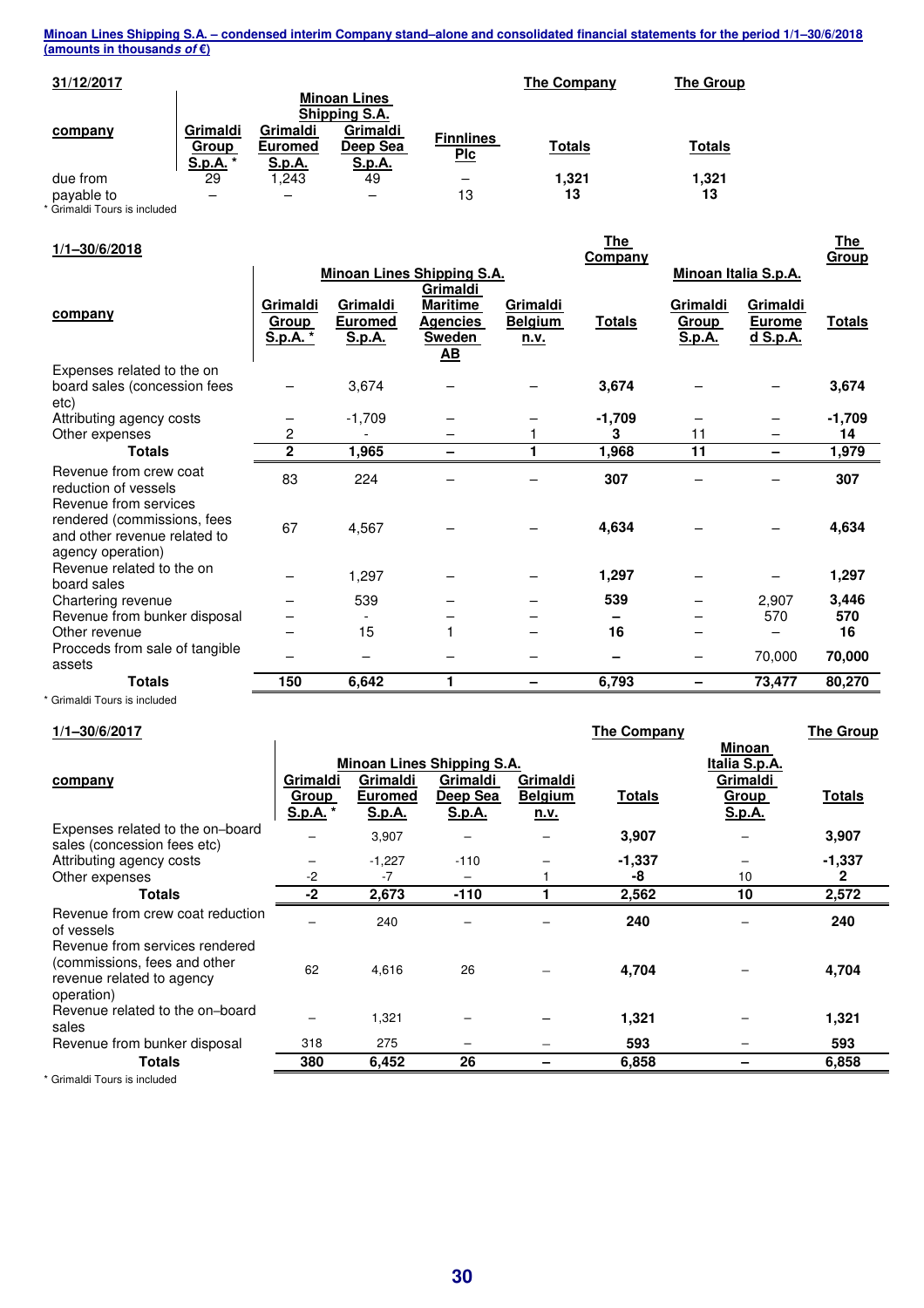| 31/12/2017                   |                                      |                                             |                                                                               |                                | <b>The Company</b> | <b>The Group</b> |
|------------------------------|--------------------------------------|---------------------------------------------|-------------------------------------------------------------------------------|--------------------------------|--------------------|------------------|
| company                      | Grimaldi<br>Group<br><u>S.p.A.</u> * | Grimaldi<br><b>Euromed</b><br><b>S.p.A.</b> | <b>Minoan Lines</b><br>Shipping S.A.<br>Grimaldi<br>Deep Sea<br><u>S.p.A.</u> | <b>Finnlines</b><br><u>Plc</u> | <b>Totals</b>      | <b>Totals</b>    |
| due from                     | 29                                   | 1.243                                       | 49                                                                            | -                              | 1,321              | 1,321            |
| payable to                   |                                      | -                                           |                                                                               | 13                             | 13                 | 13               |
| * Grimaldi Tours is included |                                      |                                             |                                                                               |                                |                    |                  |

| $1/1 - 30/6/2018$                                                                                         |                               |                                      |                                                                              |                                    | <b>The</b><br>Company |                             |                                       | <b>The</b><br>Group |
|-----------------------------------------------------------------------------------------------------------|-------------------------------|--------------------------------------|------------------------------------------------------------------------------|------------------------------------|-----------------------|-----------------------------|---------------------------------------|---------------------|
|                                                                                                           |                               |                                      | <b>Minoan Lines Shipping S.A.</b>                                            |                                    |                       |                             | Minoan Italia S.p.A.                  |                     |
| company                                                                                                   | Grimaldi<br>Group<br>S.p.A. * | Grimaldi<br><b>Euromed</b><br>S.p.A. | Grimaldi<br><b>Maritime</b><br>Agencies<br><b>Sweden</b><br>$\underline{AB}$ | Grimaldi<br><b>Belgium</b><br>n.v. | <b>Totals</b>         | Grimaldi<br>Group<br>S.p.A. | Grimaldi<br><b>Eurome</b><br>d S.p.A. | <b>Totals</b>       |
| Expenses related to the on<br>board sales (concession fees<br>etc)                                        |                               | 3,674                                |                                                                              |                                    | 3,674                 |                             |                                       | 3,674               |
| Attributing agency costs                                                                                  |                               | $-1,709$                             |                                                                              |                                    | $-1,709$              |                             |                                       | $-1,709$            |
| Other expenses                                                                                            | 2                             |                                      |                                                                              |                                    | 3                     | 11                          |                                       | 14                  |
| <b>Totals</b>                                                                                             | $\mathbf{2}$                  | 1,965                                | -                                                                            |                                    | 1,968                 | 11                          | -                                     | 1,979               |
| Revenue from crew coat<br>reduction of vessels                                                            | 83                            | 224                                  |                                                                              |                                    | 307                   |                             |                                       | 307                 |
| Revenue from services<br>rendered (commissions, fees<br>and other revenue related to<br>agency operation) | 67                            | 4,567                                |                                                                              |                                    | 4,634                 |                             |                                       | 4,634               |
| Revenue related to the on<br>board sales                                                                  |                               | 1,297                                |                                                                              |                                    | 1,297                 |                             |                                       | 1,297               |
| Chartering revenue                                                                                        |                               | 539                                  |                                                                              |                                    | 539                   |                             | 2,907                                 | 3,446               |
| Revenue from bunker disposal                                                                              |                               |                                      |                                                                              |                                    |                       |                             | 570                                   | 570                 |
| Other revenue                                                                                             |                               | 15                                   | 1                                                                            |                                    | 16                    |                             |                                       | 16                  |
| Procceds from sale of tangible<br>assets                                                                  |                               | $\overline{\phantom{0}}$             |                                                                              |                                    |                       |                             | 70,000                                | 70,000              |
| <b>Totals</b>                                                                                             | 150                           | 6,642                                | 1                                                                            |                                    | 6,793                 | $\overline{\phantom{0}}$    | 73,477                                | 80,270              |
| * Grimaldi Tours is included                                                                              |                               |                                      |                                                                              |                                    |                       |                             |                                       |                     |

# **1/1–30/6/2017 The Company The Group**

| $1/1 - 30/0/2011$                                                                                         |              |                |                            |                | The Company   |               | The Group     |
|-----------------------------------------------------------------------------------------------------------|--------------|----------------|----------------------------|----------------|---------------|---------------|---------------|
|                                                                                                           |              |                |                            |                |               | <b>Minoan</b> |               |
|                                                                                                           |              |                | Minoan Lines Shipping S.A. |                |               | Italia S.p.A. |               |
| company                                                                                                   | Grimaldi     | Grimaldi       | Grimaldi                   | Grimaldi       |               | Grimaldi      |               |
|                                                                                                           | <b>Group</b> | <b>Euromed</b> | Deep Sea                   | <b>Belgium</b> | <b>Totals</b> | <b>Group</b>  | <b>Totals</b> |
|                                                                                                           | S.p.A. *     | <u>S.p.A.</u>  | S.p.A.                     | <u>n.v.</u>    |               | S.p.A.        |               |
| Expenses related to the on-board<br>sales (concession fees etc)                                           |              | 3,907          |                            |                | 3,907         |               | 3,907         |
| Attributing agency costs                                                                                  |              | $-1,227$       | $-110$                     |                | $-1,337$      |               | $-1,337$      |
| Other expenses                                                                                            | $-2$         | -7             |                            |                | -8            | 10            | 2             |
| Totals                                                                                                    | -2           | 2,673          | $-110$                     |                | 2,562         | 10            | 2,572         |
| Revenue from crew coat reduction<br>of vessels                                                            |              | 240            |                            |                | 240           |               | 240           |
| Revenue from services rendered<br>(commissions, fees and other<br>revenue related to agency<br>operation) | 62           | 4,616          | 26                         |                | 4,704         |               | 4,704         |
| Revenue related to the on-board<br>sales                                                                  |              | 1,321          |                            |                | 1,321         |               | 1,321         |
| Revenue from bunker disposal                                                                              | 318          | 275            | -                          |                | 593           |               | 593           |
| Totals                                                                                                    | 380          | 6,452          | 26                         |                | 6,858         |               | 6,858         |
| * Grimaldi Tours is included                                                                              |              |                |                            |                |               |               |               |
|                                                                                                           |              |                |                            |                |               |               |               |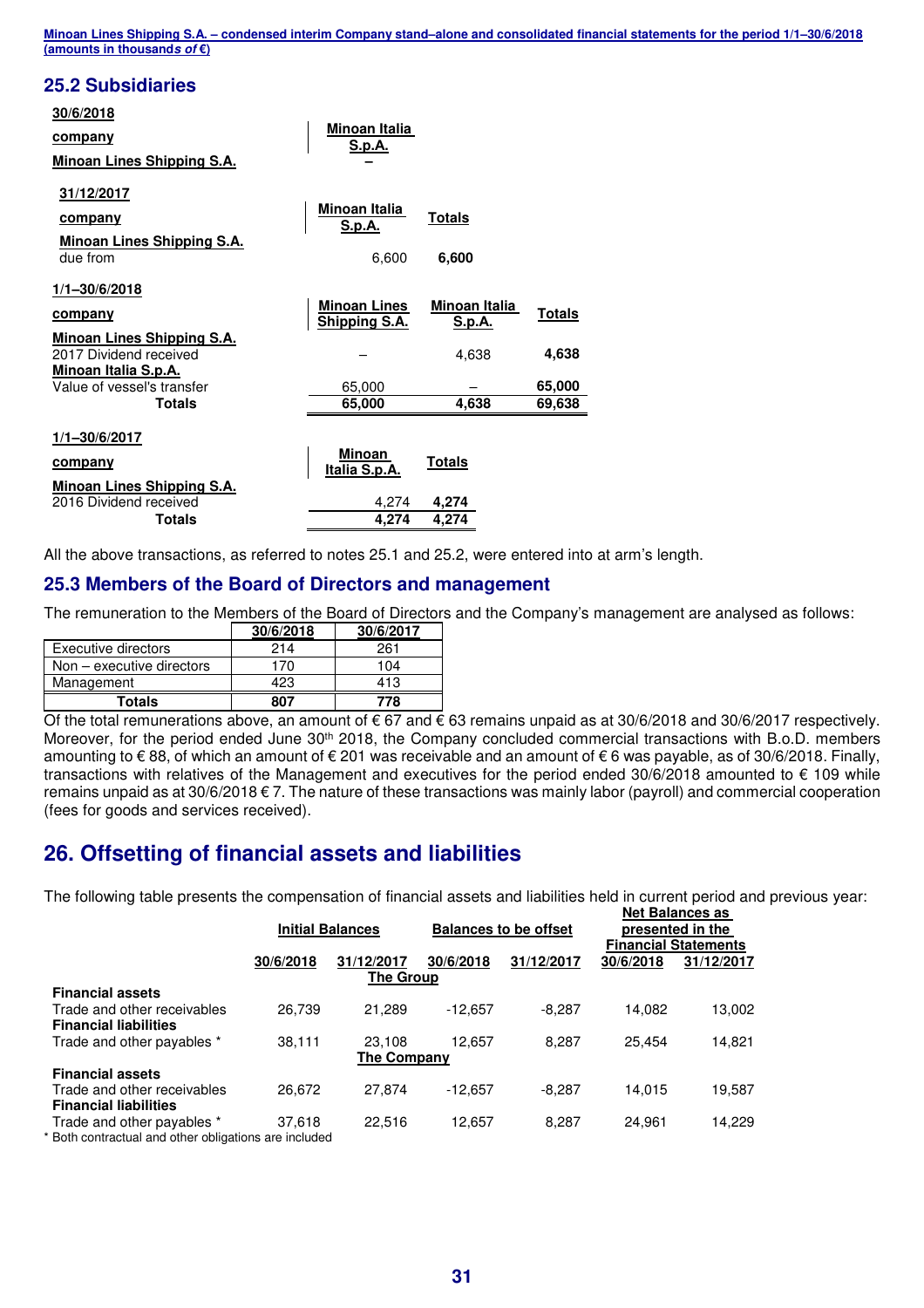#### **25.2 Subsidiaries**

| 30/6/2018<br><u>company</u><br>Minoan Lines Shipping S.A.                                          | <u>Minoan Italia</u><br><u>S.p.A.</u> |                                                |                        |
|----------------------------------------------------------------------------------------------------|---------------------------------------|------------------------------------------------|------------------------|
| 31/12/2017<br>company<br>Minoan Lines Shipping S.A.                                                | <b>Minoan Italia</b><br>S.p.A.        | <b>Totals</b>                                  |                        |
| due from                                                                                           | 6,600                                 | 6,600                                          |                        |
| $1/1 - 30/6/2018$<br><b>company</b><br><b>Minoan Lines Shipping S.A.</b><br>2017 Dividend received | <b>Minoan Lines</b><br>Shipping S.A.  | <b>Minoan Italia</b><br><u>S.p.A.</u><br>4,638 | <b>Totals</b><br>4,638 |
| <b>Minoan Italia S.p.A.</b><br>Value of vessel's transfer                                          | 65,000                                |                                                | 65,000                 |
| <b>Totals</b>                                                                                      | 65,000                                | 4,638                                          | 69,638                 |
| 1/1-30/6/2017<br>company<br><b>Minoan Lines Shipping S.A.</b>                                      | <b>Minoan</b><br>Italia S.p.A.        | Totals                                         |                        |
| 2016 Dividend received                                                                             | 4,274                                 | 4,274                                          |                        |
| <b>Totals</b>                                                                                      | 4.274                                 | 4.274                                          |                        |

All the above transactions, as referred to notes 25.1 and 25.2, were entered into at arm's length.

#### **25.3 Members of the Board of Directors and management**

The remuneration to the Members of the Board of Directors and the Company's management are analysed as follows:

|                             | 30/6/2018 | 30/6/2017 |
|-----------------------------|-----------|-----------|
| Executive directors         | 214       | 261       |
| Non $-$ executive directors | 170       | 104       |
| Management                  | 423       | 413       |
| Totals                      | 807       | 778       |

Of the total remunerations above, an amount of € 67 and € 63 remains unpaid as at 30/6/2018 and 30/6/2017 respectively. Moreover, for the period ended June 30<sup>th</sup> 2018, the Company concluded commercial transactions with B.o.D. members amounting to € 88, of which an amount of € 201 was receivable and an amount of € 6 was payable, as of 30/6/2018. Finally, transactions with relatives of the Management and executives for the period ended 30/6/2018 amounted to € 109 while remains unpaid as at 30/6/2018 € 7. The nature of these transactions was mainly labor (payroll) and commercial cooperation (fees for goods and services received).

# **26. Offsetting of financial assets and liabilities**

The following table presents the compensation of financial assets and liabilities held in current period and previous year: **Net Balances as** 

|                                                             | <b>Initial Balances</b> |                         | <b>Balances to be offset</b> |            | Net palances as<br>presented in the<br><b>Financial Statements</b> |            |
|-------------------------------------------------------------|-------------------------|-------------------------|------------------------------|------------|--------------------------------------------------------------------|------------|
|                                                             | 30/6/2018               | 31/12/2017<br>The Group | 30/6/2018                    | 31/12/2017 | 30/6/2018                                                          | 31/12/2017 |
| <b>Financial assets</b>                                     |                         |                         |                              |            |                                                                    |            |
| Trade and other receivables<br><b>Financial liabilities</b> | 26.739                  | 21.289                  | $-12.657$                    | $-8.287$   | 14.082                                                             | 13,002     |
| Trade and other payables *                                  | 38,111                  | 23.108                  | 12.657                       | 8.287      | 25.454                                                             | 14,821     |
| <b>The Company</b>                                          |                         |                         |                              |            |                                                                    |            |
| <b>Financial assets</b>                                     |                         |                         |                              |            |                                                                    |            |
| Trade and other receivables                                 | 26,672                  | 27.874                  | -12.657                      | $-8,287$   | 14.015                                                             | 19,587     |
| <b>Financial liabilities</b>                                |                         |                         |                              |            |                                                                    |            |
| Trade and other payables *                                  | 37,618                  | 22,516                  | 12,657                       | 8,287      | 24.961                                                             | 14,229     |
| * Both contractual and other obligations are included       |                         |                         |                              |            |                                                                    |            |